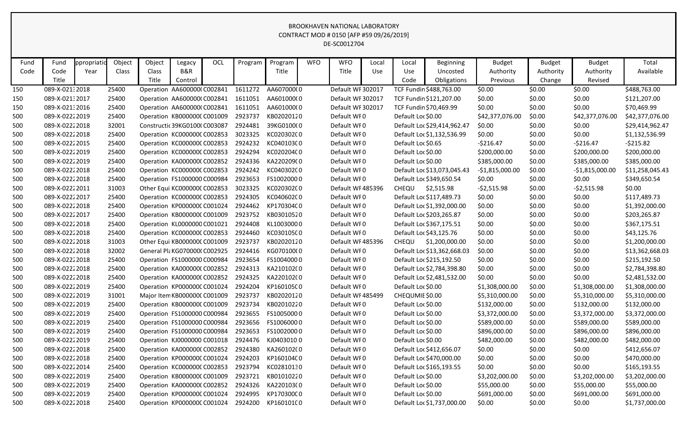| Fund | Fund           | ppropriatid | Object | Object | Legacy                        | OCL | Program | Program    | <b>WFO</b> | <b>WFO</b>        | Local      | Local              | <b>Beginning</b>            | <b>Budget</b>    | <b>Budget</b> | <b>Budget</b>    | Total           |
|------|----------------|-------------|--------|--------|-------------------------------|-----|---------|------------|------------|-------------------|------------|--------------------|-----------------------------|------------------|---------------|------------------|-----------------|
| Code | Code           | Year        | Class  | Class  | <b>B&amp;R</b>                |     |         | Title      |            | Title             | <b>Use</b> | Use                | Uncosted                    | Authority        | Authority     | Authority        | Available       |
|      | Title          |             |        | Title  | Control                       |     |         |            |            |                   |            | Code               | Obligations                 | Previous         | Change        | Revised          |                 |
| 150  | 089-X-02132018 |             | 25400  |        | Operation AA600000(C002841    |     | 1611272 | AA607000(0 |            | Default WF 302017 |            |                    | TCF Fundin \$488,763.00     | \$0.00           | \$0.00        | \$0.00           | \$488,763.00    |
| 150  | 089-X-02132017 |             | 25400  |        | Operation AA600000(C002841    |     | 1611051 | AA601000(0 |            | Default WF 302017 |            |                    | TCF Fundin \$121,207.00     | \$0.00           | \$0.00        | \$0.00           | \$121,207.00    |
| 150  | 089-X-02132016 |             | 25400  |        | Operation AA600000(C002841    |     | 1611051 | AA601000(0 |            | Default WF 302017 |            |                    | TCF Fundin \$70,469.99      | \$0.00           | \$0.00        | \$0.00           | \$70,469.99     |
| 500  | 089-X-02222019 |             | 25400  |        | Operation KB000000C C001009   |     | 2923737 | KB02020120 |            | Default WFO       |            | Default Loc \$0.00 |                             | \$42,377,076.00  | \$0.00        | \$42,377,076.00  | \$42,377,076.00 |
| 500  | 089-X-02222018 |             | 32001  |        | Constructic 39KG01000 C003087 |     | 2924481 | 39KG0100(0 |            | Default WFO       |            |                    | Default Loc \$29,414,962.47 | \$0.00           | \$0.00        | \$0.00           | \$29,414,962.47 |
| 500  | 089-X-02222018 |             | 25400  |        | Operation KC000000CC002853    |     | 3023325 | KC020302C0 |            | Default WF0       |            |                    | Default Loc \$1,132,536.99  | \$0.00           | \$0.00        | \$0.00           | \$1,132,536.99  |
| 500  | 089-X-02222015 |             | 25400  |        | Operation KC000000CC002853    |     | 2924232 | KC040103C0 |            | Default WF0       |            | Default Loc \$0.65 |                             | $-5216.47$       | \$0.00        | $-5216.47$       | $-5215.82$      |
| 500  | 089-X-02222019 |             | 25400  |        | Operation KC000000CC002853    |     | 2924294 | KC020204C0 |            | Default WFO       |            | Default Loc \$0.00 |                             | \$200,000.00     | \$0.00        | \$200,000.00     | \$200,000.00    |
| 500  | 089-X-02222019 |             | 25400  |        | Operation KA000000CC002852    |     | 2924336 | KA220209(0 |            | Default WF0       |            | Default Loc \$0.00 |                             | \$385,000.00     | \$0.00        | \$385,000.00     | \$385,000.00    |
| 500  | 089-X-02222018 |             | 25400  |        | Operation KC000000CC002853    |     | 2924242 | KC040302C0 |            | Default WF0       |            |                    | Default Loc \$13,073,045.43 | $-$1,815,000.00$ | \$0.00        | $-$1,815,000.00$ | \$11,258,045.43 |
| 500  | 089-X-02222018 |             | 25400  |        | Operation FS1000000 C000984   |     | 2923653 | FS10020000 |            | Default WF0       |            |                    | Default Loc \$349,650.54    | \$0.00           | \$0.00        | \$0.00           | \$349,650.54    |
| 500  | 089-X-02222011 |             | 31003  |        | Other Equi KC000000C C002853  |     | 3023325 | KC020302C0 |            | Default WF 485396 |            | CHEQU              | \$2,515.98                  | $-52,515.98$     | \$0.00        | $-52,515.98$     | \$0.00          |
| 500  | 089-X-02222017 |             | 25400  |        | Operation KC000000CC002853    |     | 2924305 | KC040602C0 |            | Default WF0       |            |                    | Default Loc \$117,489.73    | \$0.00           | \$0.00        | \$0.00           | \$117,489.73    |
| 500  | 089-X-02222018 |             | 25400  |        | Operation KP000000C C001024   |     | 2924462 | KP170304C0 |            | Default WF0       |            |                    | Default Loc \$1,392,000.00  | \$0.00           | \$0.00        | \$0.00           | \$1,392,000.00  |
| 500  | 089-X-02222017 |             | 25400  |        | Operation KB000000C C001009   |     | 2923752 | KB03010520 |            | Default WF0       |            |                    | Default Loc \$203,265.87    | \$0.00           | \$0.00        | \$0.00           | \$203,265.87    |
| 500  | 089-X-02222018 |             | 25400  |        | Operation KL0000000 C001021   |     | 2924408 | KL10030000 |            | Default WF0       |            |                    | Default Loc \$367,175.51    | \$0.00           | \$0.00        | \$0.00           | \$367,175.51    |
| 500  | 089-X-02222018 |             | 25400  |        | Operation KC000000CC002853    |     | 2924460 | KC030105C0 |            | Default WF0       |            |                    | Default Loc \$43,125.76     | \$0.00           | \$0.00        | \$0.00           | \$43,125.76     |
| 500  | 089-X-02222018 |             | 31003  |        | Other Equi KB000000C C001009  |     | 2923737 | KB02020120 |            | Default WF485396  |            | CHEQU              | \$1,200,000.00              | \$0.00           | \$0.00        | \$0.00           | \$1,200,000.00  |
| 500  | 089-X-02222018 |             | 32002  |        | General Pla KG070000(C002925  |     | 2924416 | KG070100(0 |            | Default WF0       |            |                    | Default Loc \$13,362,668.03 | \$0.00           | \$0.00        | \$0.00           | \$13,362,668.03 |
| 500  | 089-X-02222018 |             | 25400  |        | Operation FS1000000 C000984   |     | 2923654 | FS10040000 |            | Default WF0       |            |                    | Default Loc \$215,192.50    | \$0.00           | \$0.00        | \$0.00           | \$215,192.50    |
| 500  | 089-X-02222018 |             | 25400  |        | Operation KA000000CC002852    |     | 2924313 | KA210102(0 |            | Default WF0       |            |                    | Default Loc \$2,784,398.80  | \$0.00           | \$0.00        | \$0.00           | \$2,784,398.80  |
| 500  | 089-X-02222018 |             | 25400  |        | Operation KA000000CC002852    |     | 2924325 | KA220102(0 |            | Default WF0       |            |                    | Default Loc \$2,481,532.00  | \$0.00           | \$0.00        | \$0.00           | \$2,481,532.00  |
| 500  | 089-X-02222019 |             | 25400  |        | Operation KP000000C C001024   |     | 2924204 | KP160105C0 |            | Default WF0       |            | Default Loc \$0.00 |                             | \$1,308,000.00   | \$0.00        | \$1,308,000.00   | \$1,308,000.00  |
| 500  | 089-X-02222019 |             | 31001  |        | Major Item KB000000C C001009  |     | 2923737 | KB02020120 |            | Default WF 485499 |            | CHEQUMIE \$0.00    |                             | \$5,310,000.00   | \$0.00        | \$5,310,000.00   | \$5,310,000.00  |
| 500  | 089-X-02222019 |             | 25400  |        | Operation KB000000C C001009   |     | 2923734 | KB02010220 |            | Default WF0       |            | Default Loc \$0.00 |                             | \$132,000.00     | \$0.00        | \$132,000.00     | \$132,000.00    |
| 500  | 089-X-02222019 |             | 25400  |        | Operation FS1000000 C000984   |     | 2923655 | FS10050000 |            | Default WFO       |            | Default Loc \$0.00 |                             | \$3,372,000.00   | \$0.00        | \$3,372,000.00   | \$3,372,000.00  |
| 500  | 089-X-02222019 |             | 25400  |        | Operation FS1000000 C000984   |     | 2923656 | FS10060000 |            | Default WFO       |            | Default Loc \$0.00 |                             | \$589,000.00     | \$0.00        | \$589,000.00     | \$589,000.00    |
| 500  | 089-X-02222019 |             | 25400  |        | Operation FS1000000 C000984   |     | 2923653 | FS10020000 |            | Default WF0       |            | Default Loc \$0.00 |                             | \$896,000.00     | \$0.00        | \$896,000.00     | \$896,000.00    |
| 500  | 089-X-02222019 |             | 25400  |        | Operation KJ0000000 C001018   |     | 2924476 | KJ04030100 |            | Default WF0       |            | Default Loc \$0.00 |                             | \$482,000.00     | \$0.00        | \$482,000.00     | \$482,000.00    |
| 500  | 089-X-02222018 |             | 25400  |        | Operation KA0000000 C002852   |     | 2924380 | KA260102(0 |            | Default WF0       |            |                    | Default Loc \$412,656.07    | \$0.00           | \$0.00        | \$0.00           | \$412,656.07    |
| 500  | 089-X-02222018 |             | 25400  |        | Operation KP000000C C001024   |     | 2924203 | KP160104C0 |            | Default WF0       |            |                    | Default Loc \$470,000.00    | \$0.00           | \$0.00        | \$0.00           | \$470,000.00    |
| 500  | 089-X-02222014 |             | 25400  |        | Operation KC000000C C002853   |     | 2923794 | KC02810130 |            | Default WF0       |            |                    | Default Loc \$165,193.55    | \$0.00           | \$0.00        | \$0.00           | \$165,193.55    |
| 500  | 089-X-02222019 |             | 25400  |        | Operation KB000000C C001009   |     | 2923721 | KB01010220 |            | Default WF0       |            | Default Loc \$0.00 |                             | \$3,202,000.00   | \$0.00        | \$3,202,000.00   | \$3,202,000.00  |
| 500  | 089-X-02222019 |             | 25400  |        | Operation KA0000000 C002852   |     | 2924326 | KA220103(0 |            | Default WF0       |            | Default Loc \$0.00 |                             | \$55,000.00      | \$0.00        | \$55,000.00      | \$55,000.00     |
| 500  | 089-X-02222019 |             | 25400  |        | Operation KP000000C C001024   |     | 2924995 | KP170300C0 |            | Default WF0       |            | Default Loc \$0.00 |                             | \$691,000.00     | \$0.00        | \$691,000.00     | \$691,000.00    |
| 500  | 089-X-02222018 |             | 25400  |        | Operation KP000000CC001024    |     | 2924200 | KP160101C0 |            | Default WF0       |            |                    | Default Loc \$1,737,000.00  | \$0.00           | \$0.00        | \$0.00           | \$1,737,000.00  |
|      |                |             |        |        |                               |     |         |            |            |                   |            |                    |                             |                  |               |                  |                 |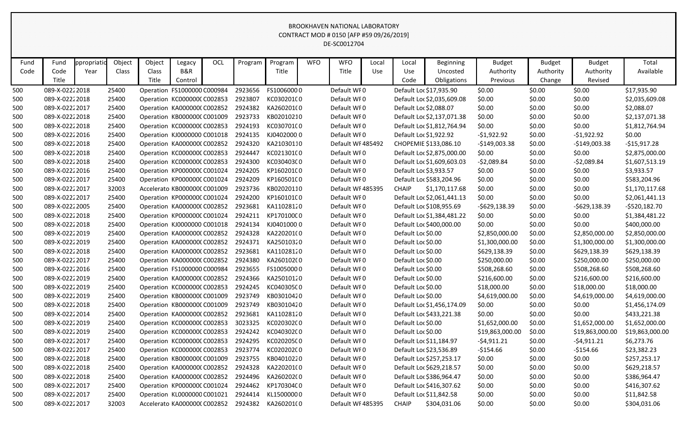| Fund | Fund           | ppropriatio | Object | Object | Legacy                       | OCL | Program | Program    | <b>WFO</b> | <b>WFO</b>        | Local | Local              | <b>Beginning</b>           | <b>Budget</b>   | <b>Budget</b> | <b>Budget</b>   | Total           |
|------|----------------|-------------|--------|--------|------------------------------|-----|---------|------------|------------|-------------------|-------|--------------------|----------------------------|-----------------|---------------|-----------------|-----------------|
| Code | Code           | Year        | Class  | Class  | B&R                          |     |         | Title      |            | Title             | Use   | Use                | Uncosted                   | Authority       | Authority     | Authority       | Available       |
|      | Title          |             |        | Title  | Control                      |     |         |            |            |                   |       | Code               | Obligations                | Previous        | Change        | Revised         |                 |
| 500  | 089-X-02222018 |             | 25400  |        | Operation FS1000000 C000984  |     | 2923656 | FS10060000 |            | Default WF0       |       |                    | Default Loc \$17,935.90    | \$0.00          | \$0.00        | \$0.00          | \$17,935.90     |
| 500  | 089-X-02222018 |             | 25400  |        | Operation KC000000C C002853  |     | 2923807 | KC03020100 |            | Default WF0       |       |                    | Default Loc \$2,035,609.08 | \$0.00          | \$0.00        | \$0.00          | \$2,035,609.08  |
| 500  | 089-X-02222017 |             | 25400  |        | Operation KA000000C C002852  |     | 2924382 | KA260201(0 |            | Default WF0       |       |                    | Default Loc \$2,088.07     | \$0.00          | \$0.00        | \$0.00          | \$2,088.07      |
| 500  | 089-X-02222018 |             | 25400  |        | Operation KB000000C C001009  |     | 2923733 | KB02010210 |            | Default WF0       |       |                    | Default Loc \$2,137,071.38 | \$0.00          | \$0.00        | \$0.00          | \$2,137,071.38  |
| 500  | 089-X-02222018 |             | 25400  |        | Operation KC000000C C002853  |     | 2924193 | KC03070100 |            | Default WFO       |       |                    | Default Loc \$1,812,764.94 | \$0.00          | \$0.00        | \$0.00          | \$1,812,764.94  |
| 500  | 089-X-02222016 |             | 25400  |        | Operation KJ0000000 C001018  |     | 2924135 | KJ04020000 |            | Default WF0       |       |                    | Default Loc \$1,922.92     | $-51,922.92$    | \$0.00        | $-51,922.92$    | \$0.00          |
| 500  | 089-X-02222018 |             | 25400  |        | Operation KA000000C C002852  |     | 2924320 | KA21030110 |            | Default WF 485492 |       |                    | CHOPEMIE \$133,086.10      | $-$149,003.38$  | \$0.00        | $-$149,003.38$  | $-$15,917.28$   |
| 500  | 089-X-02222018 |             | 25400  |        | Operation KC000000C C002853  |     | 2924447 | KC021301C0 |            | Default WFO       |       |                    | Default Loc \$2,875,000.00 | \$0.00          | \$0.00        | \$0.00          | \$2,875,000.00  |
| 500  | 089-X-02222018 |             | 25400  |        | Operation KC000000C C002853  |     | 2924300 | KC030403C0 |            | Default WF0       |       |                    | Default Loc \$1,609,603.03 | $-52,089.84$    | \$0.00        | $-52,089.84$    | \$1,607,513.19  |
| 500  | 089-X-02222016 |             | 25400  |        | Operation KP000000C C001024  |     | 2924205 | KP160201C0 |            | Default WF0       |       |                    | Default Loc \$3,933.57     | \$0.00          | \$0.00        | \$0.00          | \$3,933.57      |
| 500  | 089-X-02222017 |             | 25400  |        | Operation KP000000C C001024  |     | 2924209 | KP160501C0 |            | Default WF0       |       |                    | Default Loc \$583,204.96   | \$0.00          | \$0.00        | \$0.00          | \$583,204.96    |
| 500  | 089-X-02222017 |             | 32003  |        | Accelerato KB000000C C001009 |     | 2923736 | KB02020110 |            | Default WF 485395 |       | <b>CHAIP</b>       | \$1,170,117.68             | \$0.00          | \$0.00        | \$0.00          | \$1,170,117.68  |
| 500  | 089-X-02222017 |             | 25400  |        | Operation KP000000C C001024  |     | 2924200 | KP160101C0 |            | Default WFO       |       |                    | Default Loc \$2,061,441.13 | \$0.00          | \$0.00        | \$0.00          | \$2,061,441.13  |
| 500  | 089-X-02222005 |             | 25400  |        | Operation KA000000C C002852  |     | 2923681 | KA11028120 |            | Default WF0       |       |                    | Default Loc \$108,955.69   | -\$629,138.39   | \$0.00        | $-$629,138.39$  | $-$520,182.70$  |
| 500  | 089-X-02222018 |             | 25400  |        | Operation KP000000C C001024  |     | 2924211 | KP170100C0 |            | Default WF0       |       |                    | Default Loc \$1,384,481.22 | \$0.00          | \$0.00        | \$0.00          | \$1,384,481.22  |
| 500  | 089-X-02222018 |             | 25400  |        | Operation KJ0000000 C001018  |     | 2924134 | KJ04010000 |            | Default WF0       |       |                    | Default Loc \$400,000.00   | \$0.00          | \$0.00        | \$0.00          | \$400,000.00    |
| 500  | 089-X-02222019 |             | 25400  |        | Operation KA000000C C002852  |     | 2924328 | KA220201(0 |            | Default WF0       |       | Default Loc \$0.00 |                            | \$2,850,000.00  | \$0.00        | \$2,850,000.00  | \$2,850,000.00  |
| 500  | 089-X-02222019 |             | 25400  |        | Operation KA000000C C002852  |     | 2924371 | KA25010320 |            | Default WFO       |       | Default Loc \$0.00 |                            | \$1,300,000.00  | \$0.00        | \$1,300,000.00  | \$1,300,000.00  |
| 500  | 089-X-02222018 |             | 25400  |        | Operation KA000000C C002852  |     | 2923681 | KA11028120 |            | Default WF0       |       | Default Loc \$0.00 |                            | \$629,138.39    | \$0.00        | \$629,138.39    | \$629,138.39    |
| 500  | 089-X-02222017 |             | 25400  |        | Operation KA000000C C002852  |     | 2924380 | KA260102(0 |            | Default WF0       |       | Default Loc \$0.00 |                            | \$250,000.00    | \$0.00        | \$250,000.00    | \$250,000.00    |
| 500  | 089-X-02222016 |             | 25400  |        | Operation FS1000000 C000984  |     | 2923655 | FS10050000 |            | Default WFO       |       | Default Loc \$0.00 |                            | \$508,268.60    | \$0.00        | \$508,268.60    | \$508,268.60    |
| 500  | 089-X-02222019 |             | 25400  |        | Operation KA000000C C002852  |     | 2924366 | KA25010120 |            | Default WF0       |       | Default Loc \$0.00 |                            | \$216,600.00    | \$0.00        | \$216,600.00    | \$216,600.00    |
| 500  | 089-X-02222019 |             | 25400  |        | Operation KC000000C C002853  |     | 2924245 | KC040305C0 |            | Default WFO       |       | Default Loc \$0.00 |                            | \$18,000.00     | \$0.00        | \$18,000.00     | \$18,000.00     |
| 500  | 089-X-02222019 |             | 25400  |        | Operation KB000000C C001009  |     | 2923749 | KB03010420 |            | Default WFO       |       | Default Loc \$0.00 |                            | \$4,619,000.00  | \$0.00        | \$4,619,000.00  | \$4,619,000.00  |
| 500  | 089-X-02222018 |             | 25400  |        | Operation KB000000C C001009  |     | 2923749 | KB03010420 |            | Default WFO       |       |                    | Default Loc \$1,456,174.09 | \$0.00          | \$0.00        | \$0.00          | \$1,456,174.09  |
| 500  | 089-X-02222014 |             | 25400  |        | Operation KA000000C C002852  |     | 2923681 | KA11028120 |            | Default WFO       |       |                    | Default Loc \$433,221.38   | \$0.00          | \$0.00        | \$0.00          | \$433,221.38    |
| 500  | 089-X-02222019 |             | 25400  |        | Operation KC000000C C002853  |     | 3023325 | KC020302C0 |            | Default WF0       |       | Default Loc \$0.00 |                            | \$1,652,000.00  | \$0.00        | \$1,652,000.00  | \$1,652,000.00  |
| 500  | 089-X-02222019 |             | 25400  |        | Operation KC000000CC002853   |     | 2924242 | KC040302C0 |            | Default WF0       |       | Default Loc \$0.00 |                            | \$19,863,000.00 | \$0.00        | \$19,863,000.00 | \$19,863,000.00 |
| 500  | 089-X-02222017 |             | 25400  |        | Operation KC000000CC002853   |     | 2924295 | KC020205C0 |            | Default WF0       |       |                    | Default Loc \$11,184.97    | -\$4,911.21     | \$0.00        | $-54,911.21$    | \$6,273.76      |
| 500  | 089-X-02222017 |             | 25400  |        | Operation KC000000C C002853  |     | 2923774 | KC020202C0 |            | Default WF0       |       |                    | Default Loc \$23,536.89    | $-$154.66$      | \$0.00        | $-$154.66$      | \$23,382.23     |
| 500  | 089-X-02222018 |             | 25400  |        | Operation KB000000C C001009  |     | 2923755 | KB04010220 |            | Default WF0       |       |                    | Default Loc \$257,253.17   | \$0.00          | \$0.00        | \$0.00          | \$257,253.17    |
| 500  | 089-X-02222018 |             | 25400  |        | Operation KA0000000 C002852  |     | 2924328 | KA220201(0 |            | Default WF0       |       |                    | Default Loc \$629,218.57   | \$0.00          | \$0.00        | \$0.00          | \$629,218.57    |
| 500  | 089-X-02222018 |             | 25400  |        | Operation KA0000000 C002852  |     | 2924496 | KA26020200 |            | Default WF0       |       |                    | Default Loc \$386,964.47   | \$0.00          | \$0.00        | \$0.00          | \$386,964.47    |
| 500  | 089-X-02222017 |             | 25400  |        | Operation KP000000C C001024  |     | 2924462 | KP170304C0 |            | Default WF0       |       |                    | Default Loc \$416,307.62   | \$0.00          | \$0.00        | \$0.00          | \$416,307.62    |
| 500  | 089-X-02222017 |             | 25400  |        | Operation KL0000000 C001021  |     | 2924414 | KL15000000 |            | Default WF0       |       |                    | Default Loc \$11,842.58    | \$0.00          | \$0.00        | \$0.00          | \$11,842.58     |
| 500  | 089-X-02222017 |             | 32003  |        | Accelerato KA000000CC002852  |     | 2924382 | KA260201(0 |            | Default WF 485395 |       | <b>CHAIP</b>       | \$304,031.06               | \$0.00          | \$0.00        | \$0.00          | \$304,031.06    |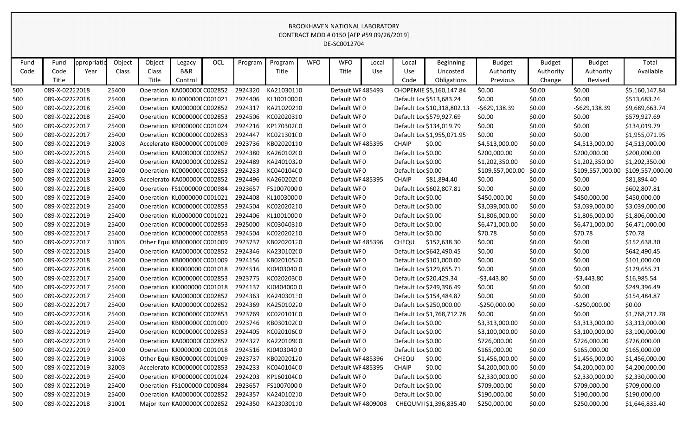| Fund | Fund           | ppropriatio | Object | Object                               | Legacy                       | <b>OCL</b> | Program | Program    | <b>WFO</b> | <b>WFO</b>         | Local | Local              | <b>Beginning</b>            | <b>Budget</b>    | <b>Budget</b> | <b>Budget</b>    | Total            |
|------|----------------|-------------|--------|--------------------------------------|------------------------------|------------|---------|------------|------------|--------------------|-------|--------------------|-----------------------------|------------------|---------------|------------------|------------------|
| Code | Code           | Year        | Class  | Class                                | B&R                          |            |         | Title      |            | Title              | Use   | Use                | Uncosted                    | Authority        | Authority     | Authority        | Available        |
|      | Title          |             |        | Title                                | Control                      |            |         |            |            |                    |       | Code               | Obligations                 | Previous         | Change        | Revised          |                  |
| 500  | 089-X-02222018 |             | 25400  | Operation KA000000C C002852          |                              |            | 2924320 | KA21030110 |            | Default WF485493   |       |                    | CHOPEMIE \$5,160,147.84     | \$0.00           | \$0.00        | \$0.00           | \$5,160,147.84   |
| 500  | 089-X-02222018 |             | 25400  | Operation KL0000000 C001021          |                              |            | 2924406 | KL10010000 |            | Default WF0        |       |                    | Default Loc \$513,683.24    | \$0.00           | \$0.00        | \$0.00           | \$513,683.24     |
| 500  | 089-X-02222018 |             | 25400  | Operation KA000000C C002852          |                              |            | 2924317 | KA21020210 |            | Default WF0        |       |                    | Default Loc \$10,318,802.13 | $-5629,138.39$   | \$0.00        | $-5629,138.39$   | \$9,689,663.74   |
| 500  | 089-X-02222018 |             | 25400  | Operation KC000000C C002853          |                              |            | 2924506 | KC02020310 |            | Default WF0        |       |                    | Default Loc \$579,927.69    | \$0.00           | \$0.00        | \$0.00           | \$579,927.69     |
| 500  | 089-X-02222017 |             | 25400  | Operation KP000000C C001024          |                              |            | 2924216 | KP170302C0 |            | Default WF0        |       |                    | Default Loc \$134,019.79    | \$0.00           | \$0.00        | \$0.00           | \$134,019.79     |
| 500  | 089-X-02222017 |             | 25400  | Operation KC000000C C002853          |                              |            | 2924447 | KC021301C0 |            | Default WF0        |       |                    | Default Loc \$1,955,071.95  | \$0.00           | \$0.00        | \$0.00           | \$1,955,071.95   |
| 500  | 089-X-02222019 |             | 32003  |                                      | Accelerato KB000000C C001009 |            | 2923736 | KB02020110 |            | Default WF485395   |       | <b>CHAIP</b>       | \$0.00                      | \$4,513,000.00   | \$0.00        | \$4,513,000.00   | \$4,513,000.00   |
| 500  | 089-X-02222016 |             | 25400  | Operation KA000000C C002852          |                              |            | 2924380 | KA260102(0 |            | Default WF0        |       | Default Loc \$0.00 |                             | \$200,000.00     | \$0.00        | \$200,000.00     | \$200,000.00     |
| 500  | 089-X-02222019 |             | 25400  | Operation KA000000C C002852          |                              |            | 2924489 | KA24010320 |            | Default WF0        |       | Default Loc \$0.00 |                             | \$1,202,350.00   | \$0.00        | \$1,202,350.00   | \$1,202,350.00   |
| 500  | 089-X-02222019 |             | 25400  | Operation KC000000C C002853          |                              |            | 2924233 | KC040104C0 |            | Default WF0        |       | Default Loc \$0.00 |                             | \$109,557,000.00 | \$0.00        | \$109,557,000.00 | \$109,557,000.00 |
| 500  | 089-X-02222018 |             | 32003  |                                      | Accelerato KA0000000 C002852 |            | 2924496 | KA26020200 |            | Default WF485395   |       | <b>CHAIP</b>       | \$81,894.40                 | \$0.00           | \$0.00        | \$0.00           | \$81,894.40      |
| 500  | 089-X-02222018 |             | 25400  | Operation FS1000000 C000984          |                              |            | 2923657 | FS10070000 |            | Default WF0        |       |                    | Default Loc \$602,807.81    | \$0.00           | \$0.00        | \$0.00           | \$602,807.81     |
| 500  | 089-X-02222019 |             | 25400  |                                      | Operation KL0000000 C001021  |            | 2924408 | KL10030000 |            | Default WF0        |       | Default Loc \$0.00 |                             | \$450,000.00     | \$0.00        | \$450,000.00     | \$450,000.00     |
| 500  | 089-X-02222019 |             | 25400  | Operation KC000000C C002853          |                              |            | 2924504 | KC02020210 |            | Default WF0        |       | Default Loc \$0.00 |                             | \$3,039,000.00   | \$0.00        | \$3,039,000.00   | \$3,039,000.00   |
| 500  | 089-X-02222019 |             | 25400  | Operation KL0000000 C001021          |                              |            | 2924406 | KL10010000 |            | Default WF0        |       | Default Loc \$0.00 |                             | \$1,806,000.00   | \$0.00        | \$1,806,000.00   | \$1,806,000.00   |
| 500  | 089-X-02222019 |             | 25400  | Operation KC000000CC002853           |                              |            | 2925000 | KC03040310 |            | Default WF0        |       | Default Loc \$0.00 |                             | \$6,471,000.00   | \$0.00        | \$6,471,000.00   | \$6,471,000.00   |
| 500  | 089-X-02222017 |             | 25400  | Operation KC000000C C002853          |                              |            | 2924504 | KC02020210 |            | Default WF0        |       | Default Loc \$0.00 |                             | \$70.78          | \$0.00        | \$70.78          | \$70.78          |
| 500  | 089-X-02222017 |             | 31003  | Other Equi KB000000C C001009         |                              |            | 2923737 | KB02020120 |            | Default WF485396   |       | <b>CHEQU</b>       | \$152,638.30                | \$0.00           | \$0.00        | \$0.00           | \$152,638.30     |
| 500  | 089-X-02222018 |             | 25400  | Operation KA000000C C002852          |                              |            | 2924346 | KA230102(0 |            | Default WF0        |       |                    | Default Loc \$642,490.45    | \$0.00           | \$0.00        | \$0.00           | \$642,490.45     |
| 500  | 089-X-02222018 |             | 25400  | Operation KB000000C C001009          |                              |            | 2924156 | KB02010520 |            | Default WF0        |       |                    | Default Loc \$101,000.00    | \$0.00           | \$0.00        | \$0.00           | \$101,000.00     |
| 500  | 089-X-02222018 |             | 25400  |                                      | Operation KJ0000000 C001018  |            | 2924516 | KJ04030400 |            | Default WF0        |       |                    | Default Loc \$129,655.71    | \$0.00           | \$0.00        | \$0.00           | \$129,655.71     |
| 500  | 089-X-02222017 |             | 25400  | Operation KC000000C C002853          |                              |            | 2923775 | KC020203C0 |            | Default WF0        |       |                    | Default Loc \$20,429.34     | $-53,443.80$     | \$0.00        | $-53,443.80$     | \$16,985.54      |
| 500  | 089-X-02222017 |             | 25400  | Operation KJ0000000 C001018          |                              |            | 2924137 | KJ04040000 |            | Default WF0        |       |                    | Default Loc \$249,396.49    | \$0.00           | \$0.00        | \$0.00           | \$249,396.49     |
| 500  | 089-X-02222017 |             | 25400  | Operation KA000000C C002852          |                              |            | 2924363 | KA24030130 |            | Default WF0        |       |                    | Default Loc \$154,484.87    | \$0.00           | \$0.00        | \$0.00           | \$154,484.87     |
| 500  | 089-X-02222017 |             | 25400  | Operation KA000000C C002852          |                              |            | 2924369 | KA25010220 |            | Default WF0        |       |                    | Default Loc \$250,000.00    | $-$250,000.00$   | \$0.00        | $-5250,000.00$   | \$0.00           |
| 500  | 089-X-02222018 |             | 25400  | Operation KC000000C C002853          |                              |            | 2923769 | KC020101C0 |            | Default WF0        |       |                    | Default Loc \$1,768,712.78  | \$0.00           | \$0.00        | \$0.00           | \$1,768,712.78   |
| 500  | 089-X-02222019 |             | 25400  | Operation KB000000C C001009          |                              |            | 2923746 | KB03010200 |            | Default WF0        |       | Default Loc \$0.00 |                             | \$3,313,000.00   | \$0.00        | \$3,313,000.00   | \$3,313,000.00   |
| 500  | 089-X-02222019 |             | 25400  | Operation KC000000CC002853           |                              |            | 2924405 | KC020106C0 |            | Default WF0        |       | Default Loc \$0.00 |                             | \$3,100,000.00   | \$0.00        | \$3,100,000.00   | \$3,100,000.00   |
| 500  | 089-X-02222019 |             | 25400  | Operation KA000000CC002852 2924327   |                              |            |         | KA220109(0 |            | Default WF0        |       | Default Loc \$0.00 |                             | \$726,000.00     | \$0.00        | \$726,000.00     | \$726,000.00     |
| 500  | 089-X-02222019 |             | 25400  | Operation KJ0000000 C001018          |                              |            | 2924516 | KJ04030400 |            | Default WF0        |       | Default Loc \$0.00 |                             | \$165,000.00     | \$0.00        | \$165,000.00     | \$165,000.00     |
| 500  | 089-X-02222019 |             | 31003  | Other Equi KB000000C C001009         |                              |            | 2923737 | KB02020120 |            | Default WF485396   |       | CHEQU              | \$0.00                      | \$1,456,000.00   | \$0.00        | \$1,456,000.00   | \$1,456,000.00   |
| 500  | 089-X-02222019 |             | 32003  | Accelerato KC000000C C002853         |                              |            | 2924233 | KC040104C0 |            | Default WF485395   |       | <b>CHAIP</b>       | \$0.00                      | \$4,200,000.00   | \$0.00        | \$4,200,000.00   | \$4,200,000.00   |
| 500  | 089-X-02222019 |             | 25400  | Operation KP000000C C001024          |                              |            | 2924203 | KP160104C0 |            | Default WF0        |       | Default Loc \$0.00 |                             | \$2,330,000.00   | \$0.00        | \$2,330,000.00   | \$2,330,000.00   |
| 500  | 089-X-02222019 |             | 25400  | Operation FS1000000 C000984          |                              |            | 2923657 | FS10070000 |            | Default WF0        |       | Default Loc \$0.00 |                             | \$709,000.00     | \$0.00        | \$709,000.00     | \$709,000.00     |
| 500  | 089-X-02222019 |             | 25400  | Operation KA000000CC002852           |                              |            | 2924357 | KA24010210 |            | Default WF0        |       | Default Loc \$0.00 |                             | \$190,000.00     | \$0.00        | \$190,000.00     | \$190,000.00     |
| 500  | 089-X-02222018 |             | 31001  | Major Item KA0000000 C002852 2924350 |                              |            |         | KA23030110 |            | Default WF 4809008 |       |                    | CHEQUMI \$1,396,835.40      | \$250,000.00     | \$0.00        | \$250,000.00     | \$1,646,835.40   |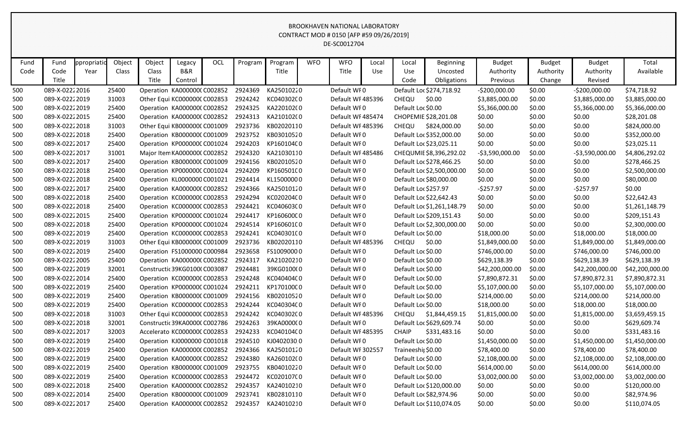| Fund | Fund           | ppropriatio | Object | Object         | Legacy<br>B&R                 | OCL | Program | Program<br>Title | <b>WFO</b> | <b>WFO</b><br>Title | Local | Local              | Beginning                  | <b>Budget</b>         | <b>Budget</b> | <b>Budget</b>        | Total<br>Available |
|------|----------------|-------------|--------|----------------|-------------------------------|-----|---------|------------------|------------|---------------------|-------|--------------------|----------------------------|-----------------------|---------------|----------------------|--------------------|
| Code | Code<br>Title  | Year        | Class  | Class<br>Title |                               |     |         |                  |            |                     | Use   | Use<br>Code        | Uncosted                   | Authority<br>Previous | Authority     | Authority<br>Revised |                    |
|      |                |             |        |                | Control                       |     |         |                  |            |                     |       |                    | Obligations                |                       | Change        |                      |                    |
| 500  | 089-X-02222016 |             | 25400  |                | Operation KA000000CC002852    |     | 2924369 | KA25010220       |            | Default WF0         |       |                    | Default Loc \$274,718.92   | $-$200,000.00$        | \$0.00        | $-5200,000.00$       | \$74,718.92        |
| 500  | 089-X-02222019 |             | 31003  |                | Other Equi KC000000C C002853  |     | 2924242 | KC040302C0       |            | Default WF485396    |       | CHEQU              | \$0.00                     | \$3,885,000.00        | \$0.00        | \$3,885,000.00       | \$3,885,000.00     |
| 500  | 089-X-02222019 |             | 25400  |                | Operation KA000000C C002852   |     | 2924325 | KA220102(0       |            | Default WF0         |       | Default Loc \$0.00 |                            | \$5,366,000.00        | \$0.00        | \$5,366,000.00       | \$5,366,000.00     |
| 500  | 089-X-02222015 |             | 25400  |                | Operation KA000000C C002852   |     | 2924313 | KA210102(0       |            | Default WF 485474   |       |                    | CHOPEMIE \$28,201.08       | \$0.00                | \$0.00        | \$0.00               | \$28,201.08        |
| 500  | 089-X-02222018 |             | 31003  |                | Other Equi KB000000C C001009  |     | 2923736 | KB02020110       |            | Default WF485396    |       | <b>CHEQU</b>       | \$824,000.00               | \$0.00                | \$0.00        | \$0.00               | \$824,000.00       |
| 500  | 089-X-02222018 |             | 25400  |                | Operation KB000000C C001009   |     | 2923752 | KB03010520       |            | Default WF0         |       |                    | Default Loc \$352,000.00   | \$0.00                | \$0.00        | \$0.00               | \$352,000.00       |
| 500  | 089-X-02222017 |             | 25400  |                | Operation KP000000C C001024   |     | 2924203 | KP160104C0       |            | Default WFO         |       |                    | Default Loc \$23,025.11    | \$0.00                | \$0.00        | \$0.00               | \$23,025.11        |
| 500  | 089-X-02222017 |             | 31001  |                | Major Item KA0000000 C002852  |     | 2924320 | KA21030110       |            | Default WF485486    |       |                    | CHEQUMIE \$8,396,292.02    | -\$3,590,000.00       | \$0.00        | $-53,590,000.00$     | \$4,806,292.02     |
| 500  | 089-X-02222017 |             | 25400  |                | Operation KB000000C C001009   |     | 2924156 | KB02010520       |            | Default WF0         |       |                    | Default Loc \$278,466.25   | \$0.00                | \$0.00        | \$0.00               | \$278,466.25       |
| 500  | 089-X-02222018 |             | 25400  |                | Operation KP000000C C001024   |     | 2924209 | KP160501C0       |            | Default WF0         |       |                    | Default Loc \$2,500,000.00 | \$0.00                | \$0.00        | \$0.00               | \$2,500,000.00     |
| 500  | 089-X-02222018 |             | 25400  |                | Operation KL0000000 C001021   |     | 2924414 | KL15000000       |            | Default WF0         |       |                    | Default Loc \$80,000.00    | \$0.00                | \$0.00        | \$0.00               | \$80,000.00        |
| 500  | 089-X-02222017 |             | 25400  |                | Operation KA000000CC002852    |     | 2924366 | KA25010120       |            | Default WFO         |       |                    | Default Loc \$257.97       | $-5257.97$            | \$0.00        | $-5257.97$           | \$0.00             |
| 500  | 089-X-02222018 |             | 25400  |                | Operation KC000000C C002853   |     | 2924294 | KC020204C0       |            | Default WF0         |       |                    | Default Loc \$22,642.43    | \$0.00                | \$0.00        | \$0.00               | \$22,642.43        |
| 500  | 089-X-02222018 |             | 25400  |                | Operation KC000000C C002853   |     | 2924421 | KC040603C0       |            | Default WF0         |       |                    | Default Loc \$1,261,148.79 | \$0.00                | \$0.00        | \$0.00               | \$1,261,148.79     |
| 500  | 089-X-02222015 |             | 25400  |                | Operation KP000000C C001024   |     | 2924417 | KP160600C0       |            | Default WFO         |       |                    | Default Loc \$209,151.43   | \$0.00                | \$0.00        | \$0.00               | \$209,151.43       |
| 500  | 089-X-02222018 |             | 25400  |                | Operation KP000000C C001024   |     | 2924514 | KP160601C0       |            | Default WFO         |       |                    | Default Loc \$2,300,000.00 | \$0.00                | \$0.00        | \$0.00               | \$2,300,000.00     |
| 500  | 089-X-02222019 |             | 25400  |                | Operation KC000000C C002853   |     | 2924241 | KC040301C0       |            | Default WFO         |       | Default Loc \$0.00 |                            | \$18,000.00           | \$0.00        | \$18,000.00          | \$18,000.00        |
| 500  | 089-X-02222019 |             | 31003  |                | Other Equi KB000000C C001009  |     | 2923736 | KB02020110       |            | Default WF485396    |       | CHEQU              | \$0.00                     | \$1,849,000.00        | \$0.00        | \$1,849,000.00       | \$1,849,000.00     |
| 500  | 089-X-02222019 |             | 25400  |                | Operation FS1000000 C000984   |     | 2923658 | FS10090000       |            | Default WFO         |       | Default Loc \$0.00 |                            | \$746,000.00          | \$0.00        | \$746,000.00         | \$746,000.00       |
| 500  | 089-X-02222005 |             | 25400  |                | Operation KA000000C C002852   |     | 2924317 | KA21020210       |            | Default WFO         |       | Default Loc \$0.00 |                            | \$629,138.39          | \$0.00        | \$629,138.39         | \$629,138.39       |
| 500  | 089-X-02222019 |             | 32001  |                | Constructic 39KG01000 C003087 |     | 2924481 | 39KG0100(0       |            | Default WFO         |       | Default Loc \$0.00 |                            | \$42,200,000.00       | \$0.00        | \$42,200,000.00      | \$42,200,000.00    |
| 500  | 089-X-02222014 |             | 25400  |                | Operation KC000000C C002853   |     | 2924248 | KC040404C0       |            | Default WF0         |       | Default Loc \$0.00 |                            | \$7,890,872.31        | \$0.00        | \$7,890,872.31       | \$7,890,872.31     |
| 500  | 089-X-02222019 |             | 25400  |                | Operation KP000000C C001024   |     | 2924211 | KP170100C0       |            | Default WFO         |       | Default Loc \$0.00 |                            | \$5,107,000.00        | \$0.00        | \$5,107,000.00       | \$5,107,000.00     |
| 500  | 089-X-02222019 |             | 25400  |                | Operation KB000000C C001009   |     | 2924156 | KB02010520       |            | Default WFO         |       | Default Loc \$0.00 |                            | \$214,000.00          | \$0.00        | \$214,000.00         | \$214,000.00       |
| 500  | 089-X-02222019 |             | 25400  |                | Operation KC000000C C002853   |     | 2924244 | KC040304C0       |            | Default WFO         |       | Default Loc \$0.00 |                            | \$18,000.00           | \$0.00        | \$18,000.00          | \$18,000.00        |
| 500  | 089-X-02222018 |             | 31003  |                | Other Equi KC000000C C002853  |     | 2924242 | KC040302C0       |            | Default WF485396    |       | CHEQU              | \$1,844,459.15             | \$1,815,000.00        | \$0.00        | \$1,815,000.00       | \$3,659,459.15     |
| 500  | 089-X-02222018 |             | 32001  |                | Constructic 39KA0000C C002786 |     | 2924263 | 39KA000000       |            | Default WF0         |       |                    | Default Loc \$629,609.74   | \$0.00                | \$0.00        | \$0.00               | \$629,609.74       |
| 500  | 089-X-02222017 |             | 32003  |                | Accelerato KC000000C C002853  |     | 2924233 | KC040104C0       |            | Default WF485395    |       | <b>CHAIP</b>       | \$331,483.16               | \$0.00                | \$0.00        | \$0.00               | \$331,483.16       |
| 500  | 089-X-02222019 |             | 25400  |                | Operation KJ0000000 C001018   |     | 2924510 | KJ04020300       |            | Default WF0         |       | Default Loc \$0.00 |                            | \$1,450,000.00        | \$0.00        | \$1,450,000.00       | \$1,450,000.00     |
| 500  | 089-X-02222019 |             | 25400  |                | Operation KA000000C C002852   |     | 2924366 | KA25010120       |            | Default WF 302557   |       | Traineeshit \$0.00 |                            | \$78,400.00           | \$0.00        | \$78,400.00          | \$78,400.00        |
| 500  | 089-X-02222019 |             | 25400  |                | Operation KA000000C C002852   |     | 2924380 | KA260102(0       |            | Default WF0         |       | Default Loc \$0.00 |                            | \$2,108,000.00        | \$0.00        | \$2,108,000.00       | \$2,108,000.00     |
| 500  | 089-X-02222019 |             | 25400  |                | Operation KB000000C C001009   |     | 2923755 | KB04010220       |            | Default WF0         |       | Default Loc \$0.00 |                            | \$614,000.00          | \$0.00        | \$614,000.00         | \$614,000.00       |
| 500  | 089-X-02222019 |             | 25400  |                | Operation KC000000C C002853   |     | 2924472 | KC020107C0       |            | Default WF0         |       | Default Loc \$0.00 |                            | \$3,002,000.00        | \$0.00        | \$3,002,000.00       | \$3,002,000.00     |
| 500  | 089-X-02222018 |             | 25400  |                | Operation KA0000000 C002852   |     | 2924357 | KA24010210       |            | Default WF0         |       |                    | Default Loc \$120,000.00   | \$0.00                | \$0.00        | \$0.00               | \$120,000.00       |
| 500  | 089-X-02222014 |             | 25400  |                | Operation KB000000CC001009    |     | 2923741 | KB02810110       |            | Default WF0         |       |                    | Default Loc \$82,974.96    | \$0.00                | \$0.00        | \$0.00               | \$82,974.96        |
| 500  | 089-X-02222017 |             | 25400  |                | Operation KA0000000 C002852   |     | 2924357 | KA24010210       |            | Default WFO         |       |                    | Default Loc \$110,074.05   | \$0.00                | \$0.00        | \$0.00               | \$110,074.05       |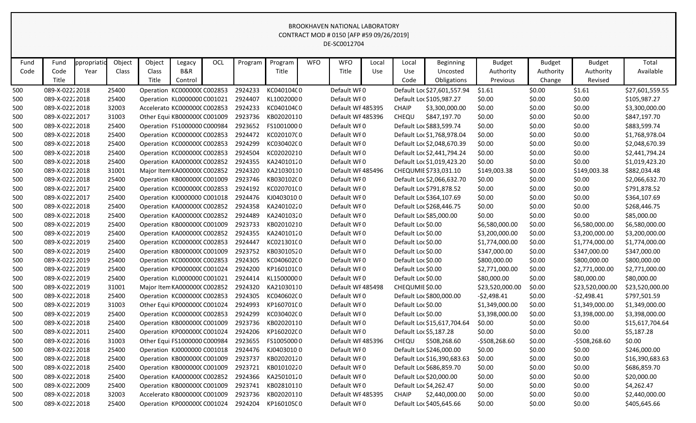| Fund       | Fund                             | ppropriatio | Object         | Object                                                      | Legacy  | <b>OCL</b> | Program            | Program                  | <b>WFO</b> | <b>WFO</b>                       | Local | Local              | <b>Beginning</b>            | <b>Budget</b>                   | <b>Budget</b>    | <b>Budget</b>                   | Total                           |
|------------|----------------------------------|-------------|----------------|-------------------------------------------------------------|---------|------------|--------------------|--------------------------|------------|----------------------------------|-------|--------------------|-----------------------------|---------------------------------|------------------|---------------------------------|---------------------------------|
| Code       | Code                             | Year        | Class          | Class                                                       | B&R     |            |                    | Title                    |            | Title                            | Use   | Use                | Uncosted                    | Authority                       | Authority        | Authority                       | Available                       |
|            | Title                            |             |                | Title                                                       | Control |            |                    |                          |            |                                  |       | Code               | Obligations                 | Previous                        | Change           | Revised                         |                                 |
| 500        | 089-X-02222018                   |             | 25400          | Operation KC000000CC002853                                  |         |            | 2924233            | KC040104C0               |            | Default WF0                      |       |                    | Default Loc \$27,601,557.94 | \$1.61                          | \$0.00           | \$1.61                          | \$27,601,559.55                 |
| 500        | 089-X-02222018                   |             | 25400          | Operation KL0000000 C001021                                 |         |            | 2924407            | KL10020000               |            | Default WF0                      |       |                    | Default Loc \$105,987.27    | \$0.00                          | \$0.00           | \$0.00                          | \$105,987.27                    |
| 500        | 089-X-02222018                   |             | 32003          | Accelerato KC000000C C002853                                |         |            | 2924233            | KC040104C0               |            | Default WF 485395                |       | <b>CHAIP</b>       | \$3,300,000.00              | \$0.00                          | \$0.00           | \$0.00                          | \$3,300,000.00                  |
| 500        | 089-X-02222017                   |             | 31003          | Other Equi KB000000C C001009                                |         |            | 2923736            | KB02020110               |            | Default WF485396                 |       | CHEQU              | \$847,197.70                | \$0.00                          | \$0.00           | \$0.00                          | \$847,197.70                    |
| 500        | 089-X-02222018                   |             | 25400          | Operation FS1000000 C000984                                 |         |            | 2923652            | FS10010000               |            | Default WF0                      |       |                    | Default Loc \$883,599.74    | \$0.00                          | \$0.00           | \$0.00                          | \$883,599.74                    |
| 500        | 089-X-02222018                   |             | 25400          | Operation KC000000CC002853                                  |         |            | 2924472            | KC020107C0               |            | Default WF0                      |       |                    | Default Loc \$1,768,978.04  | \$0.00                          | \$0.00           | \$0.00                          | \$1,768,978.04                  |
| 500        | 089-X-02222018                   |             | 25400          | Operation KC000000C C002853                                 |         |            | 2924299            | KC030402C0               |            | Default WF0                      |       |                    | Default Loc \$2,048,670.39  | \$0.00                          | \$0.00           | \$0.00                          | \$2,048,670.39                  |
| 500        | 089-X-02222018                   |             | 25400          | Operation KC000000CC002853                                  |         |            | 2924504            | KC02020210               |            | Default WF0                      |       |                    | Default Loc \$2,441,794.24  | \$0.00                          | \$0.00           | \$0.00                          | \$2,441,794.24                  |
| 500        | 089-X-02222018                   |             | 25400          | Operation KA000000C C002852                                 |         |            | 2924355            | KA24010120               |            | Default WF0                      |       |                    | Default Loc \$1,019,423.20  | \$0.00                          | \$0.00           | \$0.00                          | \$1,019,423.20                  |
| 500        | 089-X-02222018                   |             | 31001          | Major Item KA0000000 C002852                                |         |            | 2924320            | KA21030110               |            | Default WF 485496                |       |                    | CHEQUMIE \$733,031.10       | \$149,003.38                    | \$0.00           | \$149,003.38                    | \$882,034.48                    |
| 500        | 089-X-02222018                   |             | 25400          | Operation KB000000C C001009                                 |         |            | 2923746            | KB030102C0               |            | Default WF0                      |       |                    | Default Loc \$2,066,632.70  | \$0.00                          | \$0.00           | \$0.00                          | \$2,066,632.70                  |
| 500        | 089-X-02222017                   |             | 25400          | Operation KC000000C C002853                                 |         |            | 2924192            | KC020701C0               |            | Default WF0                      |       |                    | Default Loc \$791,878.52    | \$0.00                          | \$0.00           | \$0.00                          | \$791,878.52                    |
| 500        | 089-X-02222017                   |             | 25400          | Operation KJ0000000 C001018                                 |         |            | 2924476            | KJ04030100               |            | Default WF0                      |       |                    | Default Loc \$364,107.69    | \$0.00                          | \$0.00           | \$0.00                          | \$364,107.69                    |
| 500        | 089-X-02222018                   |             | 25400          | Operation KA000000C C002852                                 |         |            | 2924358            | KA24010220               |            | Default WF0                      |       |                    | Default Loc \$268,446.75    | \$0.00                          | \$0.00           | \$0.00                          | \$268,446.75                    |
| 500        | 089-X-02222018                   |             | 25400          | Operation KA000000CC002852                                  |         |            | 2924489            | KA24010320               |            | Default WF0                      |       |                    | Default Loc \$85,000.00     | \$0.00                          | \$0.00           | \$0.00                          | \$85,000.00                     |
| 500        | 089-X-02222019                   |             | 25400          | Operation KB000000C C001009                                 |         |            | 2923733            | KB02010210               |            | Default WF0                      |       | Default Loc \$0.00 |                             | \$6,580,000.00                  | \$0.00           | \$6,580,000.00                  | \$6,580,000.00                  |
| 500        | 089-X-02222019                   |             | 25400          | Operation KA000000CC002852                                  |         |            | 2924355            | KA24010120               |            | Default WF0                      |       | Default Loc \$0.00 |                             | \$3,200,000.00                  | \$0.00           | \$3,200,000.00                  | \$3,200,000.00                  |
| 500        | 089-X-02222019                   |             | 25400          | Operation KC000000C C002853                                 |         |            | 2924447            | KC021301C0               |            | Default WF0                      |       | Default Loc \$0.00 |                             | \$1,774,000.00                  | \$0.00           | \$1,774,000.00                  | \$1,774,000.00                  |
| 500        | 089-X-02222019                   |             | 25400          | Operation KB000000C C001009                                 |         |            | 2923752            | KB03010520               |            | Default WF0                      |       | Default Loc \$0.00 |                             | \$347,000.00                    | \$0.00           | \$347,000.00                    | \$347,000.00                    |
| 500        | 089-X-02222019                   |             | 25400          | Operation KC000000C C002853                                 |         |            | 2924305            | KC040602C0               |            | Default WF0                      |       | Default Loc \$0.00 |                             | \$800,000.00                    | \$0.00           | \$800,000.00                    | \$800,000.00                    |
| 500        | 089-X-02222019                   |             | 25400<br>25400 | Operation KP000000C C001024                                 |         |            | 2924200<br>2924414 | KP160101C0               |            | Default WF0                      |       | Default Loc \$0.00 |                             | \$2,771,000.00                  | \$0.00           | \$2,771,000.00                  | \$2,771,000.00                  |
| 500        | 089-X-02222019                   |             |                | Operation KL0000000 C001021                                 |         |            |                    | KL15000000               |            | Default WF0<br>Default WF 485498 |       | Default Loc \$0.00 |                             | \$80,000.00                     | \$0.00           | \$80,000.00                     | \$80,000.00                     |
| 500        | 089-X-02222019<br>089-X-02222018 |             | 31001<br>25400 | Major Item KA0000000 C002852<br>Operation KC000000C C002853 |         |            | 2924320<br>2924305 | KA21030110<br>KC040602C0 |            | Default WF0                      |       | CHEQUMIE \$0.00    | Default Loc \$800,000.00    | \$23,520,000.00<br>$-52,498.41$ | \$0.00<br>\$0.00 | \$23,520,000.00<br>$-52,498.41$ | \$23,520,000.00<br>\$797,501.59 |
| 500<br>500 | 089-X-02222019                   |             | 31003          | Other Equi KP000000C C001024                                |         |            | 2924993            | KP160701C0               |            | Default WF0                      |       | Default Loc \$0.00 |                             | \$1,349,000.00                  | \$0.00           | \$1,349,000.00                  | \$1,349,000.00                  |
| 500        | 089-X-02222019                   |             | 25400          | Operation KC000000C C002853                                 |         |            | 2924299            | KC030402C0               |            | Default WF0                      |       | Default Loc \$0.00 |                             | \$3,398,000.00                  | \$0.00           | \$3,398,000.00                  | \$3,398,000.00                  |
| 500        | 089-X-02222018                   |             | 25400          | Operation KB000000C C001009                                 |         |            | 2923736            | KB02020110               |            | Default WF0                      |       |                    | Default Loc \$15,617,704.64 | \$0.00                          | \$0.00           | \$0.00                          | \$15,617,704.64                 |
| 500        | 089-X-02222011                   |             | 25400          | Operation KP000000C C001024                                 |         |            | 2924206            | KP160202C0               |            | Default WFO                      |       |                    | Default Loc \$5,187.28      | \$0.00                          | \$0.00           | \$0.00                          | \$5,187.28                      |
| 500        | 089-X-02222016                   |             | 31003          | Other Equi FS1000000 C000984                                |         |            | 2923655            | FS10050000               |            | Default WF485396                 |       | CHEQU              | \$508,268.60                | -\$508,268.60                   | \$0.00           | -\$508,268.60                   | \$0.00                          |
| 500        | 089-X-02222018                   |             | 25400          | Operation KJ0000000 C001018                                 |         |            | 2924476            | KJ04030100               |            | Default WF0                      |       |                    | Default Loc \$246,000.00    | \$0.00                          | \$0.00           | \$0.00                          | \$246,000.00                    |
| 500        | 089-X-02222018                   |             | 25400          | Operation KB000000C C001009                                 |         |            | 2923737            | KB02020120               |            | Default WF0                      |       |                    | Default Loc \$16,390,683.63 | \$0.00                          | \$0.00           | \$0.00                          | \$16,390,683.63                 |
| 500        | 089-X-02222018                   |             | 25400          | Operation KB000000C C001009                                 |         |            | 2923721            | KB01010220               |            | Default WF0                      |       |                    | Default Loc \$686,859.70    | \$0.00                          | \$0.00           | \$0.00                          | \$686,859.70                    |
| 500        | 089-X-02222018                   |             | 25400          | Operation KA0000000 C002852                                 |         |            | 2924366            | KA25010120               |            | Default WF0                      |       |                    | Default Loc \$20,000.00     | \$0.00                          | \$0.00           | \$0.00                          | \$20,000.00                     |
| 500        | 089-X-02222009                   |             | 25400          | Operation KB000000C C001009                                 |         |            | 2923741            | KB02810110               |            | Default WF0                      |       |                    | Default Loc \$4,262.47      | \$0.00                          | \$0.00           | \$0.00                          | \$4,262.47                      |
| 500        | 089-X-02222018                   |             | 32003          | Accelerato KB000000C C001009                                |         |            | 2923736            | KB02020110               |            | Default WF 485395                |       | <b>CHAIP</b>       | \$2,440,000.00              | \$0.00                          | \$0.00           | \$0.00                          | \$2,440,000.00                  |
| 500        | 089-X-02222018                   |             | 25400          | Operation KP000000CC001024                                  |         |            | 2924204            | KP160105C0               |            | Default WF0                      |       |                    | Default Loc \$405,645.66    | \$0.00                          | \$0.00           | \$0.00                          | \$405,645.66                    |
|            |                                  |             |                |                                                             |         |            |                    |                          |            |                                  |       |                    |                             |                                 |                  |                                 |                                 |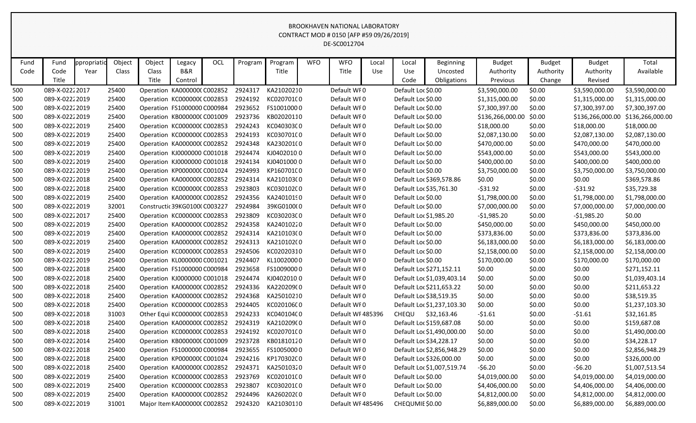| Fund | Fund           | ppropriatio | Object | Object | Legacy                        | OCL | Program | Program    | <b>WFO</b> | <b>WFO</b>        | Local      | Local              | <b>Beginning</b>           | <b>Budget</b>    | <b>Budget</b> | <b>Budget</b>    | Total            |
|------|----------------|-------------|--------|--------|-------------------------------|-----|---------|------------|------------|-------------------|------------|--------------------|----------------------------|------------------|---------------|------------------|------------------|
| Code | Code           | Year        | Class  | Class  | B&R                           |     |         | Title      |            | Title             | <b>Use</b> | Use                | Uncosted                   | Authority        | Authority     | Authority        | Available        |
|      | Title          |             |        | Title  | Control                       |     |         |            |            |                   |            | Code               | Obligations                | Previous         | Change        | Revised          |                  |
| 500  | 089-X-02222017 |             | 25400  |        | Operation KA000000C C002852   |     | 2924317 | KA21020210 |            | Default WF0       |            | Default Loc \$0.00 |                            | \$3,590,000.00   | \$0.00        | \$3,590,000.00   | \$3,590,000.00   |
| 500  | 089-X-02222019 |             | 25400  |        | Operation KC000000C C002853   |     | 2924192 | KC02070100 |            | Default WFO       |            | Default Loc \$0.00 |                            | \$1,315,000.00   | \$0.00        | \$1,315,000.00   | \$1,315,000.00   |
| 500  | 089-X-02222019 |             | 25400  |        | Operation FS1000000 C000984   |     | 2923652 | FS10010000 |            | Default WF0       |            | Default Loc \$0.00 |                            | \$7,300,397.00   | \$0.00        | \$7,300,397.00   | \$7,300,397.00   |
| 500  | 089-X-02222019 |             | 25400  |        | Operation KB000000C C001009   |     | 2923736 | KB02020110 |            | Default WF0       |            | Default Loc \$0.00 |                            | \$136,266,000.00 | \$0.00        | \$136,266,000.00 | \$136,266,000.00 |
| 500  | 089-X-02222019 |             | 25400  |        | Operation KC000000C C002853   |     | 2924243 | KC040303C0 |            | Default WF0       |            | Default Loc \$0.00 |                            | \$18,000.00      | \$0.00        | \$18,000.00      | \$18,000.00      |
| 500  | 089-X-02222019 |             | 25400  |        | Operation KC000000C C002853   |     | 2924193 | KC030701C0 |            | Default WF0       |            | Default Loc \$0.00 |                            | \$2,087,130.00   | \$0.00        | \$2,087,130.00   | \$2,087,130.00   |
| 500  | 089-X-02222019 |             | 25400  |        | Operation KA000000C C002852   |     | 2924348 | KA230201(0 |            | Default WFO       |            | Default Loc \$0.00 |                            | \$470,000.00     | \$0.00        | \$470,000.00     | \$470,000.00     |
| 500  | 089-X-02222019 |             | 25400  |        | Operation KJ0000000 C001018   |     | 2924474 | KJ04020100 |            | Default WFO       |            | Default Loc \$0.00 |                            | \$543,000.00     | \$0.00        | \$543,000.00     | \$543,000.00     |
| 500  | 089-X-02222019 |             | 25400  |        | Operation KJ0000000 C001018   |     | 2924134 | KJ04010000 |            | Default WF0       |            | Default Loc \$0.00 |                            | \$400,000.00     | \$0.00        | \$400,000.00     | \$400,000.00     |
| 500  | 089-X-02222019 |             | 25400  |        | Operation KP000000C C001024   |     | 2924993 | KP160701C0 |            | Default WFO       |            | Default Loc \$0.00 |                            | \$3,750,000.00   | \$0.00        | \$3,750,000.00   | \$3,750,000.00   |
| 500  | 089-X-02222018 |             | 25400  |        | Operation KA000000C C002852   |     | 2924314 | KA210103(0 |            | Default WF0       |            |                    | Default Loc \$369,578.86   | \$0.00           | \$0.00        | \$0.00           | \$369,578.86     |
| 500  | 089-X-02222018 |             | 25400  |        | Operation KC000000C C002853   |     | 2923803 | KC030102C0 |            | Default WF0       |            |                    | Default Loc \$35,761.30    | $-531.92$        | \$0.00        | $-531.92$        | \$35,729.38      |
| 500  | 089-X-02222019 |             | 25400  |        | Operation KA000000C C002852   |     | 2924356 | KA24010190 |            | Default WFO       |            | Default Loc \$0.00 |                            | \$1,798,000.00   | \$0.00        | \$1,798,000.00   | \$1,798,000.00   |
| 500  | 089-X-02222019 |             | 32001  |        | Constructic 39KG01000 C003227 |     | 2924984 | 39KG0100(0 |            | Default WFO       |            | Default Loc \$0.00 |                            | \$7,000,000.00   | \$0.00        | \$7,000,000.00   | \$7,000,000.00   |
| 500  | 089-X-02222017 |             | 25400  |        | Operation KC000000C C002853   |     | 2923809 | KC030203C0 |            | Default WFO       |            |                    | Default Loc \$1,985.20     | $-51,985.20$     | \$0.00        | $-$1,985.20$     | \$0.00           |
| 500  | 089-X-02222019 |             | 25400  |        | Operation KA000000C C002852   |     | 2924358 | KA24010220 |            | Default WF0       |            | Default Loc \$0.00 |                            | \$450,000.00     | \$0.00        | \$450,000.00     | \$450,000.00     |
| 500  | 089-X-02222019 |             | 25400  |        | Operation KA000000C C002852   |     | 2924314 | KA210103(0 |            | Default WF0       |            | Default Loc \$0.00 |                            | \$373,836.00     | \$0.00        | \$373,836.00     | \$373,836.00     |
| 500  | 089-X-02222019 |             | 25400  |        | Operation KA000000C C002852   |     | 2924313 | KA210102(0 |            | Default WFO       |            | Default Loc \$0.00 |                            | \$6,183,000.00   | \$0.00        | \$6,183,000.00   | \$6,183,000.00   |
| 500  | 089-X-02222019 |             | 25400  |        | Operation KC000000C C002853   |     | 2924506 | KC02020310 |            | Default WF0       |            | Default Loc \$0.00 |                            | \$2,158,000.00   | \$0.00        | \$2,158,000.00   | \$2,158,000.00   |
| 500  | 089-X-02222019 |             | 25400  |        | Operation KL0000000 C001021   |     | 2924407 | KL10020000 |            | Default WF0       |            | Default Loc \$0.00 |                            | \$170,000.00     | \$0.00        | \$170,000.00     | \$170,000.00     |
| 500  | 089-X-02222018 |             | 25400  |        | Operation FS1000000 C000984   |     | 2923658 | FS10090000 |            | Default WF0       |            |                    | Default Loc \$271,152.11   | \$0.00           | \$0.00        | \$0.00           | \$271,152.11     |
| 500  | 089-X-02222018 |             | 25400  |        | Operation KJ0000000 C001018   |     | 2924474 | KJ04020100 |            | Default WF0       |            |                    | Default Loc \$1,039,403.14 | \$0.00           | \$0.00        | \$0.00           | \$1,039,403.14   |
| 500  | 089-X-02222018 |             | 25400  |        | Operation KA000000C C002852   |     | 2924336 | KA220209(0 |            | Default WFO       |            |                    | Default Loc \$211,653.22   | \$0.00           | \$0.00        | \$0.00           | \$211,653.22     |
| 500  | 089-X-02222018 |             | 25400  |        | Operation KA000000C C002852   |     | 2924368 | KA25010210 |            | Default WF0       |            |                    | Default Loc \$38,519.35    | \$0.00           | \$0.00        | \$0.00           | \$38,519.35      |
| 500  | 089-X-02222018 |             | 25400  |        | Operation KC000000C C002853   |     | 2924405 | KC020106C0 |            | Default WF0       |            |                    | Default Loc \$1,237,103.30 | \$0.00           | \$0.00        | \$0.00           | \$1,237,103.30   |
| 500  | 089-X-02222018 |             | 31003  |        | Other Equi KC000000C C002853  |     | 2924233 | KC040104C0 |            | Default WF485396  |            | <b>CHEQU</b>       | \$32,163.46                | $-51.61$         | \$0.00        | $-51.61$         | \$32,161.85      |
| 500  | 089-X-02222018 |             | 25400  |        | Operation KA000000C C002852   |     | 2924319 | KA210209(0 |            | Default WFO       |            |                    | Default Loc \$159,687.08   | \$0.00           | \$0.00        | \$0.00           | \$159,687.08     |
| 500  | 089-X-02222018 |             | 25400  |        | Operation KC000000CC002853    |     | 2924192 | KC02070100 |            | Default WF0       |            |                    | Default Loc \$1,490,000.00 | \$0.00           | \$0.00        | \$0.00           | \$1,490,000.00   |
| 500  | 089-X-02222014 |             | 25400  |        | Operation KB000000C C001009   |     | 2923728 | KB01810120 |            | Default WFO       |            |                    | Default Loc \$34,228.17    | \$0.00           | \$0.00        | \$0.00           | \$34,228.17      |
| 500  | 089-X-02222018 |             | 25400  |        | Operation FS1000000 C000984   |     | 2923655 | FS10050000 |            | Default WF0       |            |                    | Default Loc \$2,856,948.29 | \$0.00           | \$0.00        | \$0.00           | \$2,856,948.29   |
| 500  | 089-X-02222018 |             | 25400  |        | Operation KP000000C C001024   |     | 2924216 | KP170302C0 |            | Default WFO       |            |                    | Default Loc \$326,000.00   | \$0.00           | \$0.00        | \$0.00           | \$326,000.00     |
| 500  | 089-X-02222018 |             | 25400  |        | Operation KA0000000 C002852   |     | 2924371 | KA25010320 |            | Default WFO       |            |                    | Default Loc \$1,007,519.74 | $-56.20$         | \$0.00        | $-56.20$         | \$1,007,513.54   |
| 500  | 089-X-02222019 |             | 25400  |        | Operation KC000000C C002853   |     | 2923769 | KC020101C0 |            | Default WFO       |            | Default Loc \$0.00 |                            | \$4,019,000.00   | \$0.00        | \$4,019,000.00   | \$4,019,000.00   |
| 500  | 089-X-02222019 |             | 25400  |        | Operation KC000000C C002853   |     | 2923807 | KC03020100 |            | Default WFO       |            | Default Loc \$0.00 |                            | \$4,406,000.00   | \$0.00        | \$4,406,000.00   | \$4,406,000.00   |
| 500  | 089-X-02222019 |             | 25400  |        | Operation KA0000000 C002852   |     | 2924496 | KA26020200 |            | Default WF0       |            | Default Loc \$0.00 |                            | \$4,812,000.00   | \$0.00        | \$4,812,000.00   | \$4,812,000.00   |
| 500  | 089-X-02222019 |             | 31001  |        | Major Item KA0000000 C002852  |     | 2924320 | KA21030110 |            | Default WF 485496 |            | CHEQUMIE \$0.00    |                            | \$6,889,000.00   | \$0.00        | \$6,889,000.00   | \$6,889,000.00   |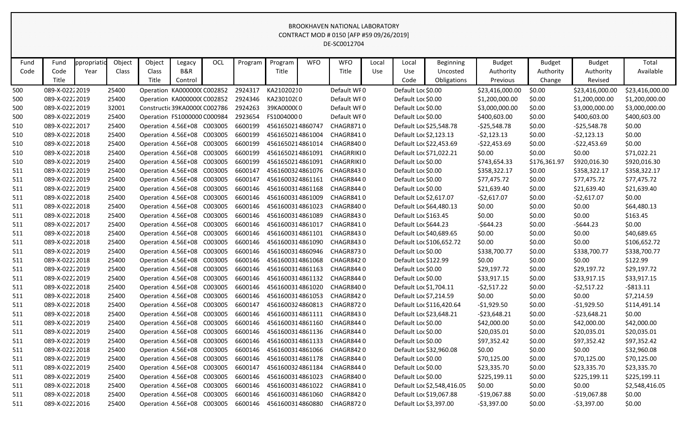| Fund | Fund           | ppropriatic | Object | Object                     | Legacy                        | OCL     | Program | Program          | <b>WFO</b> | <b>WFO</b>        | Local      | Local                  | Beginning                  | <b>Budget</b>   | <b>Budget</b> | <b>Budget</b>   | Total           |
|------|----------------|-------------|--------|----------------------------|-------------------------------|---------|---------|------------------|------------|-------------------|------------|------------------------|----------------------------|-----------------|---------------|-----------------|-----------------|
| Code | Code           | Year        | Class  | Class                      | <b>B&amp;R</b>                |         |         | Title            |            | Title             | <b>Use</b> | Use                    | Uncosted                   | Authority       | Authority     | Authority       | Available       |
|      | Title          |             |        | Title                      | Control                       |         |         |                  |            |                   |            | Code                   | Obligations                | Previous        | Change        | Revised         |                 |
| 500  | 089-X-02222019 |             | 25400  |                            | Operation KA0000000 C002852   |         | 2924317 | KA21020210       |            | Default WF0       |            | Default Loc \$0.00     |                            | \$23,416,000.00 | \$0.00        | \$23,416,000.00 | \$23,416,000.00 |
| 500  | 089-X-02222019 |             | 25400  |                            | Operation KA0000000 C002852   |         | 2924346 | KA230102(0       |            | Default WF0       |            | Default Loc \$0.00     |                            | \$1,200,000.00  | \$0.00        | \$1,200,000.00  | \$1,200,000.00  |
| 500  | 089-X-02222019 |             | 32001  |                            | Constructic 39KA0000C C002786 |         | 2924263 | 39KA000000       |            | Default WF0       |            | Default Loc \$0.00     |                            | \$3,000,000.00  | \$0.00        | \$3,000,000.00  | \$3,000,000.00  |
| 500  | 089-X-02222019 |             | 25400  |                            | Operation FS1000000 C000984   |         | 2923654 | FS10040000       |            | Default WF0       |            | Default Loc \$0.00     |                            | \$400,603.00    | \$0.00        | \$400,603.00    | \$400,603.00    |
| 510  | 089-X-02222017 |             | 25400  |                            | Operation 4.56E+08 C003005    |         | 6600199 | 4561650214860747 |            | CHAGR8710         |            |                        | Default Loc \$25,548.78    | $-525,548.78$   | \$0.00        | $-525,548.78$   | \$0.00          |
| 510  | 089-X-02222018 |             | 25400  |                            | Operation 4.56E+08            | C003005 | 6600199 | 4561650214861004 |            | CHAGR8410         |            | Default Loc \$2,123.13 |                            | $-52,123.13$    | \$0.00        | $-52,123.13$    | \$0.00          |
| 510  | 089-X-02222018 |             | 25400  |                            | Operation 4.56E+08            | C003005 | 6600199 | 4561650214861014 |            | CHAGR8400         |            |                        | Default Loc \$22,453.69    | $-$22,453.69$   | \$0.00        | $-522,453.69$   | \$0.00          |
| 510  | 089-X-02222018 |             | 25400  |                            | Operation 4.56E+08 C003005    |         | 6600199 | 4561650214861091 |            | <b>CHAGRRIKIO</b> |            |                        | Default Loc \$71,022.21    | \$0.00          | \$0.00        | \$0.00          | \$71,022.21     |
| 510  | 089-X-02222019 |             | 25400  |                            | Operation 4.56E+08            | C003005 | 6600199 | 4561650214861091 |            | <b>CHAGRRIKIO</b> |            | Default Loc \$0.00     |                            | \$743,654.33    | \$176,361.97  | \$920,016.30    | \$920,016.30    |
| 511  | 089-X-02222019 |             | 25400  |                            | Operation 4.56E+08            | C003005 | 6600147 | 4561600324861076 |            | CHAGR8430         |            | Default Loc \$0.00     |                            | \$358,322.17    | \$0.00        | \$358,322.17    | \$358,322.17    |
| 511  | 089-X-02222019 |             | 25400  |                            | Operation 4.56E+08            | C003005 | 6600147 | 4561600324861161 |            | CHAGR8440         |            | Default Loc \$0.00     |                            | \$77,475.72     | \$0.00        | \$77,475.72     | \$77,475.72     |
| 511  | 089-X-02222019 |             | 25400  | Operation 4.56E+08         |                               | C003005 | 6600146 | 4561600314861168 |            | CHAGR8440         |            | Default Loc \$0.00     |                            | \$21,639.40     | \$0.00        | \$21,639.40     | \$21,639.40     |
| 511  | 089-X-02222018 |             | 25400  |                            | Operation 4.56E+08 C003005    |         | 6600146 | 4561600314861009 |            | CHAGR8410         |            | Default Loc \$2,617.07 |                            | $-52,617.07$    | \$0.00        | $-52,617.07$    | \$0.00          |
| 511  | 089-X-02222018 |             | 25400  |                            | Operation 4.56E+08            | C003005 | 6600146 | 4561600314861023 |            | CHAGR8400         |            |                        | Default Loc \$64,480.13    | \$0.00          | \$0.00        | \$0.00          | \$64,480.13     |
| 511  | 089-X-02222018 |             | 25400  |                            | Operation 4.56E+08 C003005    |         | 6600146 | 4561600314861089 |            | CHAGR8430         |            | Default Loc \$163.45   |                            | \$0.00          | \$0.00        | \$0.00          | \$163.45        |
| 511  | 089-X-02222017 |             | 25400  |                            | Operation 4.56E+08 C003005    |         | 6600146 | 4561600314861017 |            | CHAGR8410         |            | Default Loc \$644.23   |                            | $-$ \$644.23    | \$0.00        | $-$644.23$      | \$0.00          |
| 511  | 089-X-02222018 |             | 25400  |                            | Operation 4.56E+08            | C003005 | 6600146 | 4561600314861101 |            | CHAGR8430         |            |                        | Default Loc \$40,689.65    | \$0.00          | \$0.00        | \$0.00          | \$40,689.65     |
| 511  | 089-X-02222018 |             | 25400  |                            | Operation 4.56E+08 C003005    |         | 6600146 | 4561600314861090 |            | CHAGR8430         |            |                        | Default Loc \$106,652.72   | \$0.00          | \$0.00        | \$0.00          | \$106,652.72    |
| 511  | 089-X-02222019 |             | 25400  |                            | Operation 4.56E+08            | C003005 | 6600146 | 4561600314860946 |            | CHAGR8730         |            | Default Loc \$0.00     |                            | \$338,700.77    | \$0.00        | \$338,700.77    | \$338,700.77    |
| 511  | 089-X-02222018 |             | 25400  |                            | Operation 4.56E+08            | C003005 | 6600146 | 4561600314861068 |            | CHAGR8420         |            | Default Loc \$122.99   |                            | \$0.00          | \$0.00        | \$0.00          | \$122.99        |
| 511  | 089-X-02222019 |             | 25400  |                            | Operation 4.56E+08 C003005    |         | 6600146 | 4561600314861163 |            | CHAGR8440         |            | Default Loc \$0.00     |                            | \$29,197.72     | \$0.00        | \$29,197.72     | \$29,197.72     |
| 511  | 089-X-02222019 |             | 25400  |                            | Operation 4.56E+08            | C003005 | 6600146 | 4561600314861132 |            | CHAGR8440         |            | Default Loc \$0.00     |                            | \$33,917.15     | \$0.00        | \$33,917.15     | \$33,917.15     |
| 511  | 089-X-02222018 |             | 25400  |                            | Operation 4.56E+08            | C003005 | 6600146 | 4561600314861020 |            | CHAGR8400         |            | Default Loc \$1,704.11 |                            | $-52,517.22$    | \$0.00        | $-52,517.22$    | $-5813.11$      |
| 511  | 089-X-02222018 |             | 25400  |                            | Operation 4.56E+08            | C003005 | 6600146 | 4561600314861053 |            | CHAGR8420         |            | Default Loc \$7,214.59 |                            | \$0.00          | \$0.00        | \$0.00          | \$7,214.59      |
| 511  | 089-X-02222018 |             | 25400  |                            | Operation 4.56E+08            | C003005 | 6600147 | 4561600324860813 |            | CHAGR8720         |            |                        | Default Loc \$116,420.64   | $-$1,929.50$    | \$0.00        | $-$1,929.50$    | \$114,491.14    |
| 511  | 089-X-02222018 |             | 25400  |                            | Operation 4.56E+08            | C003005 | 6600146 | 4561600314861111 |            | CHAGR8430         |            |                        | Default Loc \$23,648.21    | $-523,648.21$   | \$0.00        | $-523,648.21$   | \$0.00          |
| 511  | 089-X-02222019 |             | 25400  | Operation 4.56E+08         |                               | C003005 | 6600146 | 4561600314861160 |            | CHAGR8440         |            | Default Loc \$0.00     |                            | \$42,000.00     | \$0.00        | \$42,000.00     | \$42,000.00     |
| 511  | 089-X-02222019 |             | 25400  |                            | Operation 4.56E+08            | C003005 | 6600146 | 4561600314861136 |            | CHAGR8440         |            | Default Loc \$0.00     |                            | \$20,035.01     | \$0.00        | \$20,035.01     | \$20,035.01     |
| 511  | 089-X-02222019 |             | 25400  |                            | Operation 4.56E+08 C003005    |         | 6600146 | 4561600314861133 |            | CHAGR8440         |            | Default Loc \$0.00     |                            | \$97,352.42     | \$0.00        | \$97,352.42     | \$97,352.42     |
| 511  | 089-X-02222018 |             | 25400  | Operation 4.56E+08 C003005 |                               |         | 6600146 | 4561600314861066 |            | CHAGR8420         |            |                        | Default Loc \$32,960.08    | \$0.00          | \$0.00        | \$0.00          | \$32,960.08     |
| 511  | 089-X-02222019 |             | 25400  |                            | Operation 4.56E+08 C003005    |         | 6600146 | 4561600314861178 |            | CHAGR8440         |            | Default Loc \$0.00     |                            | \$70,125.00     | \$0.00        | \$70,125.00     | \$70,125.00     |
| 511  | 089-X-02222019 |             | 25400  |                            | Operation 4.56E+08 C003005    |         | 6600147 | 4561600324861184 |            | CHAGR8440         |            | Default Loc \$0.00     |                            | \$23,335.70     | \$0.00        | \$23,335.70     | \$23,335.70     |
| 511  | 089-X-02222019 |             | 25400  | Operation 4.56E+08 C003005 |                               |         | 6600146 | 4561600314861023 |            | CHAGR8400         |            | Default Loc \$0.00     |                            | \$225,199.11    | \$0.00        | \$225,199.11    | \$225,199.11    |
| 511  | 089-X-02222018 |             | 25400  |                            | Operation 4.56E+08 C003005    |         | 6600146 | 4561600314861022 |            | CHAGR8410         |            |                        | Default Loc \$2,548,416.05 | \$0.00          | \$0.00        | \$0.00          | \$2,548,416.05  |
| 511  | 089-X-02222018 |             | 25400  |                            | Operation 4.56E+08 C003005    |         | 6600146 | 4561600314861060 |            | CHAGR8420         |            |                        | Default Loc \$19,067.88    | $-$19,067.88$   | \$0.00        | $-$19,067.88$   | \$0.00          |
| 511  | 089-X-02222016 |             | 25400  |                            | Operation 4.56E+08 C003005    |         | 6600146 | 4561600314860880 |            | CHAGR8720         |            | Default Loc \$3,397.00 |                            | $-53,397.00$    | \$0.00        | $-$ \$3,397.00  | \$0.00          |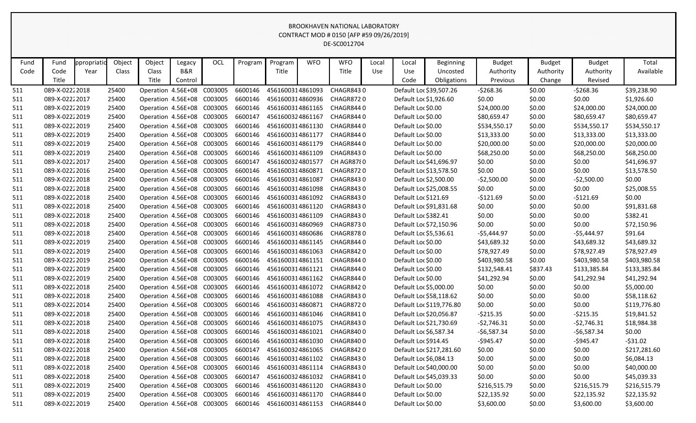| Fund | Fund           | ppropriatio | Object | Object                     | Legacy                     | OCL                        | Program | Program          | <b>WFO</b> | <b>WFO</b>                 | Local      | Local                | <b>Beginning</b>         | <b>Budget</b> | <b>Budget</b> | <b>Budget</b> | Total        |
|------|----------------|-------------|--------|----------------------------|----------------------------|----------------------------|---------|------------------|------------|----------------------------|------------|----------------------|--------------------------|---------------|---------------|---------------|--------------|
| Code | Code           | Year        | Class  | Class                      | <b>B&amp;R</b>             |                            |         | Title            |            | Title                      | <b>Use</b> | Use                  | Uncosted                 | Authority     | Authority     | Authority     | Available    |
|      | Title          |             |        | Title                      | Control                    |                            |         |                  |            |                            |            | Code                 | Obligations              | Previous      | Change        | Revised       |              |
| 511  | 089-X-02222018 |             | 25400  | Operation 4.56E+08         |                            | C003005                    | 6600146 | 4561600314861093 |            | <b>CHAGR8430</b>           |            |                      | Default Loc \$39,507.26  | $-5268.36$    | \$0.00        | $-5268.36$    | \$39,238.90  |
| 511  | 089-X-02222017 |             | 25400  | Operation 4.56E+08 C003005 |                            |                            | 6600146 | 4561600314860936 |            | CHAGR8720                  |            |                      | Default Loc \$1,926.60   | \$0.00        | \$0.00        | \$0.00        | \$1,926.60   |
| 511  | 089-X-02222019 |             | 25400  | Operation 4.56E+08 C003005 |                            |                            | 6600146 | 4561600314861165 |            | CHAGR8440                  |            | Default Loc \$0.00   |                          | \$24,000.00   | \$0.00        | \$24,000.00   | \$24,000.00  |
| 511  | 089-X-02222019 |             | 25400  | Operation 4.56E+08 C003005 |                            |                            | 6600147 | 4561600324861167 |            | CHAGR8440                  |            | Default Loc \$0.00   |                          | \$80,659.47   | \$0.00        | \$80,659.47   | \$80,659.47  |
| 511  | 089-X-02222019 |             | 25400  | Operation 4.56E+08 C003005 |                            |                            | 6600146 |                  |            | 4561600314861130 CHAGR8440 |            | Default Loc \$0.00   |                          | \$534,550.17  | \$0.00        | \$534,550.17  | \$534,550.17 |
| 511  | 089-X-02222019 |             | 25400  | Operation 4.56E+08 C003005 |                            |                            | 6600146 | 4561600314861177 |            | CHAGR8440                  |            | Default Loc \$0.00   |                          | \$13,333.00   | \$0.00        | \$13,333.00   | \$13,333.00  |
| 511  | 089-X-02222019 |             | 25400  | Operation 4.56E+08 C003005 |                            |                            | 6600146 | 4561600314861179 |            | CHAGR844 0                 |            | Default Loc \$0.00   |                          | \$20,000.00   | \$0.00        | \$20,000.00   | \$20,000.00  |
| 511  | 089-X-02222019 |             | 25400  |                            | Operation 4.56E+08 C003005 |                            | 6600146 | 4561600314861109 |            | CHAGR8430                  |            | Default Loc \$0.00   |                          | \$68,250.00   | \$0.00        | \$68,250.00   | \$68,250.00  |
| 511  | 089-X-02222017 |             | 25400  | Operation 4.56E+08 C003005 |                            |                            | 6600147 | 4561600324801577 |            | CH AGR8780                 |            |                      | Default Loc \$41,696.97  | \$0.00        | \$0.00        | \$0.00        | \$41,696.97  |
| 511  | 089-X-02222016 |             | 25400  | Operation 4.56E+08 C003005 |                            |                            | 6600146 | 4561600314860871 |            | CHAGR8720                  |            |                      | Default Loc \$13,578.50  | \$0.00        | \$0.00        | \$0.00        | \$13,578.50  |
| 511  | 089-X-02222018 |             | 25400  | Operation 4.56E+08 C003005 |                            |                            | 6600146 | 4561600314861087 |            | CHAGR8430                  |            |                      | Default Loc \$2,500.00   | $-52,500.00$  | \$0.00        | $-52,500.00$  | \$0.00       |
| 511  | 089-X-02222018 |             | 25400  | Operation 4.56E+08 C003005 |                            |                            | 6600146 | 4561600314861098 |            | CHAGR8430                  |            |                      | Default Loc \$25,008.55  | \$0.00        | \$0.00        | \$0.00        | \$25,008.55  |
| 511  | 089-X-02222018 |             | 25400  |                            | Operation 4.56E+08 C003005 |                            | 6600146 | 4561600314861092 |            | CHAGR8430                  |            | Default Loc \$121.69 |                          | $-5121.69$    | \$0.00        | $-5121.69$    | \$0.00       |
| 511  | 089-X-02222018 |             | 25400  | Operation 4.56E+08 C003005 |                            |                            | 6600146 | 4561600314861120 |            | CHAGR8430                  |            |                      | Default Loc \$91,831.68  | \$0.00        | \$0.00        | \$0.00        | \$91,831.68  |
| 511  | 089-X-02222018 |             | 25400  | Operation 4.56E+08 C003005 |                            |                            | 6600146 | 4561600314861109 |            | CHAGR8430                  |            | Default Loc \$382.41 |                          | \$0.00        | \$0.00        | \$0.00        | \$382.41     |
| 511  | 089-X-02222018 |             | 25400  |                            | Operation 4.56E+08 C003005 |                            | 6600146 | 4561600314860969 |            | <b>CHAGR8730</b>           |            |                      | Default Loc \$72,150.96  | \$0.00        | \$0.00        | \$0.00        | \$72,150.96  |
| 511  | 089-X-02222018 |             | 25400  | Operation 4.56E+08 C003005 |                            |                            | 6600146 | 4561600314860686 |            | CHAGR8780                  |            |                      | Default Loc \$5,536.61   | $-55,444.97$  | \$0.00        | -\$5,444.97   | \$91.64      |
| 511  | 089-X-02222019 |             | 25400  |                            | Operation 4.56E+08 C003005 |                            | 6600146 | 4561600314861145 |            | CHAGR8440                  |            | Default Loc \$0.00   |                          | \$43,689.32   | \$0.00        | \$43,689.32   | \$43,689.32  |
| 511  | 089-X-02222019 |             | 25400  |                            | Operation 4.56E+08 C003005 |                            | 6600146 | 4561600314861063 |            | CHAGR8420                  |            | Default Loc \$0.00   |                          | \$78,927.49   | \$0.00        | \$78,927.49   | \$78,927.49  |
| 511  | 089-X-02222019 |             | 25400  | Operation 4.56E+08 C003005 |                            |                            | 6600146 | 4561600314861151 |            | CHAGR8440                  |            | Default Loc \$0.00   |                          | \$403,980.58  | \$0.00        | \$403,980.58  | \$403,980.58 |
| 511  | 089-X-02222019 |             | 25400  |                            | Operation 4.56E+08 C003005 |                            | 6600146 | 4561600314861121 |            | CHAGR8440                  |            | Default Loc \$0.00   |                          | \$132,548.41  | \$837.43      | \$133,385.84  | \$133,385.84 |
| 511  | 089-X-02222019 |             | 25400  | Operation 4.56E+08 C003005 |                            |                            | 6600146 | 4561600314861162 |            | CHAGR8440                  |            | Default Loc \$0.00   |                          | \$41,292.94   | \$0.00        | \$41,292.94   | \$41,292.94  |
| 511  | 089-X-02222018 |             | 25400  | Operation 4.56E+08 C003005 |                            |                            | 6600146 | 4561600314861072 |            | CHAGR842 0                 |            |                      | Default Loc \$5,000.00   | \$0.00        | \$0.00        | \$0.00        | \$5,000.00   |
| 511  | 089-X-02222018 |             | 25400  |                            | Operation 4.56E+08 C003005 |                            | 6600146 | 4561600314861088 |            | CHAGR8430                  |            |                      | Default Loc \$58,118.62  | \$0.00        | \$0.00        | \$0.00        | \$58,118.62  |
| 511  | 089-X-02222014 |             | 25400  | Operation 4.56E+08 C003005 |                            |                            | 6600146 |                  |            | 4561600314860871 CHAGR8720 |            |                      | Default Loc \$119,776.80 | \$0.00        | \$0.00        | \$0.00        | \$119,776.80 |
| 511  | 089-X-02222018 |             | 25400  | Operation 4.56E+08 C003005 |                            |                            | 6600146 | 4561600314861046 |            | CHAGR8410                  |            |                      | Default Loc \$20,056.87  | $-5215.35$    | \$0.00        | $-5215.35$    | \$19,841.52  |
| 511  | 089-X-02222018 |             | 25400  | Operation 4.56E+08 C003005 |                            |                            | 6600146 |                  |            | 4561600314861075 CHAGR8430 |            |                      | Default Loc \$21,730.69  | $-52,746.31$  | \$0.00        | $-52,746.31$  | \$18,984.38  |
| 511  | 089-X-02222018 |             | 25400  |                            | Operation 4.56E+08 C003005 |                            | 6600146 |                  |            | 4561600314861021 CHAGR8400 |            |                      | Default Loc \$6,587.34   | $-56,587.34$  | \$0.00        | $-56,587.34$  | \$0.00       |
| 511  | 089-X-02222018 |             | 25400  | Operation 4.56E+08 C003005 |                            |                            | 6600146 | 4561600314861030 |            | CHAGR8400                  |            | Default Loc \$914.45 |                          | $-$945.47$    | \$0.00        | $-5945.47$    | $-531.02$    |
| 511  | 089-X-02222018 |             | 25400  | Operation 4.56E+08 C003005 |                            |                            | 6600147 | 4561600324861065 |            | CHAGR8420                  |            |                      | Default Loc \$217,281.60 | \$0.00        | \$0.00        | \$0.00        | \$217,281.60 |
| 511  | 089-X-02222018 |             | 25400  | Operation 4.56E+08 C003005 |                            |                            | 6600146 |                  |            | 4561600314861102 CHAGR8430 |            |                      | Default Loc \$6,084.13   | \$0.00        | \$0.00        | \$0.00        | \$6,084.13   |
| 511  | 089-X-02222018 |             | 25400  | Operation 4.56E+08 C003005 |                            |                            | 6600146 |                  |            | 4561600314861114 CHAGR8430 |            |                      | Default Loc \$40,000.00  | \$0.00        | \$0.00        | \$0.00        | \$40,000.00  |
| 511  | 089-X-02222018 |             | 25400  | Operation 4.56E+08 C003005 |                            |                            | 6600147 | 4561600324861032 |            | CHAGR8410                  |            |                      | Default Loc \$45,039.33  | \$0.00        | \$0.00        | \$0.00        | \$45,039.33  |
| 511  | 089-X-02222019 |             | 25400  | Operation 4.56E+08 C003005 |                            |                            | 6600146 | 4561600314861120 |            | CHAGR8430                  |            | Default Loc \$0.00   |                          | \$216,515.79  | \$0.00        | \$216,515.79  | \$216,515.79 |
| 511  | 089-X-02222019 |             | 25400  | Operation 4.56E+08 C003005 |                            |                            | 6600146 |                  |            | 4561600314861170 CHAGR8440 |            | Default Loc \$0.00   |                          | \$22,135.92   | \$0.00        | \$22,135.92   | \$22,135.92  |
| 511  | 089-X-02222019 |             | 25400  |                            |                            | Operation 4.56E+08 C003005 | 6600146 |                  |            | 4561600314861153 CHAGR8440 |            | Default Loc \$0.00   |                          | \$3,600.00    | \$0.00        | \$3,600.00    | \$3,600.00   |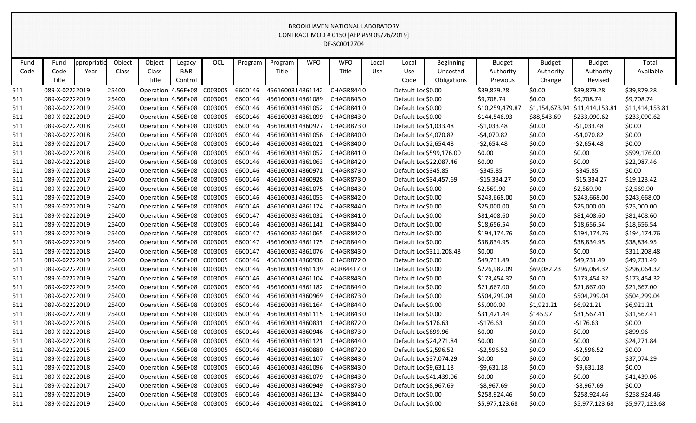| Fund | Fund           | ppropriatio | Object | Object                     | Legacy         | <b>OCL</b> | Program | Program          | <b>WFO</b> | <b>WFO</b>                 | Local | Local                  | <b>Beginning</b>         | <b>Budget</b>   | <b>Budget</b>  | <b>Budget</b>   | Total           |
|------|----------------|-------------|--------|----------------------------|----------------|------------|---------|------------------|------------|----------------------------|-------|------------------------|--------------------------|-----------------|----------------|-----------------|-----------------|
| Code | Code           | Year        | Class  | Class                      | <b>B&amp;R</b> |            |         | Title            |            | Title                      | Use   | Use                    | Uncosted                 | Authority       | Authority      | Authority       | Available       |
|      | Title          |             |        | Title                      | Control        |            |         |                  |            |                            |       | Code                   | Obligations              | Previous        | Change         | Revised         |                 |
| 511  | 089-X-02222019 |             | 25400  | Operation 4.56E+08         |                | C003005    | 6600146 | 4561600314861142 |            | CHAGR8440                  |       | Default Loc \$0.00     |                          | \$39,879.28     | \$0.00         | \$39,879.28     | \$39,879.28     |
| 511  | 089-X-02222019 |             | 25400  | Operation 4.56E+08         |                | C003005    | 6600146 | 4561600314861089 |            | CHAGR8430                  |       | Default Loc \$0.00     |                          | \$9,708.74      | \$0.00         | \$9,708.74      | \$9,708.74      |
| 511  | 089-X-02222019 |             | 25400  | Operation 4.56E+08         |                | C003005    | 6600146 | 4561600314861052 |            | CHAGR8410                  |       | Default Loc \$0.00     |                          | \$10,259,479.87 | \$1,154,673.94 | \$11,414,153.81 | \$11,414,153.81 |
| 511  | 089-X-02222019 |             | 25400  | Operation 4.56E+08         |                | C003005    | 6600146 | 4561600314861099 |            | CHAGR8430                  |       | Default Loc \$0.00     |                          | \$144,546.93    | \$88,543.69    | \$233,090.62    | \$233,090.62    |
| 511  | 089-X-02222018 |             | 25400  | Operation 4.56E+08 C003005 |                |            | 6600146 | 4561600314860977 |            | CHAGR8730                  |       | Default Loc \$1,033.48 |                          | $-$1,033.48$    | \$0.00         | $-$1,033.48$    | \$0.00          |
| 511  | 089-X-02222018 |             | 25400  | Operation 4.56E+08 C003005 |                |            | 6600146 | 4561600314861056 |            | CHAGR8400                  |       | Default Loc \$4,070.82 |                          | $-$4,070.82$    | \$0.00         | $-$4,070.82$    | \$0.00          |
| 511  | 089-X-02222017 |             | 25400  | Operation 4.56E+08         |                | C003005    | 6600146 | 4561600314861021 |            | CHAGR8400                  |       | Default Loc \$2,654.48 |                          | $-52,654.48$    | \$0.00         | $-52,654.48$    | \$0.00          |
| 511  | 089-X-02222018 |             | 25400  | Operation 4.56E+08         |                | C003005    | 6600146 | 4561600314861052 |            | CHAGR8410                  |       |                        | Default Loc \$599,176.00 | \$0.00          | \$0.00         | \$0.00          | \$599,176.00    |
| 511  | 089-X-02222018 |             | 25400  | Operation 4.56E+08         |                | C003005    | 6600146 | 4561600314861063 |            | CHAGR8420                  |       |                        | Default Loc \$22,087.46  | \$0.00          | \$0.00         | \$0.00          | \$22,087.46     |
| 511  | 089-X-02222018 |             | 25400  | Operation 4.56E+08         |                | C003005    | 6600146 | 4561600314860971 |            | CHAGR8730                  |       | Default Loc \$345.85   |                          | $-5345.85$      | \$0.00         | $-5345.85$      | \$0.00          |
| 511  | 089-X-02222017 |             | 25400  | Operation 4.56E+08 C003005 |                |            | 6600146 | 4561600314860928 |            | CHAGR8730                  |       |                        | Default Loc \$34,457.69  | $-$15,334.27$   | \$0.00         | $-$15,334.27$   | \$19,123.42     |
| 511  | 089-X-02222019 |             | 25400  | Operation 4.56E+08         |                | C003005    | 6600146 | 4561600314861075 |            | CHAGR8430                  |       | Default Loc \$0.00     |                          | \$2,569.90      | \$0.00         | \$2,569.90      | \$2,569.90      |
| 511  | 089-X-02222019 |             | 25400  | Operation 4.56E+08 C003005 |                |            | 6600146 | 4561600314861053 |            | CHAGR8420                  |       | Default Loc \$0.00     |                          | \$243,668.00    | \$0.00         | \$243,668.00    | \$243,668.00    |
| 511  | 089-X-02222019 |             | 25400  | Operation 4.56E+08 C003005 |                |            | 6600146 | 4561600314861174 |            | CHAGR8440                  |       | Default Loc \$0.00     |                          | \$25,000.00     | \$0.00         | \$25,000.00     | \$25,000.00     |
| 511  | 089-X-02222019 |             | 25400  | Operation 4.56E+08 C003005 |                |            | 6600147 | 4561600324861032 |            | CHAGR8410                  |       | Default Loc \$0.00     |                          | \$81,408.60     | \$0.00         | \$81,408.60     | \$81,408.60     |
| 511  | 089-X-02222019 |             | 25400  | Operation 4.56E+08 C003005 |                |            | 6600146 | 4561600314861141 |            | CHAGR8440                  |       | Default Loc \$0.00     |                          | \$18,656.54     | \$0.00         | \$18,656.54     | \$18,656.54     |
| 511  | 089-X-02222019 |             | 25400  | Operation 4.56E+08         |                | C003005    | 6600147 | 4561600324861065 |            | CHAGR8420                  |       | Default Loc \$0.00     |                          | \$194,174.76    | \$0.00         | \$194,174.76    | \$194,174.76    |
| 511  | 089-X-02222019 |             | 25400  | Operation 4.56E+08         |                | C003005    | 6600147 | 4561600324861175 |            | CHAGR8440                  |       | Default Loc \$0.00     |                          | \$38,834.95     | \$0.00         | \$38,834.95     | \$38,834.95     |
| 511  | 089-X-02222018 |             | 25400  | Operation 4.56E+08 C003005 |                |            | 6600147 | 4561600324861076 |            | CHAGR8430                  |       |                        | Default Loc \$311,208.48 | \$0.00          | \$0.00         | \$0.00          | \$311,208.48    |
| 511  | 089-X-02222019 |             | 25400  | Operation 4.56E+08         |                | C003005    | 6600146 | 4561600314860936 |            | <b>CHAGR8720</b>           |       | Default Loc \$0.00     |                          | \$49,731.49     | \$0.00         | \$49,731.49     | \$49,731.49     |
| 511  | 089-X-02222019 |             | 25400  | Operation 4.56E+08 C003005 |                |            | 6600146 | 4561600314861139 |            | AGR844170                  |       | Default Loc \$0.00     |                          | \$226,982.09    | \$69,082.23    | \$296,064.32    | \$296,064.32    |
| 511  | 089-X-02222019 |             | 25400  | Operation 4.56E+08 C003005 |                |            | 6600146 | 4561600314861104 |            | CHAGR8430                  |       | Default Loc \$0.00     |                          | \$173,454.32    | \$0.00         | \$173,454.32    | \$173,454.32    |
| 511  | 089-X-02222019 |             | 25400  | Operation 4.56E+08         |                | C003005    | 6600146 | 4561600314861182 |            | CHAGR8440                  |       | Default Loc \$0.00     |                          | \$21,667.00     | \$0.00         | \$21,667.00     | \$21,667.00     |
| 511  | 089-X-02222019 |             | 25400  | Operation 4.56E+08         |                | C003005    | 6600146 | 4561600314860969 |            | CHAGR8730                  |       | Default Loc \$0.00     |                          | \$504,299.04    | \$0.00         | \$504,299.04    | \$504,299.04    |
| 511  | 089-X-02222019 |             | 25400  | Operation 4.56E+08         |                | C003005    | 6600146 | 4561600314861164 |            | CHAGR8440                  |       | Default Loc \$0.00     |                          | \$5,000.00      | \$1,921.21     | \$6,921.21      | \$6,921.21      |
| 511  | 089-X-02222019 |             | 25400  | Operation 4.56E+08         |                | C003005    | 6600146 | 4561600314861115 |            | CHAGR8430                  |       | Default Loc \$0.00     |                          | \$31,421.44     | \$145.97       | \$31,567.41     | \$31,567.41     |
| 511  | 089-X-02222016 |             | 25400  | Operation 4.56E+08 C003005 |                |            | 6600146 | 4561600314860831 |            | CHAGR8720                  |       | Default Loc \$176.63   |                          | $-5176.63$      | \$0.00         | $-5176.63$      | \$0.00          |
| 511  | 089-X-02222018 |             | 25400  | Operation 4.56E+08         |                | C003005    | 6600146 | 4561600314860946 |            | CHAGR8730                  |       | Default Loc \$899.96   |                          | \$0.00          | \$0.00         | \$0.00          | \$899.96        |
| 511  | 089-X-02222018 |             | 25400  | Operation 4.56E+08 C003005 |                |            | 6600146 | 4561600314861121 |            | CHAGR8440                  |       |                        | Default Loc \$24,271.84  | \$0.00          | \$0.00         | \$0.00          | \$24,271.84     |
| 511  | 089-X-02222015 |             | 25400  | Operation 4.56E+08 C003005 |                |            | 6600146 | 4561600314860880 |            | CHAGR8720                  |       |                        | Default Loc \$2,596.52   | $-52,596.52$    | \$0.00         | $-52,596.52$    | \$0.00          |
| 511  | 089-X-02222018 |             | 25400  | Operation 4.56E+08 C003005 |                |            | 6600146 | 4561600314861107 |            | CHAGR8430                  |       |                        | Default Loc \$37,074.29  | \$0.00          | \$0.00         | \$0.00          | \$37,074.29     |
| 511  | 089-X-02222018 |             | 25400  | Operation 4.56E+08 C003005 |                |            | 6600146 |                  |            | 4561600314861096 CHAGR8430 |       |                        | Default Loc \$9,631.18   | $-59,631.18$    | \$0.00         | $-59,631.18$    | \$0.00          |
| 511  | 089-X-02222018 |             | 25400  | Operation 4.56E+08 C003005 |                |            | 6600146 | 4561600314861079 |            | CHAGR8430                  |       |                        | Default Loc \$41,439.06  | \$0.00          | \$0.00         | \$0.00          | \$41,439.06     |
| 511  | 089-X-02222017 |             | 25400  | Operation 4.56E+08 C003005 |                |            | 6600146 | 4561600314860949 |            | CHAGR8730                  |       | Default Loc \$8,967.69 |                          | $-58,967.69$    | \$0.00         | $-$ \$8,967.69  | \$0.00          |
| 511  | 089-X-02222019 |             | 25400  | Operation 4.56E+08 C003005 |                |            | 6600146 | 4561600314861134 |            | CHAGR8440                  |       | Default Loc \$0.00     |                          | \$258,924.46    | \$0.00         | \$258,924.46    | \$258,924.46    |
| 511  | 089-X-02222019 |             | 25400  | Operation 4.56E+08 C003005 |                |            | 6600146 |                  |            | 4561600314861022 CHAGR8410 |       | Default Loc \$0.00     |                          | \$5,977,123.68  | \$0.00         | \$5,977,123.68  | \$5,977,123.68  |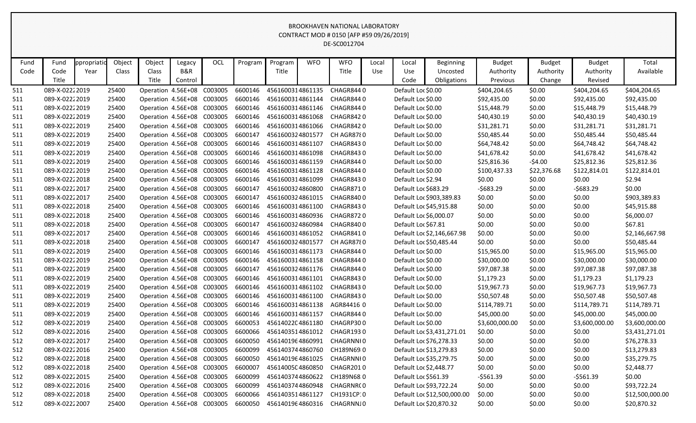| Fund | Fund           | opropriatio | Object | Object | Legacy                     | OCL                        | Program | Program          | <b>WFO</b> | <b>WFO</b>                 | Local | Local                | Beginning                   | <b>Budget</b>  | <b>Budget</b> | <b>Budget</b>  | Total           |
|------|----------------|-------------|--------|--------|----------------------------|----------------------------|---------|------------------|------------|----------------------------|-------|----------------------|-----------------------------|----------------|---------------|----------------|-----------------|
| Code | Code           | Year        | Class  | Class  | <b>B&amp;R</b>             |                            |         | Title            |            | Title                      | Use   | Use                  | Uncosted                    | Authority      | Authority     | Authority      | Available       |
|      | Title          |             |        | Title  | Control                    |                            |         |                  |            |                            |       | Code                 | Obligations                 | Previous       | Change        | Revised        |                 |
| -511 | 089-X-02222019 |             | 25400  |        | Operation 4.56E+08         | C003005                    | 6600146 | 4561600314861135 |            | CHAGR8440                  |       | Default Loc \$0.00   |                             | \$404,204.65   | \$0.00        | \$404,204.65   | \$404,204.65    |
| 511  | 089-X-02222019 |             | 25400  |        | Operation 4.56E+08 C003005 |                            | 6600146 |                  |            | 4561600314861144 CHAGR8440 |       | Default Loc \$0.00   |                             | \$92,435.00    | \$0.00        | \$92,435.00    | \$92,435.00     |
| 511  | 089-X-02222019 |             | 25400  |        | Operation 4.56E+08 C003005 |                            | 6600146 | 4561600314861146 |            | CHAGR8440                  |       | Default Loc \$0.00   |                             | \$15,448.79    | \$0.00        | \$15,448.79    | \$15,448.79     |
| 511  | 089-X-02222019 |             | 25400  |        | Operation 4.56E+08 C003005 |                            | 6600146 | 4561600314861068 |            | CHAGR8420                  |       | Default Loc \$0.00   |                             | \$40,430.19    | \$0.00        | \$40,430.19    | \$40,430.19     |
| 511  | 089-X-02222019 |             | 25400  |        | Operation 4.56E+08 C003005 |                            | 6600146 | 4561600314861066 |            | CHAGR8420                  |       | Default Loc \$0.00   |                             | \$31,281.71    | \$0.00        | \$31,281.71    | \$31,281.71     |
| 511  | 089-X-02222019 |             | 25400  |        | Operation 4.56E+08         | C003005                    | 6600147 | 4561600324801577 |            | CH AGR8780                 |       | Default Loc \$0.00   |                             | \$50,485.44    | \$0.00        | \$50,485.44    | \$50,485.44     |
| 511  | 089-X-02222019 |             | 25400  |        | Operation 4.56E+08 C003005 |                            | 6600146 | 4561600314861107 |            | CHAGR8430                  |       | Default Loc \$0.00   |                             | \$64,748.42    | \$0.00        | \$64,748.42    | \$64,748.42     |
| 511  | 089-X-02222019 |             | 25400  |        | Operation 4.56E+08         | C003005                    | 6600146 | 4561600314861098 |            | CHAGR8430                  |       | Default Loc \$0.00   |                             | \$41,678.42    | \$0.00        | \$41,678.42    | \$41,678.42     |
| 511  | 089-X-02222019 |             | 25400  |        | Operation 4.56E+08 C003005 |                            | 6600146 | 4561600314861159 |            | CHAGR8440                  |       | Default Loc \$0.00   |                             | \$25,816.36    | $-54.00$      | \$25,812.36    | \$25,812.36     |
| 511  | 089-X-02222019 |             | 25400  |        | Operation 4.56E+08 C003005 |                            | 6600146 | 4561600314861128 |            | CHAGR8440                  |       | Default Loc \$0.00   |                             | \$100,437.33   | \$22,376.68   | \$122,814.01   | \$122,814.01    |
| 511  | 089-X-02222018 |             | 25400  |        | Operation 4.56E+08 C003005 |                            | 6600146 | 4561600314861099 |            | CHAGR8430                  |       | Default Loc \$2.94   |                             | \$0.00         | \$0.00        | \$0.00         | \$2.94          |
| 511  | 089-X-02222017 |             | 25400  |        | Operation 4.56E+08 C003005 |                            | 6600147 | 4561600324860800 |            | CHAGR8710                  |       | Default Loc \$683.29 |                             | $-5683.29$     | \$0.00        | $-5683.29$     | \$0.00          |
| 511  | 089-X-02222017 |             | 25400  |        | Operation 4.56E+08 C003005 |                            | 6600147 | 4561600324861015 |            | CHAGR8400                  |       |                      | Default Loc \$903,389.83    | \$0.00         | \$0.00        | \$0.00         | \$903,389.83    |
| 511  | 089-X-02222018 |             | 25400  |        | Operation 4.56E+08 C003005 |                            | 6600146 | 4561600314861100 |            | CHAGR8430                  |       |                      | Default Loc \$45,915.88     | \$0.00         | \$0.00        | \$0.00         | \$45,915.88     |
| 511  | 089-X-02222018 |             | 25400  |        | Operation 4.56E+08 C003005 |                            | 6600146 | 4561600314860936 |            | CHAGR8720                  |       |                      | Default Loc \$6,000.07      | \$0.00         | \$0.00        | \$0.00         | \$6,000.07      |
| 511  | 089-X-02222018 |             | 25400  |        | Operation 4.56E+08 C003005 |                            | 6600147 | 4561600324860984 |            | CHAGR8400                  |       | Default Loc \$67.81  |                             | \$0.00         | \$0.00        | \$0.00         | \$67.81         |
| 511  | 089-X-02222017 |             | 25400  |        | Operation 4.56E+08         | C003005                    | 6600146 | 4561600314861052 |            | CHAGR8410                  |       |                      | Default Loc \$2,146,667.98  | \$0.00         | \$0.00        | \$0.00         | \$2,146,667.98  |
| 511  | 089-X-02222018 |             | 25400  |        | Operation 4.56E+08 C003005 |                            | 6600147 | 4561600324801577 |            | CH AGR8780                 |       |                      | Default Loc \$50,485.44     | \$0.00         | \$0.00        | \$0.00         | \$50,485.44     |
| 511  | 089-X-02222019 |             | 25400  |        | Operation 4.56E+08 C003005 |                            | 6600146 | 4561600314861173 |            | CHAGR8440                  |       | Default Loc \$0.00   |                             | \$15,965.00    | \$0.00        | \$15,965.00    | \$15,965.00     |
| 511  | 089-X-02222019 |             | 25400  |        | Operation 4.56E+08 C003005 |                            | 6600146 | 4561600314861158 |            | CHAGR8440                  |       | Default Loc \$0.00   |                             | \$30,000.00    | \$0.00        | \$30,000.00    | \$30,000.00     |
| 511  | 089-X-02222019 |             | 25400  |        | Operation 4.56E+08 C003005 |                            | 6600147 | 4561600324861176 |            | CHAGR8440                  |       | Default Loc \$0.00   |                             | \$97,087.38    | \$0.00        | \$97,087.38    | \$97,087.38     |
| 511  | 089-X-02222019 |             | 25400  |        | Operation 4.56E+08 C003005 |                            | 6600146 | 4561600314861101 |            | CHAGR8430                  |       | Default Loc \$0.00   |                             | \$1,179.23     | \$0.00        | \$1,179.23     | \$1,179.23      |
| 511  | 089-X-02222019 |             | 25400  |        | Operation 4.56E+08 C003005 |                            | 6600146 | 4561600314861102 |            | CHAGR8430                  |       | Default Loc \$0.00   |                             | \$19,967.73    | \$0.00        | \$19,967.73    | \$19,967.73     |
| 511  | 089-X-02222019 |             | 25400  |        | Operation 4.56E+08 C003005 |                            | 6600146 | 4561600314861100 |            | CHAGR8430                  |       | Default Loc \$0.00   |                             | \$50,507.48    | \$0.00        | \$50,507.48    | \$50,507.48     |
| 511  | 089-X-02222019 |             | 25400  |        | Operation 4.56E+08 C003005 |                            | 6600146 | 4561600314861138 |            | AGR844160                  |       | Default Loc \$0.00   |                             | \$114,789.71   | \$0.00        | \$114,789.71   | \$114,789.71    |
| 511  | 089-X-02222019 |             | 25400  |        | Operation 4.56E+08 C003005 |                            | 6600146 | 4561600314861157 |            | CHAGR8440                  |       | Default Loc \$0.00   |                             | \$45,000.00    | \$0.00        | \$45,000.00    | \$45,000.00     |
| 512  | 089-X-02222019 |             | 25400  |        | Operation 4.56E+08 C003005 |                            | 6600053 | 4561402204861180 |            | CHAGRP300                  |       | Default Loc \$0.00   |                             | \$3,600,000.00 | \$0.00        | \$3,600,000.00 | \$3,600,000.00  |
| 512  | 089-X-02222016 |             | 25400  |        | Operation 4.56E+08 C003005 |                            | 6600066 | 4561403514861012 |            | CHAGR1930                  |       |                      | Default Loc \$3,431,271.01  | \$0.00         | \$0.00        | \$0.00         | \$3,431,271.01  |
| 512  | 089-X-02222017 |             | 25400  |        |                            | Operation 4.56E+08 C003005 | 6600050 | 4561401964860991 |            | CHAGRNNI0                  |       |                      | Default Loc \$76,278.33     | \$0.00         | \$0.00        | \$0.00         | \$76,278.33     |
| 512  | 089-X-02222016 |             | 25400  |        |                            | Operation 4.56E+08 C003005 | 6600099 | 4561403744860760 |            | CH189N69 0                 |       |                      | Default Loc \$13,279.83     | \$0.00         | \$0.00        | \$0.00         | \$13,279.83     |
| 512  | 089-X-02222018 |             | 25400  |        |                            | Operation 4.56E+08 C003005 | 6600050 | 4561401964861025 |            | CHAGRNNI0                  |       |                      | Default Loc \$35,279.75     | \$0.00         | \$0.00        | \$0.00         | \$35,279.75     |
| 512  | 089-X-02222018 |             | 25400  |        |                            | Operation 4.56E+08 C003005 | 6600007 | 4561400504860850 |            | CHAGR2010                  |       |                      | Default Loc \$2,448.77      | \$0.00         | \$0.00        | \$0.00         | \$2,448.77      |
| 512  | 089-X-02222015 |             | 25400  |        |                            | Operation 4.56E+08 C003005 | 6600099 | 4561403744860622 |            | CH189N68 0                 |       | Default Loc \$561.39 |                             | -\$561.39      | \$0.00        | -\$561.39      | \$0.00          |
| 512  | 089-X-02222016 |             | 25400  |        |                            | Operation 4.56E+08 C003005 | 6600099 |                  |            | 4561403744860948 CHAGRNR(0 |       |                      | Default Loc \$93,722.24     | \$0.00         | \$0.00        | \$0.00         | \$93,722.24     |
| 512  | 089-X-02222018 |             | 25400  |        |                            | Operation 4.56E+08 C003005 | 6600066 | 4561403514861127 |            | CH1931CP:0                 |       |                      | Default Loc \$12,500,000.00 | \$0.00         | \$0.00        | \$0.00         | \$12,500,000.00 |
| 512  | 089-X-02222007 |             | 25400  |        |                            | Operation 4.56E+08 C003005 | 6600050 |                  |            | 4561401964860316 CHAGRNNJ0 |       |                      | Default Loc \$20,870.32     | \$0.00         | \$0.00        | \$0.00         | \$20,870.32     |
|      |                |             |        |        |                            |                            |         |                  |            |                            |       |                      |                             |                |               |                |                 |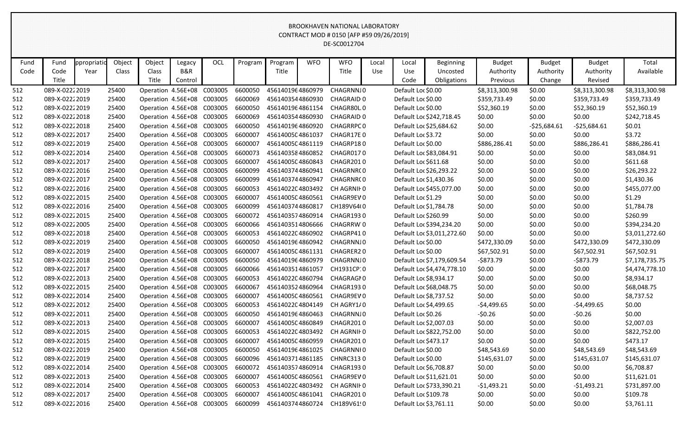| Fund | Fund           | ppropriatio | Object | Object                     | Legacy         | OCL     | Program | Program          | <b>WFO</b> | <b>WFO</b>        | Local      | Local                  | Beginning                  | <b>Budget</b>  | <b>Budget</b> | <b>Budget</b>  | Total          |
|------|----------------|-------------|--------|----------------------------|----------------|---------|---------|------------------|------------|-------------------|------------|------------------------|----------------------------|----------------|---------------|----------------|----------------|
| Code | Code           | Year        | Class  | Class                      | <b>B&amp;R</b> |         |         | Title            |            | Title             | <b>Use</b> | Use                    | Uncosted                   | Authority      | Authority     | Authority      | Available      |
|      | Title          |             |        | Title                      | Control        |         |         |                  |            |                   |            | Code                   | Obligations                | Previous       | Change        | Revised        |                |
| 512  | 089-X-02222019 |             | 25400  | Operation 4.56E+08         |                | C003005 | 6600050 | 4561401964860979 |            | CHAGRNNJ0         |            | Default Loc \$0.00     |                            | \$8,313,300.98 | \$0.00        | \$8,313,300.98 | \$8,313,300.98 |
| 512  | 089-X-02222019 |             | 25400  | Operation 4.56E+08         |                | C003005 | 6600069 | 4561403544860930 |            | CHAGRAID 0        |            | Default Loc \$0.00     |                            | \$359,733.49   | \$0.00        | \$359,733.49   | \$359,733.49   |
| 512  | 089-X-02222019 |             | 25400  | Operation 4.56E+08         |                | C003005 | 6600050 | 4561401964861154 |            | CHAGR80L0         |            | Default Loc \$0.00     |                            | \$52,360.19    | \$0.00        | \$52,360.19    | \$52,360.19    |
| 512  | 089-X-02222018 |             | 25400  | Operation 4.56E+08         |                | C003005 | 6600069 | 4561403544860930 |            | <b>CHAGRAID 0</b> |            |                        | Default Loc \$242,718.45   | \$0.00         | \$0.00        | \$0.00         | \$242,718.45   |
| 512  | 089-X-02222018 |             | 25400  | Operation 4.56E+08 C003005 |                |         | 6600050 | 4561401964860920 |            | <b>CHAGRRPC0</b>  |            |                        | Default Loc \$25,684.62    | \$0.00         | $-525,684.61$ | $-525,684.61$  | \$0.01         |
| 512  | 089-X-02222017 |             | 25400  | Operation 4.56E+08 C003005 |                |         | 6600007 | 4561400504861037 |            | CHAGR17E0         |            | Default Loc \$3.72     |                            | \$0.00         | \$0.00        | \$0.00         | \$3.72         |
| 512  | 089-X-02222019 |             | 25400  | Operation 4.56E+08         |                | C003005 | 6600007 | 4561400504861119 |            | CHAGRP180         |            | Default Loc \$0.00     |                            | \$886,286.41   | \$0.00        | \$886,286.41   | \$886,286.41   |
| 512  | 089-X-02222014 |             | 25400  | Operation 4.56E+08         |                | C003005 | 6600073 | 4561403584860852 |            | CHAGR0170         |            |                        | Default Loc \$83,084.91    | \$0.00         | \$0.00        | \$0.00         | \$83,084.91    |
| 512  | 089-X-02222017 |             | 25400  | Operation 4.56E+08         |                | C003005 | 6600007 | 4561400504860843 |            | CHAGR2010         |            | Default Loc \$611.68   |                            | \$0.00         | \$0.00        | \$0.00         | \$611.68       |
| 512  | 089-X-02222016 |             | 25400  | Operation 4.56E+08         |                | C003005 | 6600099 | 4561403744860941 |            | CHAGRNR(0         |            |                        | Default Loc \$26,293.22    | \$0.00         | \$0.00        | \$0.00         | \$26,293.22    |
| 512  | 089-X-02222017 |             | 25400  | Operation 4.56E+08 C003005 |                |         | 6600099 | 4561403744860947 |            | CHAGRNR(0         |            | Default Loc \$1,430.36 |                            | \$0.00         | \$0.00        | \$0.00         | \$1,430.36     |
| 512  | 089-X-02222016 |             | 25400  | Operation 4.56E+08         |                | C003005 | 6600053 | 4561402204803492 |            | CH AGRNIF 0       |            |                        | Default Loc \$455,077.00   | \$0.00         | \$0.00        | \$0.00         | \$455,077.00   |
| 512  | 089-X-02222015 |             | 25400  | Operation 4.56E+08         |                | C003005 | 6600007 | 4561400504860561 |            | CHAGR9EV0         |            | Default Loc \$1.29     |                            | \$0.00         | \$0.00        | \$0.00         | \$1.29         |
| 512  | 089-X-02222016 |             | 25400  | Operation 4.56E+08 C003005 |                |         | 6600099 | 4561403744860817 |            | CH189V64(0        |            | Default Loc \$1,784.78 |                            | \$0.00         | \$0.00        | \$0.00         | \$1,784.78     |
| 512  | 089-X-02222015 |             | 25400  | Operation 4.56E+08         |                | C003005 | 6600072 | 4561403574860914 |            | CHAGR1930         |            | Default Loc \$260.99   |                            | \$0.00         | \$0.00        | \$0.00         | \$260.99       |
| 512  | 089-X-02222005 |             | 25400  | Operation 4.56E+08 C003005 |                |         | 6600066 | 4561403514806666 |            | CHAGRRW'O         |            |                        | Default Loc \$394,234.20   | \$0.00         | \$0.00        | \$0.00         | \$394,234.20   |
| 512  | 089-X-02222018 |             | 25400  | Operation 4.56E+08         |                | C003005 | 6600053 | 4561402204860902 |            | CHAGRP410         |            |                        | Default Loc \$3,011,272.60 | \$0.00         | \$0.00        | \$0.00         | \$3,011,272.60 |
| 512  | 089-X-02222019 |             | 25400  | Operation 4.56E+08         |                | C003005 | 6600050 | 4561401964860942 |            | CHAGRNNJ0         |            | Default Loc \$0.00     |                            | \$472,330.09   | \$0.00        | \$472,330.09   | \$472,330.09   |
| 512  | 089-X-02222019 |             | 25400  | Operation 4.56E+08 C003005 |                |         | 6600007 | 4561400504861131 |            | CHAGRER20         |            | Default Loc \$0.00     |                            | \$67,502.91    | \$0.00        | \$67,502.91    | \$67,502.91    |
| 512  | 089-X-02222018 |             | 25400  | Operation 4.56E+08         |                | C003005 | 6600050 | 4561401964860979 |            | CHAGRNNJ0         |            |                        | Default Loc \$7,179,609.54 | $-$ \$873.79   | \$0.00        | $-$873.79$     | \$7,178,735.75 |
| 512  | 089-X-02222017 |             | 25400  | Operation 4.56E+08         |                | C003005 | 6600066 | 4561403514861057 |            | CH1931CP:0        |            |                        | Default Loc \$4,474,778.10 | \$0.00         | \$0.00        | \$0.00         | \$4,474,778.10 |
| 512  | 089-X-02222013 |             | 25400  | Operation 4.56E+08 C003005 |                |         | 6600053 | 4561402204860794 |            | CHAGRAGI0         |            | Default Loc \$8,934.17 |                            | \$0.00         | \$0.00        | \$0.00         | \$8,934.17     |
| 512  | 089-X-02222015 |             | 25400  | Operation 4.56E+08         |                | C003005 | 6600067 | 4561403524860964 |            | CHAGR1930         |            |                        | Default Loc \$68,048.75    | \$0.00         | \$0.00        | \$0.00         | \$68,048.75    |
| 512  | 089-X-02222014 |             | 25400  | Operation 4.56E+08         |                | C003005 | 6600007 | 4561400504860561 |            | CHAGR9EV0         |            | Default Loc \$8,737.52 |                            | \$0.00         | \$0.00        | \$0.00         | \$8,737.52     |
| 512  | 089-X-02222012 |             | 25400  | Operation 4.56E+08         |                | C003005 | 6600053 | 4561402204804149 |            | CH AGRY1/0        |            | Default Loc \$4,499.65 |                            | $-54,499.65$   | \$0.00        | $-$4,499.65$   | \$0.00         |
| 512  | 089-X-02222011 |             | 25400  | Operation 4.56E+08         |                | C003005 | 6600050 | 4561401964860463 |            | CHAGRNNJ0         |            | Default Loc \$0.26     |                            | $-50.26$       | \$0.00        | $-50.26$       | \$0.00         |
| 512  | 089-X-02222013 |             | 25400  | Operation 4.56E+08         |                | C003005 | 6600007 | 4561400504860849 |            | CHAGR2010         |            | Default Loc \$2,007.03 |                            | \$0.00         | \$0.00        | \$0.00         | \$2,007.03     |
| 512  | 089-X-02222015 |             | 25400  | Operation 4.56E+08         |                | C003005 | 6600053 | 4561402204803492 |            | CH AGRNIF 0       |            |                        | Default Loc \$822,752.00   | \$0.00         | \$0.00        | \$0.00         | \$822,752.00   |
| 512  | 089-X-02222015 |             | 25400  | Operation 4.56E+08 C003005 |                |         | 6600007 | 4561400504860959 |            | CHAGR2010         |            | Default Loc \$473.17   |                            | \$0.00         | \$0.00        | \$0.00         | \$473.17       |
| 512  | 089-X-02222019 |             | 25400  | Operation 4.56E+08 C003005 |                |         | 6600050 | 4561401964861025 |            | CHAGRNNI0         |            | Default Loc \$0.00     |                            | \$48,543.69    | \$0.00        | \$48,543.69    | \$48,543.69    |
| 512  | 089-X-02222019 |             | 25400  | Operation 4.56E+08 C003005 |                |         | 6600096 | 4561403714861185 |            | CHNRC3130         |            | Default Loc \$0.00     |                            | \$145,631.07   | \$0.00        | \$145,631.07   | \$145,631.07   |
| 512  | 089-X-02222014 |             | 25400  | Operation 4.56E+08 C003005 |                |         | 6600072 | 4561403574860914 |            | CHAGR1930         |            | Default Loc \$6,708.87 |                            | \$0.00         | \$0.00        | \$0.00         | \$6,708.87     |
| 512  | 089-X-02222013 |             | 25400  | Operation 4.56E+08 C003005 |                |         | 6600007 | 4561400504860561 |            | CHAGR9EV0         |            |                        | Default Loc \$11,621.01    | \$0.00         | \$0.00        | \$0.00         | \$11,621.01    |
| 512  | 089-X-02222014 |             | 25400  | Operation 4.56E+08 C003005 |                |         | 6600053 | 4561402204803492 |            | CH AGRNIF 0       |            |                        | Default Loc \$733,390.21   | $-$1,493.21$   | \$0.00        | -\$1,493.21    | \$731,897.00   |
| 512  | 089-X-02222017 |             | 25400  | Operation 4.56E+08 C003005 |                |         | 6600007 | 4561400504861041 |            | CHAGR2010         |            | Default Loc \$109.78   |                            | \$0.00         | \$0.00        | \$0.00         | \$109.78       |
| 512  | 089-X-02222016 |             | 25400  | Operation 4.56E+08 C003005 |                |         | 6600099 | 4561403744860724 |            | CH189V61!0        |            | Default Loc \$3,761.11 |                            | \$0.00         | \$0.00        | \$0.00         | \$3,761.11     |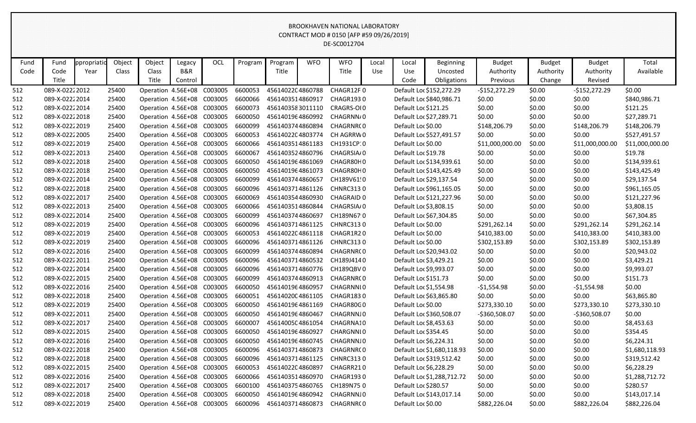| Fund | Fund           | ppropriatio | Object | Object                     | Legacy  | OCL     | Program | Program          | <b>WFO</b> | <b>WFO</b>            | Local | Local                | <b>Beginning</b>           | <b>Budget</b>   | <b>Budget</b> | <b>Budget</b>   | Total           |
|------|----------------|-------------|--------|----------------------------|---------|---------|---------|------------------|------------|-----------------------|-------|----------------------|----------------------------|-----------------|---------------|-----------------|-----------------|
| Code | Code           | Year        | Class  | Class                      | B&R     |         |         | Title            |            | Title                 | Use   | Use                  | Uncosted                   | Authority       | Authority     | Authority       | Available       |
|      | Title          |             |        | Title                      | Control |         |         |                  |            |                       |       | Code                 | Obligations                | Previous        | Change        | Revised         |                 |
| 512  | 089-X-02222012 |             | 25400  | Operation 4.56E+08         |         | C003005 | 6600053 | 4561402204860788 |            | CHAGR12F0             |       |                      | Default Loc \$152,272.29   | $-$152,272.29$  | \$0.00        | $-$152,272.29$  | \$0.00          |
| 512  | 089-X-02222014 |             | 25400  | Operation 4.56E+08         |         | C003005 | 6600066 | 4561403514860917 |            | CHAGR1930             |       |                      | Default Loc \$840,986.71   | \$0.00          | \$0.00        | \$0.00          | \$840,986.71    |
| 512  | 089-X-02222014 |             | 25400  | Operation 4.56E+08 C003005 |         |         | 6600073 | 4561403583011110 |            | CRAGRS-OI0            |       | Default Loc \$121.25 |                            | \$0.00          | \$0.00        | \$0.00          | \$121.25        |
| 512  | 089-X-02222018 |             | 25400  | Operation 4.56E+08         |         | C003005 | 6600050 | 4561401964860992 |            | CHAGRNN/0             |       |                      | Default Loc \$27,289.71    | \$0.00          | \$0.00        | \$0.00          | \$27,289.71     |
| 512  | 089-X-02222019 |             | 25400  | Operation 4.56E+08 C003005 |         |         | 6600099 | 4561403744860894 |            | CHAGRNR(0             |       | Default Loc \$0.00   |                            | \$148,206.79    | \$0.00        | \$148,206.79    | \$148,206.79    |
| 512  | 089-X-02222005 |             | 25400  | Operation 4.56E+08 C003005 |         |         | 6600053 | 4561402204803774 |            | CH AGRRW 0            |       |                      | Default Loc \$527,491.57   | \$0.00          | \$0.00        | \$0.00          | \$527,491.57    |
| 512  | 089-X-02222019 |             | 25400  | Operation 4.56E+08         |         | C003005 | 6600066 | 4561403514861183 |            | CH1931CP:0            |       | Default Loc \$0.00   |                            | \$11,000,000.00 | \$0.00        | \$11,000,000.00 | \$11,000,000.00 |
| 512  | 089-X-02222013 |             | 25400  | Operation 4.56E+08         |         | C003005 | 6600067 | 4561403524860796 |            | CHAGRSIA/0            |       | Default Loc \$19.78  |                            | \$0.00          | \$0.00        | \$0.00          | \$19.78         |
| 512  | 089-X-02222018 |             | 25400  | Operation 4.56E+08 C003005 |         |         | 6600050 | 4561401964861069 |            | CHAGR80H0             |       |                      | Default Loc \$134,939.61   | \$0.00          | \$0.00        | \$0.00          | \$134,939.61    |
| 512  | 089-X-02222018 |             | 25400  | Operation 4.56E+08 C003005 |         |         | 6600050 | 4561401964861073 |            | CHAGR80H0             |       |                      | Default Loc \$143,425.49   | \$0.00          | \$0.00        | \$0.00          | \$143,425.49    |
| 512  | 089-X-02222014 |             | 25400  | Operation 4.56E+08 C003005 |         |         | 6600099 | 4561403744860657 |            | CH189V61!0            |       |                      | Default Loc \$29,137.54    | \$0.00          | \$0.00        | \$0.00          | \$29,137.54     |
| 512  | 089-X-02222018 |             | 25400  | Operation 4.56E+08         |         | C003005 | 6600096 | 4561403714861126 |            | <b>CHNRC3130</b>      |       |                      | Default Loc \$961,165.05   | \$0.00          | \$0.00        | \$0.00          | \$961,165.05    |
| 512  | 089-X-02222017 |             | 25400  | Operation 4.56E+08         |         | C003005 | 6600069 | 4561403544860930 |            | CHAGRAID <sub>0</sub> |       |                      | Default Loc \$121,227.96   | \$0.00          | \$0.00        | \$0.00          | \$121,227.96    |
| 512  | 089-X-02222013 |             | 25400  | Operation 4.56E+08 C003005 |         |         | 6600066 | 4561403514860844 |            | CHAGRSIA/0            |       |                      | Default Loc \$3,808.15     | \$0.00          | \$0.00        | \$0.00          | \$3,808.15      |
| 512  | 089-X-02222014 |             | 25400  | Operation 4.56E+08         |         | C003005 | 6600099 | 4561403744860697 |            | CH189N67:0            |       |                      | Default Loc \$67,304.85    | \$0.00          | \$0.00        | \$0.00          | \$67,304.85     |
| 512  | 089-X-02222019 |             | 25400  | Operation 4.56E+08 C003005 |         |         | 6600096 | 4561403714861125 |            | <b>CHNRC3130</b>      |       | Default Loc \$0.00   |                            | \$291,262.14    | \$0.00        | \$291,262.14    | \$291,262.14    |
| 512  | 089-X-02222019 |             | 25400  | Operation 4.56E+08         |         | C003005 | 6600053 | 4561402204861118 |            | CHAGR1R20             |       | Default Loc \$0.00   |                            | \$410,383.00    | \$0.00        | \$410,383.00    | \$410,383.00    |
| 512  | 089-X-02222019 |             | 25400  | Operation 4.56E+08         |         | C003005 | 6600096 | 4561403714861126 |            | <b>CHNRC3130</b>      |       | Default Loc \$0.00   |                            | \$302,153.89    | \$0.00        | \$302,153.89    | \$302,153.89    |
| 512  | 089-X-02222016 |             | 25400  | Operation 4.56E+08         |         | C003005 | 6600099 | 4561403744860894 |            | CHAGRNR(0             |       |                      | Default Loc \$20,943.02    | \$0.00          | \$0.00        | \$0.00          | \$20,943.02     |
| 512  | 089-X-02222011 |             | 25400  | Operation 4.56E+08         |         | C003005 | 6600096 | 4561403714860532 |            | CH189J4140            |       |                      | Default Loc \$3,429.21     | \$0.00          | \$0.00        | \$0.00          | \$3,429.21      |
| 512  | 089-X-02222014 |             | 25400  | Operation 4.56E+08 C003005 |         |         | 6600096 | 4561403714860776 |            | CH189QBV0             |       |                      | Default Loc \$9,993.07     | \$0.00          | \$0.00        | \$0.00          | \$9,993.07      |
| 512  | 089-X-02222015 |             | 25400  | Operation 4.56E+08 C003005 |         |         | 6600099 | 4561403744860913 |            | CHAGRNR(0             |       | Default Loc \$151.73 |                            | \$0.00          | \$0.00        | \$0.00          | \$151.73        |
| 512  | 089-X-02222016 |             | 25400  | Operation 4.56E+08         |         | C003005 | 6600050 | 4561401964860957 |            | CHAGRNNI0             |       |                      | Default Loc \$1,554.98     | $-51,554.98$    | \$0.00        | $-$1,554.98$    | \$0.00          |
| 512  | 089-X-02222018 |             | 25400  | Operation 4.56E+08         |         | C003005 | 6600051 | 4561402004861105 |            | CHAGR1830             |       |                      | Default Loc \$63,865.80    | \$0.00          | \$0.00        | \$0.00          | \$63,865.80     |
| 512  | 089-X-02222019 |             | 25400  | Operation 4.56E+08         |         | C003005 | 6600050 | 4561401964861169 |            | CHAGR80G0             |       | Default Loc \$0.00   |                            | \$273,330.10    | \$0.00        | \$273,330.10    | \$273,330.10    |
| 512  | 089-X-02222011 |             | 25400  | Operation 4.56E+08         |         | C003005 | 6600050 | 4561401964860467 |            | CHAGRNNJ0             |       |                      | Default Loc \$360,508.07   | -\$360,508.07   | \$0.00        | -\$360,508.07   | \$0.00          |
| 512  | 089-X-02222017 |             | 25400  | Operation 4.56E+08         |         | C003005 | 6600007 | 4561400504861054 |            | CHAGRNA10             |       |                      | Default Loc \$8,453.63     | \$0.00          | \$0.00        | \$0.00          | \$8,453.63      |
| 512  | 089-X-02222015 |             | 25400  | Operation 4.56E+08 C003005 |         |         | 6600050 | 4561401964860927 |            | CHARGNNI0             |       | Default Loc \$354.45 |                            | \$0.00          | \$0.00        | \$0.00          | \$354.45        |
| 512  | 089-X-02222016 |             | 25400  | Operation 4.56E+08 C003005 |         |         | 6600050 | 4561401964860745 |            | CHAGRNNJ0             |       |                      | Default Loc \$6,224.31     | \$0.00          | \$0.00        | \$0.00          | \$6,224.31      |
| 512  | 089-X-02222018 |             | 25400  | Operation 4.56E+08 C003005 |         |         | 6600096 | 4561403714860873 |            | CHAGRNR(0             |       |                      | Default Loc \$1,680,118.93 | \$0.00          | \$0.00        | \$0.00          | \$1,680,118.93  |
| 512  | 089-X-02222018 |             | 25400  | Operation 4.56E+08 C003005 |         |         | 6600096 | 4561403714861125 |            | <b>CHNRC3130</b>      |       |                      | Default Loc \$319,512.42   | \$0.00          | \$0.00        | \$0.00          | \$319,512.42    |
| 512  | 089-X-02222015 |             | 25400  | Operation 4.56E+08 C003005 |         |         | 6600053 | 4561402204860897 |            | CHAGRR210             |       |                      | Default Loc \$6,228.29     | \$0.00          | \$0.00        | \$0.00          | \$6,228.29      |
| 512  | 089-X-02222016 |             | 25400  | Operation 4.56E+08 C003005 |         |         | 6600066 | 4561403514860970 |            | CHAGR1930             |       |                      | Default Loc \$1,288,712.72 | \$0.00          | \$0.00        | \$0.00          | \$1,288,712.72  |
| 512  | 089-X-02222017 |             | 25400  | Operation 4.56E+08 C003005 |         |         | 6600100 | 4561403754860765 |            | CH189N750             |       | Default Loc \$280.57 |                            | \$0.00          | \$0.00        | \$0.00          | \$280.57        |
| 512  | 089-X-02222018 |             | 25400  | Operation 4.56E+08 C003005 |         |         | 6600050 | 4561401964860942 |            | CHAGRNNJ0             |       |                      | Default Loc \$143,017.14   | \$0.00          | \$0.00        | \$0.00          | \$143,017.14    |
| 512  | 089-X-02222019 |             | 25400  | Operation 4.56E+08 C003005 |         |         | 6600096 | 4561403714860873 |            | CHAGRNR(0             |       | Default Loc \$0.00   |                            | \$882,226.04    | \$0.00        | \$882,226.04    | \$882,226.04    |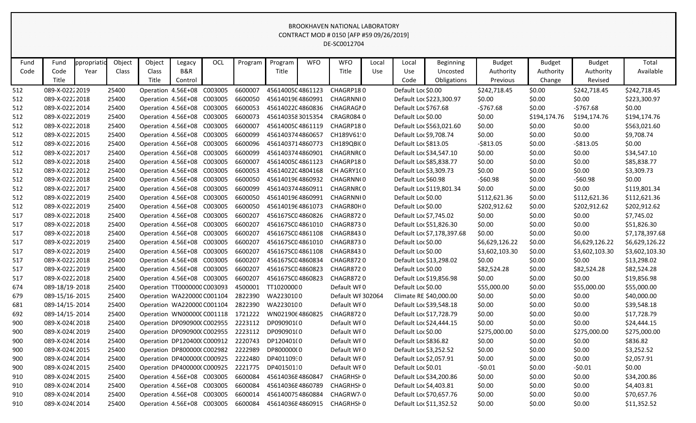| Fund | Fund           | ppropriatio | Object | Object                      | Legacy  | OCL     | Program | Program          | <b>WFO</b> | <b>WFO</b>           | Local      | Local                  | <b>Beginning</b>           | <b>Budget</b>  | <b>Budget</b> | <b>Budget</b>  | Total          |
|------|----------------|-------------|--------|-----------------------------|---------|---------|---------|------------------|------------|----------------------|------------|------------------------|----------------------------|----------------|---------------|----------------|----------------|
| Code | Code           | Year        | Class  | Class                       | B&R     |         |         | Title            |            | Title                | <b>Use</b> | Use                    | Uncosted                   | Authority      | Authority     | Authority      | Available      |
|      | Title          |             |        | <b>Title</b>                | Control |         |         |                  |            |                      |            | Code                   | Obligations                | Previous       | Change        | Revised        |                |
| 512  | 089-X-02222019 |             | 25400  | Operation 4.56E+08          |         | C003005 | 6600007 | 4561400504861123 |            | CHAGRP180            |            | Default Loc \$0.00     |                            | \$242,718.45   | \$0.00        | \$242,718.45   | \$242,718.45   |
| 512  | 089-X-02222018 |             | 25400  | Operation 4.56E+08          |         | C003005 | 6600050 | 4561401964860991 |            | CHAGRNNI0            |            |                        | Default Loc \$223,300.97   | \$0.00         | \$0.00        | \$0.00         | \$223,300.97   |
| 512  | 089-X-02222014 |             | 25400  | Operation 4.56E+08 C003005  |         |         | 6600053 | 4561402204860836 |            | CHAGRAGI0            |            | Default Loc \$767.68   |                            | $-5767.68$     | \$0.00        | $-5767.68$     | \$0.00         |
| 512  | 089-X-02222019 |             | 25400  | Operation 4.56E+08          |         | C003005 | 6600073 | 4561403583015354 |            | CRAGR084 0           |            | Default Loc \$0.00     |                            | \$0.00         | \$194,174.76  | \$194,174.76   | \$194,174.76   |
| 512  | 089-X-02222018 |             | 25400  | Operation 4.56E+08 C003005  |         |         | 6600007 | 4561400504861119 |            | CHAGRP180            |            |                        | Default Loc \$563,021.60   | \$0.00         | \$0.00        | \$0.00         | \$563,021.60   |
| 512  | 089-X-02222015 |             | 25400  | Operation 4.56E+08 C003005  |         |         | 6600099 | 4561403744860657 |            | CH189V61!0           |            | Default Loc \$9,708.74 |                            | \$0.00         | \$0.00        | \$0.00         | \$9,708.74     |
| 512  | 089-X-02222016 |             | 25400  | Operation 4.56E+08          |         | C003005 | 6600096 | 4561403714860773 |            | CH189QBI(0           |            | Default Loc \$813.05   |                            | $-5813.05$     | \$0.00        | $-$ \$813.05   | \$0.00         |
| 512  | 089-X-02222017 |             | 25400  | Operation 4.56E+08          |         | C003005 | 6600099 | 4561403744860901 |            | CHAGRNR(0            |            |                        | Default Loc \$34,547.10    | \$0.00         | \$0.00        | \$0.00         | \$34,547.10    |
| 512  | 089-X-02222018 |             | 25400  | Operation 4.56E+08          |         | C003005 | 6600007 | 4561400504861123 |            | CHAGRP180            |            |                        | Default Loc \$85,838.77    | \$0.00         | \$0.00        | \$0.00         | \$85,838.77    |
| 512  | 089-X-02222012 |             | 25400  | Operation 4.56E+08 C003005  |         |         | 6600053 | 4561402204804168 |            | CH AGRY1(0           |            | Default Loc \$3,309.73 |                            | \$0.00         | \$0.00        | \$0.00         | \$3,309.73     |
| 512  | 089-X-02222018 |             | 25400  | Operation 4.56E+08 C003005  |         |         | 6600050 | 4561401964860932 |            | CHAGRNN(0            |            | Default Loc \$60.98    |                            | $-560.98$      | \$0.00        | $-560.98$      | \$0.00         |
| 512  | 089-X-02222017 |             | 25400  | Operation 4.56E+08          |         | C003005 | 6600099 | 4561403744860911 |            | CHAGRNR(0            |            |                        | Default Loc \$119,801.34   | \$0.00         | \$0.00        | \$0.00         | \$119,801.34   |
| 512  | 089-X-02222019 |             | 25400  | Operation 4.56E+08          |         | C003005 | 6600050 | 4561401964860991 |            | CHAGRNNI0            |            | Default Loc \$0.00     |                            | \$112,621.36   | \$0.00        | \$112,621.36   | \$112,621.36   |
| 512  | 089-X-02222019 |             | 25400  | Operation 4.56E+08 C003005  |         |         | 6600050 | 4561401964861073 |            | CHAGR80H0            |            | Default Loc \$0.00     |                            | \$202,912.62   | \$0.00        | \$202,912.62   | \$202,912.62   |
| 517  | 089-X-02222018 |             | 25400  | Operation 4.56E+08          |         | C003005 | 6600207 | 456167SC04860826 |            | CHAGR8720            |            | Default Loc \$7,745.02 |                            | \$0.00         | \$0.00        | \$0.00         | \$7,745.02     |
| 517  | 089-X-02222018 |             | 25400  | Operation 4.56E+08 C003005  |         |         | 6600207 | 456167SC04861010 |            | CHAGR8730            |            |                        | Default Loc \$51,826.30    | \$0.00         | \$0.00        | \$0.00         | \$51,826.30    |
| 517  | 089-X-02222018 |             | 25400  | Operation 4.56E+08 C003005  |         |         | 6600207 | 456167SC04861108 |            | CHAGR8430            |            |                        | Default Loc \$7,178,397.68 | \$0.00         | \$0.00        | \$0.00         | \$7,178,397.68 |
| 517  | 089-X-02222019 |             | 25400  | Operation 4.56E+08          |         | C003005 | 6600207 | 456167SC04861010 |            | CHAGR8730            |            | Default Loc \$0.00     |                            | \$6,629,126.22 | \$0.00        | \$6,629,126.22 | \$6,629,126.22 |
| 517  | 089-X-02222019 |             | 25400  | Operation 4.56E+08 C003005  |         |         | 6600207 | 456167SC04861108 |            | CHAGR8430            |            | Default Loc \$0.00     |                            | \$3,602,103.30 | \$0.00        | \$3,602,103.30 | \$3,602,103.30 |
| 517  | 089-X-02222018 |             | 25400  | Operation 4.56E+08 C003005  |         |         | 6600207 | 456167SC04860834 |            | CHAGR8720            |            |                        | Default Loc \$13,298.02    | \$0.00         | \$0.00        | \$0.00         | \$13,298.02    |
| 517  | 089-X-02222019 |             | 25400  | Operation 4.56E+08 C003005  |         |         | 6600207 | 456167SC04860823 |            | CHAGR8720            |            | Default Loc \$0.00     |                            | \$82,524.28    | \$0.00        | \$82,524.28    | \$82,524.28    |
| 517  | 089-X-02222018 |             | 25400  | Operation 4.56E+08 C003005  |         |         | 6600207 | 456167SC04860823 |            | CHAGR8720            |            |                        | Default Loc \$19,856.98    | \$0.00         | \$0.00        | \$0.00         | \$19,856.98    |
| 674  | 089-18/19-2018 |             | 25400  | Operation TT0000000 C003093 |         |         | 4500001 | TT10200000       |            | Default WF0          |            | Default Loc \$0.00     |                            | \$55,000.00    | \$0.00        | \$55,000.00    | \$55,000.00    |
| 679  | 089-15/16-2015 |             | 25400  | Operation WA220000 C001104  |         |         | 2822390 | WA2230100        |            | Default WF 302064    |            |                        | Climate RE \$40,000.00     | \$0.00         | \$0.00        | \$0.00         | \$40,000.00    |
| 681  | 089-14/15-2014 |             | 25400  | Operation WA220000 C001104  |         |         | 2822390 | WA2230100        |            | Default WF0          |            |                        | Default Loc \$39,548.18    | \$0.00         | \$0.00        | \$0.00         | \$39,548.18    |
| 692  | 089-14/15-2014 |             | 25400  | Operation WN00000CC001118   |         |         | 1721222 | WN0219064860825  |            | CHAGR8720            |            |                        | Default Loc \$17,728.79    | \$0.00         | \$0.00        | \$0.00         | \$17,728.79    |
| 900  | 089-X-024(2018 |             | 25400  | Operation DP090900(C002955  |         |         | 2223112 | DP090901(0       |            | Default WF0          |            |                        | Default Loc \$24,444.15    | \$0.00         | \$0.00        | \$0.00         | \$24,444.15    |
| 900  | 089-X-024(2019 |             | 25400  | Operation DP090900(C002955  |         |         | 2223112 | DP090901(0       |            | Default WFO          |            | Default Loc \$0.00     |                            | \$275,000.00   | \$0.00        | \$275,000.00   | \$275,000.00   |
| 900  | 089-X-024(2014 |             | 25400  | Operation DP120400(C000912  |         |         | 2220743 | DP120401(0       |            | Default WF0          |            | Default Loc \$836.82   |                            | \$0.00         | \$0.00        | \$0.00         | \$836.82       |
| 900  | 089-X-024(2015 |             | 25400  | Operation DP800000(C002982  |         |         | 2222989 | DP800000(0       |            | Default WF0          |            | Default Loc \$3,252.52 |                            | \$0.00         | \$0.00        | \$0.00         | \$3,252.52     |
| 900  | 089-X-024(2014 |             | 25400  | Operation DP400000(C000925  |         |         | 2222480 | DP40110930       |            | Default WF0          |            | Default Loc \$2,057.91 |                            | \$0.00         | \$0.00        | \$0.00         | \$2,057.91     |
| 900  | 089-X-024(2015 |             | 25400  | Operation DP400000(C000925  |         |         | 2221775 | DP40150110       |            | Default WF0          |            | Default Loc \$0.01     |                            | $-50.01$       | \$0.00        | $-50.01$       | \$0.00         |
| 910  | 089-X-024(2015 |             | 25400  | Operation 4.56E+08 C003005  |         |         | 6600084 | 45614036E4860847 |            | CHAGRHSI 0           |            |                        | Default Loc \$34,200.86    | \$0.00         | \$0.00        | \$0.00         | \$34,200.86    |
| 910  | 089-X-024(2014 |             | 25400  | Operation 4.56E+08 C003005  |         |         | 6600084 | 45614036E4860789 |            | CHAGRHSI 0           |            | Default Loc \$4,403.81 |                            | \$0.00         | \$0.00        | \$0.00         | \$4,403.81     |
| 910  | 089-X-024(2014 |             | 25400  | Operation 4.56E+08 C003005  |         |         | 6600014 | 4561400754860884 |            | CHAGRW7 <sub>0</sub> |            |                        | Default Loc \$70,657.76    | \$0.00         | \$0.00        | \$0.00         | \$70,657.76    |
| 910  | 089-X-024(2014 |             | 25400  | Operation 4.56E+08 C003005  |         |         | 6600084 | 45614036E4860915 |            | CHAGRHSF0            |            |                        | Default Loc \$11,352.52    | \$0.00         | \$0.00        | \$0.00         | \$11,352.52    |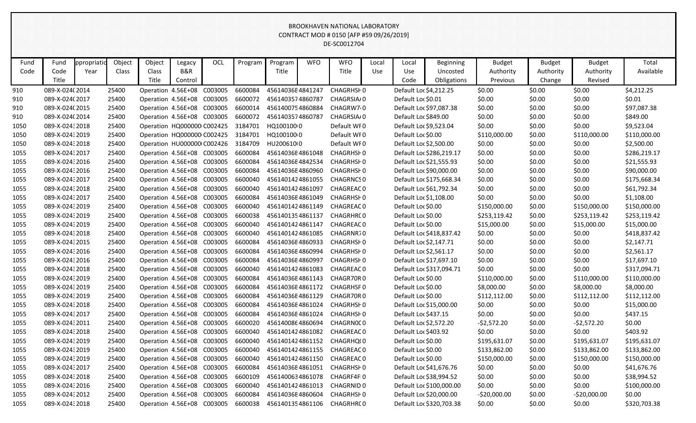| Fund | Fund            | ppropriatio | Object | Object                     | Legacy         | OCL     | Program | Program          | <b>WFO</b> | <b>WFO</b>        | Local      | Local                  | Beginning                | <b>Budget</b> | <b>Budget</b> | <b>Budget</b> | Total        |
|------|-----------------|-------------|--------|----------------------------|----------------|---------|---------|------------------|------------|-------------------|------------|------------------------|--------------------------|---------------|---------------|---------------|--------------|
| Code | Code            | Year        | Class  | Class                      | <b>B&amp;R</b> |         |         | Title            |            | Title             | <b>Use</b> | Use                    | Uncosted                 | Authority     | Authority     | Authority     | Available    |
|      | Title           |             |        | Title                      | Control        |         |         |                  |            |                   |            | Code                   | Obligations              | Previous      | Change        | Revised       |              |
| 910  | 089-X-024(2014  |             | 25400  | Operation 4.56E+08         |                | C003005 | 6600084 | 45614036E4841247 |            | CHAGRHSF0         |            | Default Loc \$4,212.25 |                          | \$0.00        | \$0.00        | \$0.00        | \$4,212.25   |
| 910  | 089-X-024(2017  |             | 25400  | Operation 4.56E+08         |                | C003005 | 6600072 | 4561403574860787 |            | CHAGRSIA/0        |            | Default Loc \$0.01     |                          | \$0.00        | \$0.00        | \$0.00        | \$0.01       |
| 910  | 089-X-024(2015  |             | 25400  | Operation 4.56E+08         |                | C003005 | 6600014 | 4561400754860884 |            | CHAGRW7.0         |            |                        | Default Loc \$97,087.38  | \$0.00        | \$0.00        | \$0.00        | \$97,087.38  |
| 910  | 089-X-024(2014  |             | 25400  | Operation 4.56E+08 C003005 |                |         | 6600072 | 4561403574860787 |            | CHAGRSIA/0        |            | Default Loc \$849.00   |                          | \$0.00        | \$0.00        | \$0.00        | \$849.00     |
| 1050 | 089-X-02432018  |             | 25400  | Operation HQ000000 C002425 |                |         | 3184701 | HQ100100 0       |            | Default WF0       |            | Default Loc \$9,523.04 |                          | \$0.00        | \$0.00        | \$0.00        | \$9,523.04   |
| 1050 | 089-X-02432019  |             | 25400  | Operation HQ000000 C002425 |                |         | 3184701 | HQ100100 0       |            | Default WF0       |            | Default Loc \$0.00     |                          | \$110,000.00  | \$0.00        | \$110,000.00  | \$110,000.00 |
| 1050 | 089-X-0243 2018 |             | 25400  | Operation HU000000 C002426 |                |         | 3184709 | HU200610(0       |            | Default WFO       |            | Default Loc \$2,500.00 |                          | \$0.00        | \$0.00        | \$0.00        | \$2,500.00   |
| 1055 | 089-X-0243 2017 |             | 25400  | Operation 4.56E+08 C003005 |                |         | 6600084 | 45614036E4861048 |            | CHAGRHSH0         |            |                        | Default Loc \$286,219.17 | \$0.00        | \$0.00        | \$0.00        | \$286,219.17 |
| 1055 | 089-X-0243 2016 |             | 25400  | Operation 4.56E+08         |                | C003005 | 6600084 | 45614036E4842534 |            | CHAGRHSH0         |            |                        | Default Loc \$21,555.93  | \$0.00        | \$0.00        | \$0.00        | \$21,555.93  |
| 1055 | 089-X-0243 2016 |             | 25400  | Operation 4.56E+08         |                | C003005 | 6600084 | 45614036E4860960 |            | CHAGRHSH0         |            |                        | Default Loc \$90,000.00  | \$0.00        | \$0.00        | \$0.00        | \$90,000.00  |
| 1055 | 089-X-0243 2017 |             | 25400  | Operation 4.56E+08 C003005 |                |         | 6600040 | 4561401424861055 |            | <b>CHAGRNCS 0</b> |            |                        | Default Loc \$175,668.34 | \$0.00        | \$0.00        | \$0.00        | \$175,668.34 |
| 1055 | 089-X-02432018  |             | 25400  | Operation 4.56E+08         |                | C003005 | 6600040 | 4561401424861097 |            | CHAGREAC 0        |            |                        | Default Loc \$61,792.34  | \$0.00        | \$0.00        | \$0.00        | \$61,792.34  |
| 1055 | 089-X-0243 2017 |             | 25400  | Operation 4.56E+08         |                | C003005 | 6600084 | 45614036E4861049 |            | CHAGRHSF0         |            | Default Loc \$1,108.00 |                          | \$0.00        | \$0.00        | \$0.00        | \$1,108.00   |
| 1055 | 089-X-0243 2019 |             | 25400  | Operation 4.56E+08         |                | C003005 | 6600040 | 4561401424861149 |            | CHAGREAC 0        |            | Default Loc \$0.00     |                          | \$150,000.00  | \$0.00        | \$150,000.00  | \$150,000.00 |
| 1055 | 089-X-0243 2019 |             | 25400  | Operation 4.56E+08         |                | C003005 | 6600038 | 4561401354861137 |            | CHAGRHRC 0        |            | Default Loc \$0.00     |                          | \$253,119.42  | \$0.00        | \$253,119.42  | \$253,119.42 |
| 1055 | 089-X-0243 2019 |             | 25400  | Operation 4.56E+08         |                | C003005 | 6600040 | 4561401424861147 |            | CHAGREAC 0        |            | Default Loc \$0.00     |                          | \$15,000.00   | \$0.00        | \$15,000.00   | \$15,000.00  |
| 1055 | 089-X-02432018  |             | 25400  | Operation 4.56E+08         |                | C003005 | 6600040 | 4561401424861085 |            | CHAGRNR70         |            |                        | Default Loc \$418,837.42 | \$0.00        | \$0.00        | \$0.00        | \$418,837.42 |
| 1055 | 089-X-0243 2015 |             | 25400  | Operation 4.56E+08         |                | C003005 | 6600084 | 45614036E4860933 |            | <b>CHAGRHSF0</b>  |            | Default Loc \$2,147.71 |                          | \$0.00        | \$0.00        | \$0.00        | \$2,147.71   |
| 1055 | 089-X-0243 2016 |             | 25400  | Operation 4.56E+08         |                | C003005 | 6600084 | 45614036E4860994 |            | <b>CHAGRHSF0</b>  |            | Default Loc \$2,561.17 |                          | \$0.00        | \$0.00        | \$0.00        | \$2,561.17   |
| 1055 | 089-X-0243 2016 |             | 25400  | Operation 4.56E+08         |                | C003005 | 6600084 | 45614036E4860997 |            | CHAGRHSH0         |            |                        | Default Loc \$17,697.10  | \$0.00        | \$0.00        | \$0.00        | \$17,697.10  |
| 1055 | 089-X-02432018  |             | 25400  | Operation 4.56E+08         |                | C003005 | 6600040 | 4561401424861083 |            | CHAGREAC 0        |            |                        | Default Loc \$317,094.71 | \$0.00        | \$0.00        | \$0.00        | \$317,094.71 |
| 1055 | 089-X-0243 2019 |             | 25400  | Operation 4.56E+08         |                | C003005 | 6600084 | 45614036E4861143 |            | CHAGR70R0         |            | Default Loc \$0.00     |                          | \$110,000.00  | \$0.00        | \$110,000.00  | \$110,000.00 |
| 1055 | 089-X-02432019  |             | 25400  | Operation 4.56E+08         |                | C003005 | 6600084 | 45614036E4861172 |            | <b>CHAGRHSF0</b>  |            | Default Loc \$0.00     |                          | \$8,000.00    | \$0.00        | \$8,000.00    | \$8,000.00   |
| 1055 | 089-X-0243 2019 |             | 25400  | Operation 4.56E+08         |                | C003005 | 6600084 | 45614036E4861129 |            | CHAGR70R0         |            | Default Loc \$0.00     |                          | \$112,112.00  | \$0.00        | \$112,112.00  | \$112,112.00 |
| 1055 | 089-X-02432018  |             | 25400  | Operation 4.56E+08         |                | C003005 | 6600084 | 45614036E4861024 |            | CHAGRHSH0         |            |                        | Default Loc \$15,000.00  | \$0.00        | \$0.00        | \$0.00        | \$15,000.00  |
| 1055 | 089-X-0243 2017 |             | 25400  | Operation 4.56E+08         |                | C003005 | 6600084 | 45614036E4861024 |            | CHAGRHSH0         |            | Default Loc \$437.15   |                          | \$0.00        | \$0.00        | \$0.00        | \$437.15     |
| 1055 | 089-X-0243 2011 |             | 25400  | Operation 4.56E+08         |                | C003005 | 6600020 | 4561400864860694 |            | CHAGRN0CO         |            | Default Loc \$2,572.20 |                          | $-52,572.20$  | \$0.00        | $-52,572.20$  | \$0.00       |
| 1055 | 089-X-02432018  |             | 25400  | Operation 4.56E+08         |                | C003005 | 6600040 | 4561401424861082 |            | CHAGREAC 0        |            | Default Loc \$403.92   |                          | \$0.00        | \$0.00        | \$0.00        | \$403.92     |
| 1055 | 089-X-02432019  |             | 25400  | Operation 4.56E+08 C003005 |                |         | 6600040 | 4561401424861152 |            | CHAGRHQ(0         |            | Default Loc \$0.00     |                          | \$195,631.07  | \$0.00        | \$195,631.07  | \$195,631.07 |
| 1055 | 089-X-0243 2019 |             | 25400  | Operation 4.56E+08 C003005 |                |         | 6600040 | 4561401424861155 |            | CHAGREAC 0        |            | Default Loc \$0.00     |                          | \$133,862.00  | \$0.00        | \$133,862.00  | \$133,862.00 |
| 1055 | 089-X-0243 2019 |             | 25400  | Operation 4.56E+08 C003005 |                |         | 6600040 | 4561401424861150 |            | CHAGREAC 0        |            | Default Loc \$0.00     |                          | \$150,000.00  | \$0.00        | \$150,000.00  | \$150,000.00 |
| 1055 | 089-X-0243 2017 |             | 25400  | Operation 4.56E+08 C003005 |                |         | 6600084 | 45614036E4861051 |            | CHAGRHSF0         |            |                        | Default Loc \$41,676.76  | \$0.00        | \$0.00        | \$0.00        | \$41,676.76  |
| 1055 | 089-X-0243 2018 |             | 25400  | Operation 4.56E+08 C003005 |                |         | 6600109 | 4561400634861078 |            | CHAGRF4FI0        |            |                        | Default Loc \$38,994.52  | \$0.00        | \$0.00        | \$0.00        | \$38,994.52  |
| 1055 | 089-X-02432016  |             | 25400  | Operation 4.56E+08 C003005 |                |         | 6600040 | 4561401424861013 |            | CHAGRNID 0        |            |                        | Default Loc \$100,000.00 | \$0.00        | \$0.00        | \$0.00        | \$100,000.00 |
| 1055 | 089-X-0243 2012 |             | 25400  | Operation 4.56E+08 C003005 |                |         | 6600084 | 45614036E4860604 |            | CHAGRHSF0         |            |                        | Default Loc \$20,000.00  | $-520,000.00$ | \$0.00        | $-520,000.00$ | \$0.00       |
| 1055 | 089-X-02432018  |             | 25400  | Operation 4.56E+08 C003005 |                |         | 6600038 | 4561401354861106 |            | CHAGRHRC 0        |            |                        | Default Loc \$320,703.38 | \$0.00        | \$0.00        | \$0.00        | \$320,703.38 |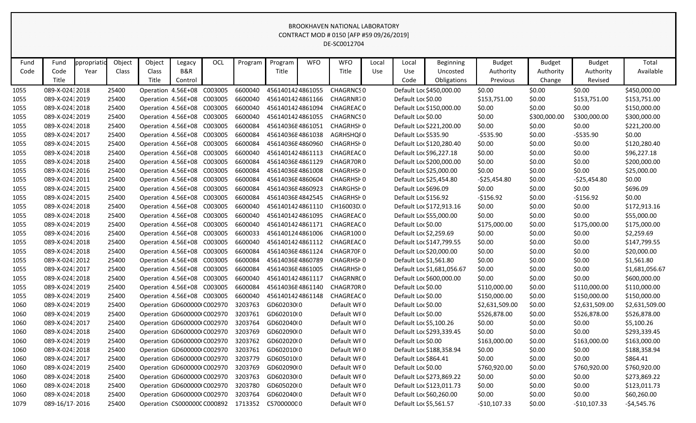| Fund | Fund            | ppropriatio | Object | Object                      | Legacy  | OCL | Program | Program          | <b>WFO</b> | <b>WFO</b>       | Local | Local                  | <b>Beginning</b>           | <b>Budget</b>  | <b>Budget</b> | <b>Budget</b>  | Total          |
|------|-----------------|-------------|--------|-----------------------------|---------|-----|---------|------------------|------------|------------------|-------|------------------------|----------------------------|----------------|---------------|----------------|----------------|
| Code | Code            | Year        | Class  | Class                       | B&R     |     |         | Title            |            | Title            | Use   | Use                    | Uncosted                   | Authority      | Authority     | Authority      | Available      |
|      | Title           |             |        | Title                       | Control |     |         |                  |            |                  |       | Code                   | Obligations                | Previous       | Change        | Revised        |                |
| 1055 | 089-X-02432018  |             | 25400  | Operation 4.56E+08 C003005  |         |     | 6600040 | 4561401424861055 |            | <b>CHAGRNCSO</b> |       |                        | Default Loc \$450,000.00   | \$0.00         | \$0.00        | \$0.00         | \$450,000.00   |
| 1055 | 089-X-02432019  |             | 25400  | Operation 4.56E+08 C003005  |         |     | 6600040 | 4561401424861166 |            | CHAGRNR70        |       | Default Loc \$0.00     |                            | \$153,751.00   | \$0.00        | \$153,751.00   | \$153,751.00   |
| 1055 | 089-X-02432018  |             | 25400  | Operation 4.56E+08 C003005  |         |     | 6600040 | 4561401424861094 |            | <b>CHAGREAC0</b> |       |                        | Default Loc \$150,000.00   | \$0.00         | \$0.00        | \$0.00         | \$150,000.00   |
| 1055 | 089-X-02432019  |             | 25400  | Operation 4.56E+08 C003005  |         |     | 6600040 | 4561401424861055 |            | CHAGRNCS 0       |       | Default Loc \$0.00     |                            | \$0.00         | \$300,000.00  | \$300,000.00   | \$300,000.00   |
| 1055 | 089-X-02432018  |             | 25400  | Operation 4.56E+08 C003005  |         |     | 6600084 | 45614036E4861051 |            | CHAGRHSF0        |       |                        | Default Loc \$221,200.00   | \$0.00         | \$0.00        | \$0.00         | \$221,200.00   |
| 1055 | 089-X-0243 2017 |             | 25400  | Operation 4.56E+08 C003005  |         |     | 6600084 | 45614036E4861038 |            | AGRHSHQI0        |       | Default Loc \$535.90   |                            | $-$ \$535.90   | \$0.00        | $-5535.90$     | \$0.00         |
| 1055 | 089-X-024: 2015 |             | 25400  | Operation 4.56E+08 C003005  |         |     | 6600084 | 45614036E4860960 |            | <b>CHAGRHSHO</b> |       |                        | Default Loc \$120,280.40   | \$0.00         | \$0.00        | \$0.00         | \$120,280.40   |
| 1055 | 089-X-02432018  |             | 25400  | Operation 4.56E+08 C003005  |         |     | 6600040 | 4561401424861113 |            | CHAGREAC 0       |       |                        | Default Loc \$96,227.18    | \$0.00         | \$0.00        | \$0.00         | \$96,227.18    |
| 1055 | 089-X-02432018  |             | 25400  | Operation 4.56E+08 C003005  |         |     | 6600084 | 45614036E4861129 |            | CHAGR70R0        |       |                        | Default Loc \$200,000.00   | \$0.00         | \$0.00        | \$0.00         | \$200,000.00   |
| 1055 | 089-X-02432016  |             | 25400  | Operation 4.56E+08 C003005  |         |     | 6600084 | 45614036E4861008 |            | <b>CHAGRHSF0</b> |       |                        | Default Loc \$25,000.00    | \$0.00         | \$0.00        | \$0.00         | \$25,000.00    |
| 1055 | 089-X-0243 2011 |             | 25400  | Operation 4.56E+08 C003005  |         |     | 6600084 | 45614036E4860604 |            | <b>CHAGRHSF0</b> |       |                        | Default Loc \$25,454.80    | $-525,454.80$  | \$0.00        | $-525,454.80$  | \$0.00         |
| 1055 | 089-X-02432015  |             | 25400  | Operation 4.56E+08 C003005  |         |     | 6600084 | 45614036E4860923 |            | CHARGHSF0        |       | Default Loc \$696.09   |                            | \$0.00         | \$0.00        | \$0.00         | \$696.09       |
| 1055 | 089-X-0243 2015 |             | 25400  | Operation 4.56E+08 C003005  |         |     | 6600084 | 45614036E4842545 |            | <b>CHAGRHSF0</b> |       | Default Loc \$156.92   |                            | $-$ \$156.92   | \$0.00        | $-$156.92$     | \$0.00         |
| 1055 | 089-X-02432018  |             | 25400  | Operation 4.56E+08 C003005  |         |     | 6600040 | 4561401424861110 |            | CH16003D.0       |       |                        | Default Loc \$172,913.16   | \$0.00         | \$0.00        | \$0.00         | \$172,913.16   |
| 1055 | 089-X-02432018  |             | 25400  | Operation 4.56E+08 C003005  |         |     | 6600040 | 4561401424861095 |            | <b>CHAGREAC0</b> |       |                        | Default Loc \$55,000.00    | \$0.00         | \$0.00        | \$0.00         | \$55,000.00    |
| 1055 | 089-X-02432019  |             | 25400  | Operation 4.56E+08 C003005  |         |     | 6600040 | 4561401424861171 |            | <b>CHAGREAC0</b> |       | Default Loc \$0.00     |                            | \$175,000.00   | \$0.00        | \$175,000.00   | \$175,000.00   |
| 1055 | 089-X-02432016  |             | 25400  | Operation 4.56E+08 C003005  |         |     | 6600033 | 4561401244861006 |            | CHAGR1000        |       | Default Loc \$2,259.69 |                            | \$0.00         | \$0.00        | \$0.00         | \$2,259.69     |
| 1055 | 089-X-02432018  |             | 25400  | Operation 4.56E+08 C003005  |         |     | 6600040 | 4561401424861112 |            | <b>CHAGREAC0</b> |       |                        | Default Loc \$147,799.55   | \$0.00         | \$0.00        | \$0.00         | \$147,799.55   |
| 1055 | 089-X-02432018  |             | 25400  | Operation 4.56E+08 C003005  |         |     | 6600084 | 45614036E4861124 |            | CHAGR70F.0       |       |                        | Default Loc \$20,000.00    | \$0.00         | \$0.00        | \$0.00         | \$20,000.00    |
| 1055 | 089-X-02432012  |             | 25400  | Operation 4.56E+08 C003005  |         |     | 6600084 | 45614036E4860789 |            | <b>CHAGRHSF0</b> |       | Default Loc \$1,561.80 |                            | \$0.00         | \$0.00        | \$0.00         | \$1,561.80     |
| 1055 | 089-X-0243 2017 |             | 25400  | Operation 4.56E+08 C003005  |         |     | 6600084 | 45614036E4861005 |            | <b>CHAGRHSF0</b> |       |                        | Default Loc \$1,681,056.67 | \$0.00         | \$0.00        | \$0.00         | \$1,681,056.67 |
| 1055 | 089-X-02432018  |             | 25400  | Operation 4.56E+08 C003005  |         |     | 6600040 | 4561401424861117 |            | <b>CHAGRNRCO</b> |       |                        | Default Loc \$600,000.00   | \$0.00         | \$0.00        | \$0.00         | \$600,000.00   |
| 1055 | 089-X-02432019  |             | 25400  | Operation 4.56E+08 C003005  |         |     | 6600084 | 45614036E4861140 |            | CHAGR70R0        |       | Default Loc \$0.00     |                            | \$110,000.00   | \$0.00        | \$110,000.00   | \$110,000.00   |
| 1055 | 089-X-02432019  |             | 25400  | Operation 4.56E+08 C003005  |         |     | 6600040 | 4561401424861148 |            | <b>CHAGREAC0</b> |       | Default Loc \$0.00     |                            | \$150,000.00   | \$0.00        | \$150,000.00   | \$150,000.00   |
| 1060 | 089-X-02432019  |             | 25400  | Operation GD600000(C002970  |         |     | 3203763 | GD602030(0       |            | Default WF0      |       | Default Loc \$0.00     |                            | \$2,631,509.00 | \$0.00        | \$2,631,509.00 | \$2,631,509.00 |
| 1060 | 089-X-02432019  |             | 25400  | Operation GD600000 C002970  |         |     | 3203761 | GD602010(0       |            | Default WF0      |       | Default Loc \$0.00     |                            | \$526,878.00   | \$0.00        | \$526,878.00   | \$526,878.00   |
| 1060 | 089-X-0243 2017 |             | 25400  | Operation GD600000(C002970  |         |     | 3203764 | GD602040(0       |            | Default WF0      |       | Default Loc \$5,100.26 |                            | \$0.00         | \$0.00        | \$0.00         | \$5,100.26     |
| 1060 | 089-X-02432018  |             | 25400  | Operation GD600000 C002970  |         |     | 3203769 | GD602090(0       |            | Default WF0      |       |                        | Default Loc \$293,339.45   | \$0.00         | \$0.00        | \$0.00         | \$293,339.45   |
| 1060 | 089-X-02432019  |             | 25400  | Operation GD600000 C002970  |         |     | 3203762 | GD602020(0       |            | Default WF0      |       | Default Loc \$0.00     |                            | \$163,000.00   | \$0.00        | \$163,000.00   | \$163,000.00   |
| 1060 | 089-X-02432018  |             | 25400  | Operation GD600000 C002970  |         |     | 3203761 | GD602010(0       |            | Default WF0      |       |                        | Default Loc \$188,358.94   | \$0.00         | \$0.00        | \$0.00         | \$188,358.94   |
| 1060 | 089-X-0243 2017 |             | 25400  | Operation GD600000(C002970  |         |     | 3203779 | GD605010(0       |            | Default WF0      |       | Default Loc \$864.41   |                            | \$0.00         | \$0.00        | \$0.00         | \$864.41       |
| 1060 | 089-X-02432019  |             | 25400  | Operation GD600000(C002970  |         |     | 3203769 | GD602090(0       |            | Default WF0      |       | Default Loc \$0.00     |                            | \$760,920.00   | \$0.00        | \$760,920.00   | \$760,920.00   |
| 1060 | 089-X-02432018  |             | 25400  | Operation GD600000 C002970  |         |     | 3203763 | GD602030(0       |            | Default WF0      |       |                        | Default Loc \$273,869.22   | \$0.00         | \$0.00        | \$0.00         | \$273,869.22   |
| 1060 | 089-X-02432018  |             | 25400  | Operation GD600000(C002970  |         |     | 3203780 | GD605020(0       |            | Default WF0      |       |                        | Default Loc \$123,011.73   | \$0.00         | \$0.00        | \$0.00         | \$123,011.73   |
| 1060 | 089-X-02432018  |             | 25400  | Operation GD600000(C002970  |         |     | 3203764 | GD602040(0       |            | Default WF0      |       |                        | Default Loc \$60,260.00    | \$0.00         | \$0.00        | \$0.00         | \$60,260.00    |
| 1079 | 089-16/17-2016  |             | 25400  | Operation CS0000000 C000892 |         |     | 1713352 | CS70000000       |            | Default WF0      |       | Default Loc \$5,561.57 |                            | $-$10,107.33$  | \$0.00        | $-$10,107.33$  | $-$4,545.76$   |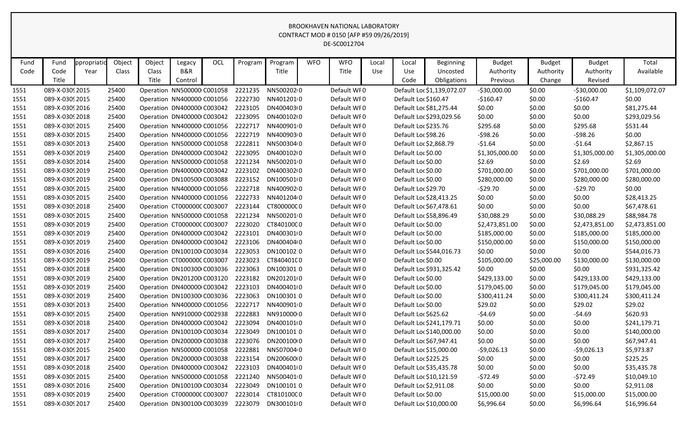| Fund | Fund            | ppropriatio | Object | Object | Legacy                      | <b>OCL</b> | Program | Program    | <b>WFO</b> | <b>WFO</b>  | Local | Local               | <b>Beginning</b>           | <b>Budget</b>  | <b>Budget</b> | <b>Budget</b>  | Total          |
|------|-----------------|-------------|--------|--------|-----------------------------|------------|---------|------------|------------|-------------|-------|---------------------|----------------------------|----------------|---------------|----------------|----------------|
| Code | Code            | Year        | Class  | Class  | B&R                         |            |         | Title      |            | Title       | Use   | Use                 | Uncosted                   | Authority      | Authority     | Authority      | Available      |
|      | Title           |             |        | Title  | Control                     |            |         |            |            |             |       | Code                | Obligations                | Previous       | Change        | Revised        |                |
| 1551 | 089-X-0309 2015 |             | 25400  |        | Operation NN500000 C001058  |            | 2221235 | NN5002020  |            | Default WF0 |       |                     | Default Loc \$1,139,072.07 | $-530,000.00$  | \$0.00        | $-530,000.00$  | \$1,109,072.07 |
| 1551 | 089-X-0309 2015 |             | 25400  |        | Operation NN400000 C001056  |            | 2222730 | NN4012010  |            | Default WF0 |       |                     | Default Loc \$160.47       | $-$160.47$     | \$0.00        | $-$160.47$     | \$0.00         |
| 1551 | 089-X-0309 2016 |             | 25400  |        | Operation DN400000 C003042  |            | 2223105 | DN400403(0 |            | Default WF0 |       |                     | Default Loc \$81,275.44    | \$0.00         | \$0.00        | \$0.00         | \$81,275.44    |
| 1551 | 089-X-0309 2018 |             | 25400  |        | Operation DN400000 C003042  |            | 2223095 | DN400102(0 |            | Default WF0 |       |                     | Default Loc \$293,029.56   | \$0.00         | \$0.00        | \$0.00         | \$293,029.56   |
| 1551 | 089-X-0309 2015 |             | 25400  |        | Operation NN400000 C001056  |            | 2222717 | NN4009010  |            | Default WF0 |       |                     | Default Loc \$235.76       | \$295.68       | \$0.00        | \$295.68       | \$531.44       |
| 1551 | 089-X-0309 2015 |             | 25400  |        | Operation NN400000 C001056  |            | 2222719 | NN4009030  |            | Default WF0 |       | Default Loc \$98.26 |                            | $-598.26$      | \$0.00        | $-598.26$      | \$0.00         |
| 1551 | 089-X-03092013  |             | 25400  |        | Operation NN500000 C001058  |            | 2222811 | NN5003040  |            | Default WF0 |       |                     | Default Loc \$2,868.79     | $-51.64$       | \$0.00        | $-$1.64$       | \$2,867.15     |
| 1551 | 089-X-0309 2019 |             | 25400  |        | Operation DN400000 C003042  |            | 2223095 | DN400102(0 |            | Default WFO |       | Default Loc \$0.00  |                            | \$1,305,000.00 | \$0.00        | \$1,305,000.00 | \$1,305,000.00 |
| 1551 | 089-X-0309 2014 |             | 25400  |        | Operation NN500000 C001058  |            | 2221234 | NN5002010  |            | Default WF0 |       | Default Loc \$0.00  |                            | \$2.69         | \$0.00        | \$2.69         | \$2.69         |
| 1551 | 089-X-0309 2019 |             | 25400  |        | Operation DN400000 C003042  |            | 2223102 | DN400302(0 |            | Default WF0 |       | Default Loc \$0.00  |                            | \$701,000.00   | \$0.00        | \$701,000.00   | \$701,000.00   |
| 1551 | 089-X-0309 2019 |             | 25400  |        | Operation DN100500 C003088  |            | 2223152 | DN1005010  |            | Default WF0 |       | Default Loc \$0.00  |                            | \$280,000.00   | \$0.00        | \$280,000.00   | \$280,000.00   |
| 1551 | 089-X-0309 2015 |             | 25400  |        | Operation NN400000 C001056  |            | 2222718 | NN4009020  |            | Default WF0 |       | Default Loc \$29.70 |                            | $-529.70$      | \$0.00        | $-529.70$      | \$0.00         |
| 1551 | 089-X-0309 2015 |             | 25400  |        | Operation NN400000 C001056  |            | 2222733 | NN4012040  |            | Default WFO |       |                     | Default Loc \$28,413.25    | \$0.00         | \$0.00        | \$0.00         | \$28,413.25    |
| 1551 | 089-X-0309 2018 |             | 25400  |        | Operation CT000000C C003007 |            | 2223144 | CT800000C0 |            | Default WF0 |       |                     | Default Loc \$67,478.61    | \$0.00         | \$0.00        | \$0.00         | \$67,478.61    |
| 1551 | 089-X-0309 2015 |             | 25400  |        | Operation NN500000 C001058  |            | 2221234 | NN5002010  |            | Default WF0 |       |                     | Default Loc \$58,896.49    | \$30,088.29    | \$0.00        | \$30,088.29    | \$88,984.78    |
| 1551 | 089-X-0309 2019 |             | 25400  |        | Operation CT000000CC003007  |            | 2223020 | CT84010000 |            | Default WF0 |       | Default Loc \$0.00  |                            | \$2,473,851.00 | \$0.00        | \$2,473,851.00 | \$2,473,851.00 |
| 1551 | 089-X-0309 2019 |             | 25400  |        | Operation DN400000 C003042  |            | 2223101 | DN400301(0 |            | Default WF0 |       | Default Loc \$0.00  |                            | \$185,000.00   | \$0.00        | \$185,000.00   | \$185,000.00   |
| 1551 | 089-X-0309 2019 |             | 25400  |        | Operation DN400000 C003042  |            | 2223106 | DN400404(0 |            | Default WFO |       | Default Loc \$0.00  |                            | \$150,000.00   | \$0.00        | \$150,000.00   | \$150,000.00   |
| 1551 | 089-X-0309 2016 |             | 25400  |        | Operation DN100100 C003034  |            | 2223053 | DN100102.0 |            | Default WF0 |       |                     | Default Loc \$544,016.73   | \$0.00         | \$0.00        | \$0.00         | \$544,016.73   |
| 1551 | 089-X-0309 2019 |             | 25400  |        | Operation CT000000CC003007  |            | 2223023 | CT840401C0 |            | Default WF0 |       | Default Loc \$0.00  |                            | \$105,000.00   | \$25,000.00   | \$130,000.00   | \$130,000.00   |
| 1551 | 089-X-0309 2018 |             | 25400  |        | Operation DN100300 C003036  |            | 2223063 | DN100301:0 |            | Default WF0 |       |                     | Default Loc \$931,325.42   | \$0.00         | \$0.00        | \$0.00         | \$931,325.42   |
| 1551 | 089-X-0309 2019 |             | 25400  |        | Operation DN201200 C003120  |            | 2223182 | DN2012010  |            | Default WF0 |       | Default Loc \$0.00  |                            | \$429,133.00   | \$0.00        | \$429,133.00   | \$429,133.00   |
| 1551 | 089-X-0309 2019 |             | 25400  |        | Operation DN400000 C003042  |            | 2223103 | DN400401(0 |            | Default WF0 |       | Default Loc \$0.00  |                            | \$179,045.00   | \$0.00        | \$179,045.00   | \$179,045.00   |
| 1551 | 089-X-0309 2019 |             | 25400  |        | Operation DN100300 C003036  |            | 2223063 | DN100301.0 |            | Default WFO |       | Default Loc \$0.00  |                            | \$300,411.24   | \$0.00        | \$300,411.24   | \$300,411.24   |
| 1551 | 089-X-0309 2013 |             | 25400  |        | Operation NN400000 C001056  |            | 2222717 | NN4009010  |            | Default WFO |       | Default Loc \$0.00  |                            | \$29.02        | \$0.00        | \$29.02        | \$29.02        |
| 1551 | 089-X-0309 2015 |             | 25400  |        | Operation NN910000 C002938  |            | 2222883 | NN9100000  |            | Default WFO |       |                     | Default Loc \$625.62       | $-54.69$       | \$0.00        | $-54.69$       | \$620.93       |
| 1551 | 089-X-03092018  |             | 25400  |        | Operation DN400000 C003042  |            | 2223094 | DN400101(0 |            | Default WF0 |       |                     | Default Loc \$241,179.71   | \$0.00         | \$0.00        | \$0.00         | \$241,179.71   |
| 1551 | 089-X-0309 2017 |             | 25400  |        | Operation DN100100 C003034  |            | 2223049 | DN100101 0 |            | Default WF0 |       |                     | Default Loc \$140,000.00   | \$0.00         | \$0.00        | \$0.00         | \$140,000.00   |
| 1551 | 089-X-0309 2017 |             | 25400  |        | Operation DN200000 C003038  |            | 2223076 | DN200100(0 |            | Default WFO |       |                     | Default Loc \$67,947.41    | \$0.00         | \$0.00        | \$0.00         | \$67,947.41    |
| 1551 | 089-X-03092015  |             | 25400  |        | Operation NN500000 C001058  |            | 2222881 | NN5070040  |            | Default WF0 |       |                     | Default Loc \$15,000.00    | $-59,026.13$   | \$0.00        | $-59,026.13$   | \$5,973.87     |
| 1551 | 089-X-0309 2017 |             | 25400  |        | Operation DN200000 C003038  |            | 2223154 | DN20060000 |            | Default WF0 |       |                     | Default Loc \$225.25       | \$0.00         | \$0.00        | \$0.00         | \$225.25       |
| 1551 | 089-X-0309 2018 |             | 25400  |        | Operation DN400000 C003042  |            | 2223103 | DN400401(0 |            | Default WFO |       |                     | Default Loc \$35,435.78    | \$0.00         | \$0.00        | \$0.00         | \$35,435.78    |
| 1551 | 089-X-03092015  |             | 25400  |        | Operation NN500000 C001058  |            | 2221240 | NN5004010  |            | Default WF0 |       |                     | Default Loc \$10,121.59    | -\$72.49       | \$0.00        | $-572.49$      | \$10,049.10    |
| 1551 | 089-X-0309 2016 |             | 25400  |        | Operation DN100100 C003034  |            | 2223049 | DN100101:0 |            | Default WFO |       |                     | Default Loc \$2,911.08     | \$0.00         | \$0.00        | \$0.00         | \$2,911.08     |
| 1551 | 089-X-0309 2019 |             | 25400  |        | Operation CT000000CC003007  |            | 2223014 | CT81010000 |            | Default WF0 |       | Default Loc \$0.00  |                            | \$15,000.00    | \$0.00        | \$15,000.00    | \$15,000.00    |
| 1551 | 089-X-0309 2017 |             | 25400  |        | Operation DN300100 C003039  |            | 2223079 | DN300101(0 |            | Default WFO |       |                     | Default Loc \$10,000.00    | \$6,996.64     | \$0.00        | \$6,996.64     | \$16,996.64    |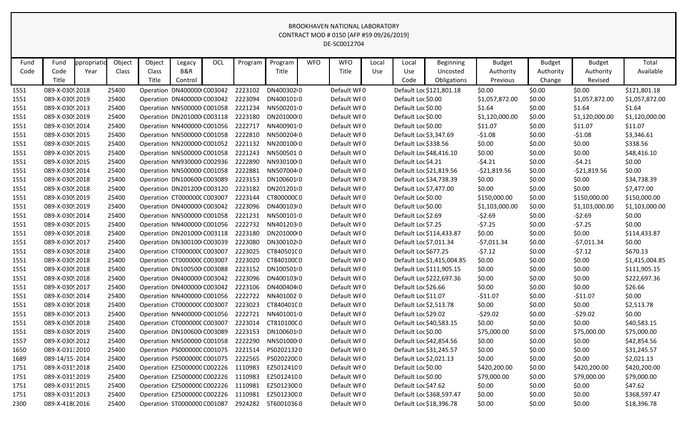| Fund | Fund            | ppropriatid | Object | Object | Legacy                      | OCL | Program | Program    | <b>WFO</b> | <b>WFO</b>  | Local      | Local                | <b>Beginning</b>           | <b>Budget</b>  | <b>Budget</b> | <b>Budget</b>  | Total          |
|------|-----------------|-------------|--------|--------|-----------------------------|-----|---------|------------|------------|-------------|------------|----------------------|----------------------------|----------------|---------------|----------------|----------------|
| Code | Code            | Year        | Class  | Class  | B&R                         |     |         | Title      |            | Title       | <b>Use</b> | Use                  | Uncosted                   | Authority      | Authority     | Authority      | Available      |
|      | Title           |             |        | Title  | Control                     |     |         |            |            |             |            | Code                 | Obligations                | Previous       | Change        | Revised        |                |
| 1551 | 089-X-0309 2018 |             | 25400  |        | Operation DN400000 C003042  |     | 2223102 | DN40030210 |            | Default WF0 |            |                      | Default Loc \$121,801.18   | \$0.00         | \$0.00        | \$0.00         | \$121,801.18   |
| 1551 | 089-X-0309 2019 |             | 25400  |        | Operation DN400000 C003042  |     | 2223094 | DN400101(0 |            | Default WF0 |            | Default Loc \$0.00   |                            | \$1,057,872.00 | \$0.00        | \$1,057,872.00 | \$1,057,872.00 |
| 1551 | 089-X-0309 2013 |             | 25400  |        | Operation NN500000 C001058  |     | 2221234 | NN5002010  |            | Default WF0 |            | Default Loc \$0.00   |                            | \$1.64         | \$0.00        | \$1.64         | \$1.64         |
| 1551 | 089-X-0309 2019 |             | 25400  |        | Operation DN201000 C003118  |     | 2223180 | DN20100010 |            | Default WF0 |            | Default Loc \$0.00   |                            | \$1,120,000.00 | \$0.00        | \$1,120,000.00 | \$1,120,000.00 |
| 1551 | 089-X-0309 2014 |             | 25400  |        | Operation NN400000 C001056  |     | 2222717 | NN4009010  |            | Default WF0 |            | Default Loc \$0.00   |                            | \$11.07        | \$0.00        | \$11.07        | \$11.07        |
| 1551 | 089-X-0309 2015 |             | 25400  |        | Operation NN500000 C001058  |     | 2222810 | NN5002040  |            | Default WF0 |            |                      | Default Loc \$3,347.69     | $-51.08$       | \$0.00        | $-51.08$       | \$3,346.61     |
| 1551 | 089-X-0309 2015 |             | 25400  |        | Operation NN200000 C001052  |     | 2221132 | NN200100 0 |            | Default WFO |            | Default Loc \$338.56 |                            | \$0.00         | \$0.00        | \$0.00         | \$338.56       |
| 1551 | 089-X-0309 2015 |             | 25400  |        | Operation NN500000 C001058  |     | 2221243 | NN5005010  |            | Default WFO |            |                      | Default Loc \$48,416.10    | \$0.00         | \$0.00        | \$0.00         | \$48,416.10    |
| 1551 | 089-X-0309 2015 |             | 25400  |        | Operation NN930000 C002936  |     | 2222890 | NN930100 0 |            | Default WFO |            | Default Loc \$4.21   |                            | $-54.21$       | \$0.00        | $-54.21$       | \$0.00         |
| 1551 | 089-X-0309 2014 |             | 25400  |        | Operation NN500000 C001058  |     | 2222881 | NN5070040  |            | Default WFO |            |                      | Default Loc \$21,819.56    | $-521,819.56$  | \$0.00        | $-521,819.56$  | \$0.00         |
| 1551 | 089-X-0309 2018 |             | 25400  |        | Operation DN100600 C003089  |     | 2223153 | DN100601(0 |            | Default WFO |            |                      | Default Loc \$34,738.39    | \$0.00         | \$0.00        | \$0.00         | \$34,738.39    |
| 1551 | 089-X-0309 2018 |             | 25400  |        | Operation DN201200 C003120  |     | 2223182 | DN2012010  |            | Default WFO |            |                      | Default Loc \$7,477.00     | \$0.00         | \$0.00        | \$0.00         | \$7,477.00     |
| 1551 | 089-X-0309 2019 |             | 25400  |        | Operation CT000000CC003007  |     | 2223144 | CT800000C0 |            | Default WF0 |            | Default Loc \$0.00   |                            | \$150,000.00   | \$0.00        | \$150,000.00   | \$150,000.00   |
| 1551 | 089-X-0309 2019 |             | 25400  |        | Operation DN400000 C003042  |     | 2223096 | DN400103(0 |            | Default WF0 |            | Default Loc \$0.00   |                            | \$1,103,000.00 | \$0.00        | \$1,103,000.00 | \$1,103,000.00 |
| 1551 | 089-X-0309 2014 |             | 25400  |        | Operation NN500000 C001058  |     | 2221231 | NN5001010  |            | Default WF0 |            | Default Loc \$2.69   |                            | $-52.69$       | \$0.00        | $-52.69$       | \$0.00         |
| 1551 | 089-X-0309 2015 |             | 25400  |        | Operation NN400000 C001056  |     | 2222732 | NN4012030  |            | Default WF0 |            | Default Loc \$7.25   |                            | $-57.25$       | \$0.00        | $-57.25$       | \$0.00         |
| 1551 | 089-X-0309 2018 |             | 25400  |        | Operation DN201000 C003118  |     | 2223180 | DN20100010 |            | Default WF0 |            |                      | Default Loc \$114,433.87   | \$0.00         | \$0.00        | \$0.00         | \$114,433.87   |
| 1551 | 089-X-0309 2017 |             | 25400  |        | Operation DN300100 C003039  |     | 2223080 | DN300102(0 |            | Default WFO |            |                      | Default Loc \$7,011.34     | $-57,011.34$   | \$0.00        | $-57,011.34$   | \$0.00         |
| 1551 | 089-X-0309 2018 |             | 25400  |        | Operation CT000000CC003007  |     | 2223025 | CT84050100 |            | Default WFO |            | Default Loc \$677.25 |                            | $-57.12$       | \$0.00        | $-57.12$       | \$670.13       |
| 1551 | 089-X-0309 2018 |             | 25400  |        | Operation CT000000CC003007  |     | 2223020 | CT84010000 |            | Default WFO |            |                      | Default Loc \$1,415,004.85 | \$0.00         | \$0.00        | \$0.00         | \$1,415,004.85 |
| 1551 | 089-X-0309 2018 |             | 25400  |        | Operation DN100500 C003088  |     | 2223152 | DN100501(0 |            | Default WFO |            |                      | Default Loc \$111,905.15   | \$0.00         | \$0.00        | \$0.00         | \$111,905.15   |
| 1551 | 089-X-0309 2018 |             | 25400  |        | Operation DN400000 C003042  |     | 2223096 | DN400103(0 |            | Default WFO |            |                      | Default Loc \$222,697.36   | \$0.00         | \$0.00        | \$0.00         | \$222,697.36   |
| 1551 | 089-X-0309 2017 |             | 25400  |        | Operation DN400000 C003042  |     | 2223106 | DN400404(0 |            | Default WFO |            | Default Loc \$26.66  |                            | \$0.00         | \$0.00        | \$0.00         | \$26.66        |
| 1551 | 089-X-0309 2014 |             | 25400  |        | Operation NN400000 C001056  |     | 2222722 | NN4010020  |            | Default WF0 |            | Default Loc \$11.07  |                            | $-511.07$      | \$0.00        | $-511.07$      | \$0.00         |
| 1551 | 089-X-0309 2018 |             | 25400  |        | Operation CT000000CC003007  |     | 2223023 | CT84040100 |            | Default WF0 |            |                      | Default Loc \$2,513.78     | \$0.00         | \$0.00        | \$0.00         | \$2,513.78     |
| 1551 | 089-X-0309 2013 |             | 25400  |        | Operation NN400000 C001056  |     | 2222721 | NN4010010  |            | Default WFO |            | Default Loc \$29.02  |                            | $-529.02$      | \$0.00        | -\$29.02       | \$0.00         |
| 1551 | 089-X-0309 2018 |             | 25400  |        | Operation CT0000000 C003007 |     | 2223014 | CT81010000 |            | Default WF0 |            |                      | Default Loc \$40,583.15    | \$0.00         | \$0.00        | \$0.00         | \$40,583.15    |
| 1551 | 089-X-0309 2019 |             | 25400  |        | Operation DN100600 C003089  |     | 2223153 | DN1006010  |            | Default WF0 |            | Default Loc \$0.00   |                            | \$75,000.00    | \$0.00        | \$75,000.00    | \$75,000.00    |
| 1557 | 089-X-0309 2012 |             | 25400  |        | Operation NN500000 C001058  |     | 2222290 | NN501000 0 |            | Default WFO |            |                      | Default Loc \$42,854.56    | \$0.00         | \$0.00        | \$0.00         | \$42,854.56    |
| 1650 | 089-X-03132010  |             | 25400  |        | Operation PS0000000 C001075 |     | 2221514 | PS02021320 |            | Default WF0 |            |                      | Default Loc \$31,245.57    | \$0.00         | \$0.00        | \$0.00         | \$31,245.57    |
| 1689 | 089-14/15-2014  |             | 25400  |        | Operation PS0000000 C001075 |     | 2222565 | PS02022000 |            | Default WF0 |            |                      | Default Loc \$2,021.13     | \$0.00         | \$0.00        | \$0.00         | \$2,021.13     |
| 1751 | 089-X-0315 2018 |             | 25400  |        | Operation EZ5000000 C002226 |     | 1110983 | EZ50124100 |            | Default WF0 |            | Default Loc \$0.00   |                            | \$420,200.00   | \$0.00        | \$420,200.00   | \$420,200.00   |
| 1751 | 089-X-031! 2019 |             | 25400  |        | Operation EZ5000000 C002226 |     | 1110983 | EZ50124100 |            | Default WF0 |            | Default Loc \$0.00   |                            | \$79,000.00    | \$0.00        | \$79,000.00    | \$79,000.00    |
| 1751 | 089-X-0315 2015 |             | 25400  |        | Operation EZ5000000 C002226 |     | 1110981 | EZ50123000 |            | Default WF0 |            | Default Loc \$47.62  |                            | \$0.00         | \$0.00        | \$0.00         | \$47.62        |
| 1751 | 089-X-0315 2013 |             | 25400  |        | Operation EZ5000000 C002226 |     | 1110981 | EZ50123000 |            | Default WF0 |            |                      | Default Loc \$368,597.47   | \$0.00         | \$0.00        | \$0.00         | \$368,597.47   |
| 2300 | 089-X-418(2016  |             | 25400  |        | Operation ST0000000 C001087 |     | 2924282 | ST60010360 |            | Default WF0 |            |                      | Default Loc \$18,396.78    | \$0.00         | \$0.00        | \$0.00         | \$18,396.78    |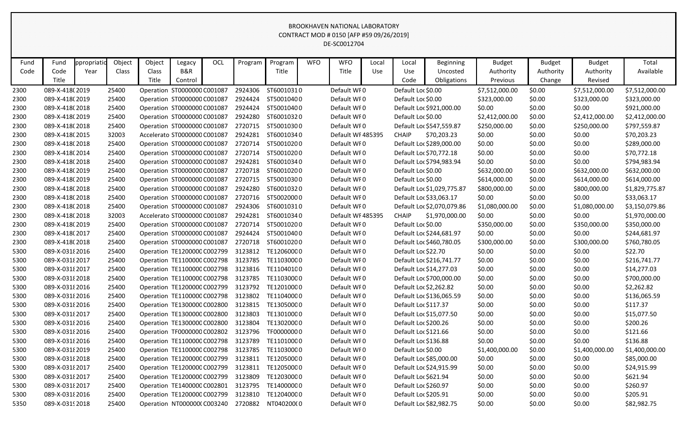| Fund | Fund            | ppropriatio | Object | Object       | Legacy                       | OCL | Program | Program    | <b>WFO</b> | <b>WFO</b>        | Local | Local                  | Beginning                  | <b>Budget</b>  | <b>Budget</b> | <b>Budget</b>  | Total          |
|------|-----------------|-------------|--------|--------------|------------------------------|-----|---------|------------|------------|-------------------|-------|------------------------|----------------------------|----------------|---------------|----------------|----------------|
| Code | Code            | Year        | Class  | <b>Class</b> | B&R                          |     |         | Title      |            | Title             | Use   | Use                    | Uncosted                   | Authority      | Authority     | Authority      | Available      |
|      | Title           |             |        | Title        | Control                      |     |         |            |            |                   |       | Code                   | Obligations                | Previous       | Change        | Revised        |                |
| 2300 | 089-X-418(2019  |             | 25400  |              | Operation ST0000000 C001087  |     | 2924306 | ST60010310 |            | Default WF0       |       | Default Loc \$0.00     |                            | \$7,512,000.00 | \$0.00        | \$7,512,000.00 | \$7,512,000.00 |
| 2300 | 089-X-418(2019  |             | 25400  |              | Operation ST0000000 C001087  |     | 2924424 | ST50010400 |            | Default WF0       |       | Default Loc \$0.00     |                            | \$323,000.00   | \$0.00        | \$323,000.00   | \$323,000.00   |
| 2300 | 089-X-418(2018  |             | 25400  |              | Operation ST0000000 C001087  |     | 2924424 | ST50010400 |            | Default WF0       |       |                        | Default Loc \$921,000.00   | \$0.00         | \$0.00        | \$0.00         | \$921,000.00   |
| 2300 | 089-X-418(2019  |             | 25400  |              | Operation ST0000000 C001087  |     | 2924280 | ST60010320 |            | Default WF0       |       | Default Loc \$0.00     |                            | \$2,412,000.00 | \$0.00        | \$2,412,000.00 | \$2,412,000.00 |
| 2300 | 089-X-418(2018  |             | 25400  |              | Operation ST0000000 C001087  |     | 2720715 | ST50010300 |            | Default WF0       |       |                        | Default Loc \$547,559.87   | \$250,000.00   | \$0.00        | \$250,000.00   | \$797,559.87   |
| 2300 | 089-X-418(2015  |             | 32003  |              | Accelerato ST0000000 C001087 |     | 2924281 | ST60010340 |            | Default WF 485395 |       | <b>CHAIP</b>           | \$70,203.23                | \$0.00         | \$0.00        | \$0.00         | \$70,203.23    |
| 2300 | 089-X-418(2018  |             | 25400  |              | Operation ST0000000 C001087  |     | 2720714 | ST50010200 |            | Default WF0       |       |                        | Default Loc \$289,000.00   | \$0.00         | \$0.00        | \$0.00         | \$289,000.00   |
| 2300 | 089-X-418(2014  |             | 25400  |              | Operation ST0000000 C001087  |     | 2720714 | ST50010200 |            | Default WF0       |       |                        | Default Loc \$70,772.18    | \$0.00         | \$0.00        | \$0.00         | \$70,772.18    |
| 2300 | 089-X-418(2018  |             | 25400  |              | Operation ST0000000 C001087  |     | 2924281 | ST60010340 |            | Default WF0       |       |                        | Default Loc \$794,983.94   | \$0.00         | \$0.00        | \$0.00         | \$794,983.94   |
| 2300 | 089-X-418(2019  |             | 25400  |              | Operation ST0000000 C001087  |     | 2720718 | ST60010200 |            | Default WF0       |       | Default Loc \$0.00     |                            | \$632,000.00   | \$0.00        | \$632,000.00   | \$632,000.00   |
| 2300 | 089-X-418(2019  |             | 25400  |              | Operation ST0000000 C001087  |     | 2720715 | ST50010300 |            | Default WF0       |       | Default Loc \$0.00     |                            | \$614,000.00   | \$0.00        | \$614,000.00   | \$614,000.00   |
| 2300 | 089-X-418(2018  |             | 25400  |              | Operation ST0000000 C001087  |     | 2924280 | ST60010320 |            | Default WF0       |       |                        | Default Loc \$1,029,775.87 | \$800,000.00   | \$0.00        | \$800,000.00   | \$1,829,775.87 |
| 2300 | 089-X-418(2018  |             | 25400  |              | Operation ST0000000 C001087  |     | 2720716 | ST50020000 |            | Default WF0       |       |                        | Default Loc \$33,063.17    | \$0.00         | \$0.00        | \$0.00         | \$33,063.17    |
| 2300 | 089-X-418(2018  |             | 25400  |              | Operation ST0000000 C001087  |     | 2924306 | ST60010310 |            | Default WF0       |       |                        | Default Loc \$2,070,079.86 | \$1,080,000.00 | \$0.00        | \$1,080,000.00 | \$3,150,079.86 |
| 2300 | 089-X-418(2018  |             | 32003  |              | Accelerato ST0000000 C001087 |     | 2924281 | ST60010340 |            | Default WF 485395 |       | <b>CHAIP</b>           | \$1,970,000.00             | \$0.00         | \$0.00        | \$0.00         | \$1,970,000.00 |
| 2300 | 089-X-418(2019  |             | 25400  |              | Operation ST0000000 C001087  |     | 2720714 | ST50010200 |            | Default WF0       |       | Default Loc \$0.00     |                            | \$350,000.00   | \$0.00        | \$350,000.00   | \$350,000.00   |
| 2300 | 089-X-418(2017  |             | 25400  |              | Operation ST0000000 C001087  |     | 2924424 | ST50010400 |            | Default WF0       |       |                        | Default Loc \$244,681.97   | \$0.00         | \$0.00        | \$0.00         | \$244,681.97   |
| 2300 | 089-X-418(2018  |             | 25400  |              | Operation ST0000000 C001087  |     | 2720718 | ST60010200 |            | Default WF0       |       |                        | Default Loc \$460,780.05   | \$300,000.00   | \$0.00        | \$300,000.00   | \$760,780.05   |
| 5300 | 089-X-03182016  |             | 25400  |              | Operation TE1200000 C002799  |     | 3123812 | TE12060000 |            | Default WFO       |       | Default Loc \$22.70    |                            | \$0.00         | \$0.00        | \$0.00         | \$22.70        |
| 5300 | 089-X-0318 2017 |             | 25400  |              | Operation TE1100000 C002798  |     | 3123785 | TE11030000 |            | Default WF0       |       |                        | Default Loc \$216,741.77   | \$0.00         | \$0.00        | \$0.00         | \$216,741.77   |
| 5300 | 089-X-0318 2017 |             | 25400  |              | Operation TE1100000 C002798  |     | 3123816 | TE11040100 |            | Default WF0       |       |                        | Default Loc \$14,277.03    | \$0.00         | \$0.00        | \$0.00         | \$14,277.03    |
| 5300 | 089-X-03182018  |             | 25400  |              | Operation TE1100000 C002798  |     | 3123785 | TE11030000 |            | Default WF0       |       |                        | Default Loc \$700,000.00   | \$0.00         | \$0.00        | \$0.00         | \$700,000.00   |
| 5300 | 089-X-03182016  |             | 25400  |              | Operation TE1200000 C002799  |     | 3123792 | TE12010000 |            | Default WF0       |       | Default Loc \$2,262.82 |                            | \$0.00         | \$0.00        | \$0.00         | \$2,262.82     |
| 5300 | 089-X-03182016  |             | 25400  |              | Operation TE1100000 C002798  |     | 3123802 | TE11040000 |            | Default WF0       |       |                        | Default Loc \$136,065.59   | \$0.00         | \$0.00        | \$0.00         | \$136,065.59   |
| 5300 | 089-X-03182016  |             | 25400  |              | Operation TE1300000 C002800  |     | 3123815 | TE13050000 |            | Default WF0       |       | Default Loc \$117.37   |                            | \$0.00         | \$0.00        | \$0.00         | \$117.37       |
| 5300 | 089-X-0318 2017 |             | 25400  |              | Operation TE1300000 C002800  |     | 3123803 | TE13010000 |            | Default WF0       |       |                        | Default Loc \$15,077.50    | \$0.00         | \$0.00        | \$0.00         | \$15,077.50    |
| 5300 | 089-X-03182016  |             | 25400  |              | Operation TE1300000 C002800  |     | 3123804 | TE13020000 |            | Default WF0       |       | Default Loc \$200.26   |                            | \$0.00         | \$0.00        | \$0.00         | \$200.26       |
| 5300 | 089-X-03182016  |             | 25400  |              | Operation TF0000000 C002802  |     | 3123796 | TF00000000 |            | Default WF0       |       | Default Loc \$121.66   |                            | \$0.00         | \$0.00        | \$0.00         | \$121.66       |
| 5300 | 089-X-031 {2016 |             | 25400  |              | Operation TE1100000 C002798  |     | 3123789 | TE11010000 |            | Default WF0       |       | Default Loc \$136.88   |                            | \$0.00         | \$0.00        | \$0.00         | \$136.88       |
| 5300 | 089-X-03182019  |             | 25400  |              | Operation TE1100000 C002798  |     | 3123785 | TE11030000 |            | Default WF0       |       | Default Loc \$0.00     |                            | \$1,400,000.00 | \$0.00        | \$1,400,000.00 | \$1,400,000.00 |
| 5300 | 089-X-031 {2018 |             | 25400  |              | Operation TE1200000 C002799  |     | 3123811 | TE12050000 |            | Default WF0       |       |                        | Default Loc \$85,000.00    | \$0.00         | \$0.00        | \$0.00         | \$85,000.00    |
| 5300 | 089-X-03182017  |             | 25400  |              | Operation TE1200000 C002799  |     | 3123811 | TE12050000 |            | Default WF0       |       |                        | Default Loc \$24,915.99    | \$0.00         | \$0.00        | \$0.00         | \$24,915.99    |
| 5300 | 089-X-03182017  |             | 25400  |              | Operation TE1200000 C002799  |     | 3123809 | TE12030000 |            | Default WF0       |       | Default Loc \$621.94   |                            | \$0.00         | \$0.00        | \$0.00         | \$621.94       |
| 5300 | 089-X-03182017  |             | 25400  |              | Operation TE1400000 C002801  |     | 3123795 | TE14000000 |            | Default WF0       |       | Default Loc \$260.97   |                            | \$0.00         | \$0.00        | \$0.00         | \$260.97       |
| 5300 | 089-X-031 {2016 |             | 25400  |              | Operation TE1200000 C002799  |     | 3123810 | TE12040000 |            | Default WF0       |       | Default Loc \$205.91   |                            | \$0.00         | \$0.00        | \$0.00         | \$205.91       |
| 5350 | 089-X-0319 2018 |             | 25400  |              | Operation NT000000(C003240   |     | 2720882 | NT040200(0 |            | Default WF0       |       |                        | Default Loc \$82,982.75    | \$0.00         | \$0.00        | \$0.00         | \$82,982.75    |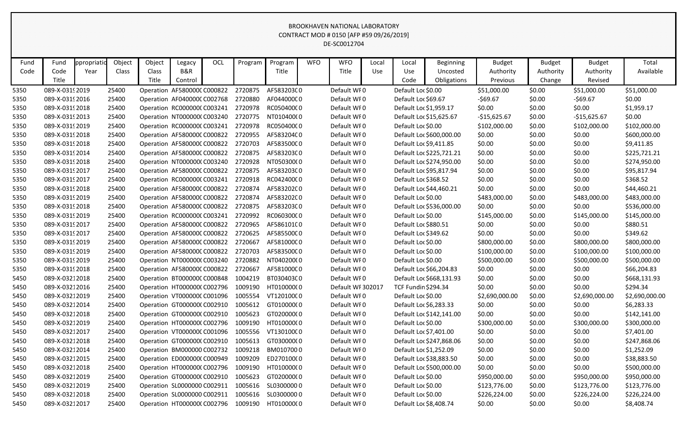| Fund | Fund            | ppropriatio | Object       | Object | Legacy                      | OCL | Program | Program    | <b>WFO</b> | <b>WFO</b>        | Local      | Local                      | <b>Beginning</b>         | <b>Budget</b>  | <b>Budget</b> | <b>Budget</b>  | Total          |
|------|-----------------|-------------|--------------|--------|-----------------------------|-----|---------|------------|------------|-------------------|------------|----------------------------|--------------------------|----------------|---------------|----------------|----------------|
| Code | Code            | Year        | <b>Class</b> | Class  | <b>B&amp;R</b>              |     |         | Title      |            | Title             | <b>Use</b> | Use                        | Uncosted                 | Authority      | Authority     | Authority      | Available      |
|      | Title           |             |              | Title  | Control                     |     |         |            |            |                   |            | Code                       | Obligations              | Previous       | Change        | Revised        |                |
| 5350 | 089-X-0319 2019 |             | 25400        |        | Operation AF580000C C000822 |     | 2720875 | AF583203C0 |            | Default WF0       |            | Default Loc \$0.00         |                          | \$51,000.00    | \$0.00        | \$51,000.00    | \$51,000.00    |
| 5350 | 089-X-0319 2016 |             | 25400        |        | Operation AF040000C C002768 |     | 2720880 | AF044000C0 |            | Default WFO       |            | Default Loc \$69.67        |                          | $-569.67$      | \$0.00        | -\$69.67       | \$0.00         |
| 5350 | 089-X-0319 2018 |             | 25400        |        | Operation RC000000CC003241  |     | 2720978 | RC05040000 |            | Default WFO       |            | Default Loc \$1,959.17     |                          | \$0.00         | \$0.00        | \$0.00         | \$1,959.17     |
| 5350 | 089-X-0319 2013 |             | 25400        |        | Operation NT000000(C003240  |     | 2720775 | NT010400(0 |            | Default WF0       |            |                            | Default Loc \$15,625.67  | $-$15,625.67$  | \$0.00        | $-$15,625.67$  | \$0.00         |
| 5350 | 089-X-0319 2019 |             | 25400        |        | Operation RC000000CC003241  |     | 2720978 | RC05040000 |            | Default WF0       |            | Default Loc \$0.00         |                          | \$102,000.00   | \$0.00        | \$102,000.00   | \$102,000.00   |
| 5350 | 089-X-0319 2018 |             | 25400        |        | Operation AF580000CC000822  |     | 2720955 | AF583204C0 |            | Default WF0       |            |                            | Default Loc \$600,000.00 | \$0.00         | \$0.00        | \$0.00         | \$600,000.00   |
| 5350 | 089-X-0319 2018 |             | 25400        |        | Operation AF580000CC000822  |     | 2720703 | AF583500C0 |            | Default WFO       |            | Default Loc \$9,411.85     |                          | \$0.00         | \$0.00        | \$0.00         | \$9,411.85     |
| 5350 | 089-X-0319 2014 |             | 25400        |        | Operation AF580000CC000822  |     | 2720875 | AF583203C0 |            | Default WF0       |            |                            | Default Loc \$225,721.21 | \$0.00         | \$0.00        | \$0.00         | \$225,721.21   |
| 5350 | 089-X-0319 2018 |             | 25400        |        | Operation NT000000(C003240  |     | 2720928 | NT050300(0 |            | Default WF0       |            |                            | Default Loc \$274,950.00 | \$0.00         | \$0.00        | \$0.00         | \$274,950.00   |
| 5350 | 089-X-0319 2017 |             | 25400        |        | Operation AF580000CC000822  |     | 2720875 | AF583203C0 |            | Default WFO       |            |                            | Default Loc \$95,817.94  | \$0.00         | \$0.00        | \$0.00         | \$95,817.94    |
| 5350 | 089-X-0319 2017 |             | 25400        |        | Operation RC000000CC003241  |     | 2720918 | RC04240000 |            | Default WF0       |            | Default Loc \$368.52       |                          | \$0.00         | \$0.00        | \$0.00         | \$368.52       |
| 5350 | 089-X-03192018  |             | 25400        |        | Operation AF580000C C000822 |     | 2720874 | AF583202C0 |            | Default WF0       |            |                            | Default Loc \$44,460.21  | \$0.00         | \$0.00        | \$0.00         | \$44,460.21    |
| 5350 | 089-X-0319 2019 |             | 25400        |        | Operation AF580000C C000822 |     | 2720874 | AF583202C0 |            | Default WFO       |            | Default Loc \$0.00         |                          | \$483,000.00   | \$0.00        | \$483,000.00   | \$483,000.00   |
| 5350 | 089-X-0319 2018 |             | 25400        |        | Operation AF580000C C000822 |     | 2720875 | AF583203C0 |            | Default WF0       |            |                            | Default Loc \$536,000.00 | \$0.00         | \$0.00        | \$0.00         | \$536,000.00   |
| 5350 | 089-X-0319 2019 |             | 25400        |        | Operation RC000000CC003241  |     | 2720992 | RC06030000 |            | Default WF0       |            | Default Loc \$0.00         |                          | \$145,000.00   | \$0.00        | \$145,000.00   | \$145,000.00   |
| 5350 | 089-X-0319 2017 |             | 25400        |        | Operation AF580000CC000822  |     | 2720965 | AF586101C0 |            | Default WF0       |            | Default Loc \$880.51       |                          | \$0.00         | \$0.00        | \$0.00         | \$880.51       |
| 5350 | 089-X-0319 2017 |             | 25400        |        | Operation AF580000C C000822 |     | 2720625 | AF585500C0 |            | Default WF0       |            | Default Loc \$349.62       |                          | \$0.00         | \$0.00        | \$0.00         | \$349.62       |
| 5350 | 089-X-0319 2019 |             | 25400        |        | Operation AF580000C C000822 |     | 2720667 | AF581000C0 |            | Default WFO       |            | Default Loc \$0.00         |                          | \$800,000.00   | \$0.00        | \$800,000.00   | \$800,000.00   |
| 5350 | 089-X-0319 2019 |             | 25400        |        | Operation AF580000C C000822 |     | 2720703 | AF583500C0 |            | Default WF0       |            | Default Loc \$0.00         |                          | \$100,000.00   | \$0.00        | \$100,000.00   | \$100,000.00   |
| 5350 | 089-X-0319 2019 |             | 25400        |        | Operation NT000000(C003240  |     | 2720882 | NT040200(0 |            | Default WF0       |            | Default Loc \$0.00         |                          | \$500,000.00   | \$0.00        | \$500,000.00   | \$500,000.00   |
| 5350 | 089-X-0319 2018 |             | 25400        |        | Operation AF580000C C000822 |     | 2720667 | AF581000C0 |            | Default WF0       |            |                            | Default Loc \$66,204.83  | \$0.00         | \$0.00        | \$0.00         | \$66,204.83    |
| 5450 | 089-X-03212018  |             | 25400        |        | Operation BT000000C C000848 |     | 1004219 | BT030403C0 |            | Default WF0       |            |                            | Default Loc \$668,131.93 | \$0.00         | \$0.00        | \$0.00         | \$668,131.93   |
| 5450 | 089-X-03212016  |             | 25400        |        | Operation HT0000000 C002796 |     | 1009190 | HT010000(0 |            | Default WF 302017 |            | <b>TCF Fundin \$294.34</b> |                          | \$0.00         | \$0.00        | \$0.00         | \$294.34       |
| 5450 | 089-X-03212019  |             | 25400        |        | Operation VT000000C C001096 |     | 1005554 | VT12010000 |            | Default WF0       |            | Default Loc \$0.00         |                          | \$2,690,000.00 | \$0.00        | \$2,690,000.00 | \$2,690,000.00 |
| 5450 | 089-X-03212014  |             | 25400        |        | Operation GT0000000 C002910 |     | 1005612 | GT01000000 |            | Default WFO       |            | Default Loc \$6,283.33     |                          | \$0.00         | \$0.00        | \$0.00         | \$6,283.33     |
| 5450 | 089-X-03212018  |             | 25400        |        | Operation GT0000000 C002910 |     | 1005623 | GT02000000 |            | Default WFO       |            |                            | Default Loc \$142,141.00 | \$0.00         | \$0.00        | \$0.00         | \$142,141.00   |
| 5450 | 089-X-03212019  |             | 25400        |        | Operation HT0000000 C002796 |     | 1009190 | HT010000(0 |            | Default WFO       |            | Default Loc \$0.00         |                          | \$300,000.00   | \$0.00        | \$300,000.00   | \$300,000.00   |
| 5450 | 089-X-03212017  |             | 25400        |        | Operation VT000000CC001096  |     | 1005556 | VT13010000 |            | Default WF0       |            | Default Loc \$7,401.00     |                          | \$0.00         | \$0.00        | \$0.00         | \$7,401.00     |
| 5450 | 089-X-03212018  |             | 25400        |        | Operation GT0000000 C002910 |     | 1005613 | GT03000000 |            | Default WF0       |            |                            | Default Loc \$247,868.06 | \$0.00         | \$0.00        | \$0.00         | \$247,868.06   |
| 5450 | 089-X-03212014  |             | 25400        |        | Operation BM000000 C002732  |     | 1009218 | BM0107000  |            | Default WF0       |            | Default Loc \$1,252.09     |                          | \$0.00         | \$0.00        | \$0.00         | \$1,252.09     |
| 5450 | 089-X-03212015  |             | 25400        |        | Operation ED0000000 C000949 |     | 1009209 | ED270100(0 |            | Default WF0       |            |                            | Default Loc \$38,883.50  | \$0.00         | \$0.00        | \$0.00         | \$38,883.50    |
| 5450 | 089-X-03212018  |             | 25400        |        | Operation HT0000000 C002796 |     | 1009190 | HT010000(0 |            | Default WF0       |            |                            | Default Loc \$500,000.00 | \$0.00         | \$0.00        | \$0.00         | \$500,000.00   |
| 5450 | 089-X-03212019  |             | 25400        |        | Operation GT0000000 C002910 |     | 1005623 | GT02000000 |            | Default WF0       |            | Default Loc \$0.00         |                          | \$950,000.00   | \$0.00        | \$950,000.00   | \$950,000.00   |
| 5450 | 089-X-03212019  |             | 25400        |        | Operation SL0000000 C002911 |     | 1005616 | SL03000000 |            | Default WFO       |            | Default Loc \$0.00         |                          | \$123,776.00   | \$0.00        | \$123,776.00   | \$123,776.00   |
| 5450 | 089-X-03212018  |             | 25400        |        | Operation SL0000000 C002911 |     | 1005616 | SL03000000 |            | Default WF0       |            | Default Loc \$0.00         |                          | \$226,224.00   | \$0.00        | \$226,224.00   | \$226,224.00   |
| 5450 | 089-X-03212017  |             | 25400        |        | Operation HT0000000 C002796 |     | 1009190 | HT010000(0 |            | Default WF0       |            | Default Loc \$8,408.74     |                          | \$0.00         | \$0.00        | \$0.00         | \$8,408.74     |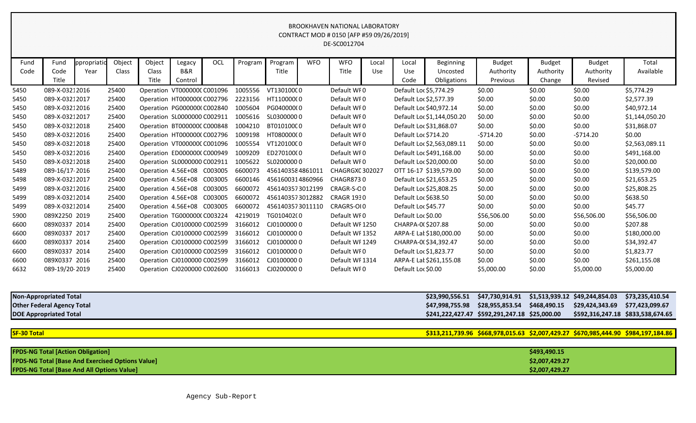| Fund | Fund           | ppropriatio | Object | Object             | Legacy                      | OCL     | Program | Program          | <b>WFO</b> | <b>WFO</b>        | Local | Local                | <b>Beginning</b>           | <b>Budget</b>   | <b>Budget</b> | <b>Budget</b> | Total          |
|------|----------------|-------------|--------|--------------------|-----------------------------|---------|---------|------------------|------------|-------------------|-------|----------------------|----------------------------|-----------------|---------------|---------------|----------------|
| Code | Code           | Year        | Class  | Class              | <b>B&amp;R</b>              |         |         | Title            |            | Title             | Use   | Use                  | Uncosted                   | Authority       | Authority     | Authority     | Available      |
|      | Title          |             |        | Title              | Control                     |         |         |                  |            |                   |       | Code                 | Obligations                | <b>Previous</b> | Change        | Revised       |                |
| 5450 | 089-X-03212016 |             | 25400  |                    | Operation VT000000C C001096 |         | 1005556 | VT13010000       |            | Default WF0       |       |                      | Default Loc \$5,774.29     | \$0.00          | \$0.00        | \$0.00        | \$5,774.29     |
| 5450 | 089-X-03212017 |             | 25400  |                    | Operation HT0000000 C002796 |         | 2223156 | HT11000000       |            | Default WF0       |       |                      | Default Loc \$2,577.39     | \$0.00          | \$0.00        | \$0.00        | \$2,577.39     |
| 5450 | 089-X-03212016 |             | 25400  |                    | Operation PG000000(C002840  |         | 1005604 | PG040000(0       |            | Default WF0       |       |                      | Default Loc \$40,972.14    | \$0.00          | \$0.00        | \$0.00        | \$40,972.14    |
| 5450 | 089-X-03212017 |             | 25400  |                    | Operation SL0000000 C002911 |         | 1005616 | SL03000000       |            | Default WF0       |       |                      | Default Loc \$1,144,050.20 | \$0.00          | \$0.00        | \$0.00        | \$1,144,050.20 |
| 5450 | 089-X-03212018 |             | 25400  |                    | Operation BT000000C C000848 |         | 1004210 | BT010100C0       |            | Default WF0       |       |                      | Default Loc \$31,868.07    | \$0.00          | \$0.00        | \$0.00        | \$31,868.07    |
| 5450 | 089-X-03212016 |             | 25400  |                    | Operation HT0000000 C002796 |         | 1009198 | HT08000000       |            | Default WF0       |       | Default Loc \$714.20 |                            | $-5714.20$      | \$0.00        | $-5714.20$    | \$0.00         |
| 5450 | 089-X-03212018 |             | 25400  |                    | Operation VT000000C C001096 |         | 1005554 | VT12010000       |            | Default WF0       |       |                      | Default Loc \$2,563,089.11 | \$0.00          | \$0.00        | \$0.00        | \$2,563,089.11 |
| 5450 | 089-X-03212016 |             | 25400  |                    | Operation ED0000000 C000949 |         | 1009209 | ED27010000       |            | Default WF0       |       |                      | Default Loc \$491,168.00   | \$0.00          | \$0.00        | \$0.00        | \$491,168.00   |
| 5450 | 089-X-03212018 |             | 25400  |                    | Operation SL0000000 C002911 |         | 1005622 | SL02000000       |            | Default WF0       |       |                      | Default Loc \$20,000.00    | \$0.00          | \$0.00        | \$0.00        | \$20,000.00    |
| 5489 | 089-16/17-2016 |             | 25400  |                    | Operation 4.56E+08 C003005  |         | 6600073 | 4561403584861011 |            | CHAGRGXC 302027   |       |                      | OTT 16-17 \$139,579.00     | \$0.00          | \$0.00        | \$0.00        | \$139,579.00   |
| 5498 | 089-X-03212017 |             | 25400  |                    | Operation 4.56E+08 C003005  |         | 6600146 | 4561600314860966 |            | CHAGR8730         |       |                      | Default Loc \$21,653.25    | \$0.00          | \$0.00        | \$0.00        | \$21,653.25    |
| 5499 | 089-X-03212016 |             | 25400  |                    | Operation 4.56E+08 C003005  |         | 6600072 | 4561403573012199 |            | CRAGR-S-OO        |       |                      | Default Loc \$25,808.25    | \$0.00          | \$0.00        | \$0.00        | \$25,808.25    |
| 5499 | 089-X-03212014 |             | 25400  | Operation 4.56E+08 |                             | C003005 | 6600072 | 4561403573012882 |            | <b>CRAGR 1930</b> |       | Default Loc \$638.50 |                            | \$0.00          | \$0.00        | \$0.00        | \$638.50       |
| 5499 | 089-X-03212014 |             | 25400  |                    | Operation 4.56E+08 C003005  |         | 6600072 | 4561403573011110 |            | CRAGRS-OI0        |       | Default Loc \$45.77  |                            | \$0.00          | \$0.00        | \$0.00        | \$45.77        |
| 5900 | 089X2250 2019  |             | 25400  |                    | Operation TG0000000 C003224 |         | 4219019 | TG010402(0       |            | Default WF0       |       | Default Loc \$0.00   |                            | \$56,506.00     | \$0.00        | \$56,506.00   | \$56,506.00    |
| 6600 | 089X0337 2014  |             | 25400  |                    | Operation CJ0100000 C002599 |         | 3166012 | CJ01000000       |            | Default WF 1250   |       | CHARPA-0(\$207.88    |                            | \$0.00          | \$0.00        | \$0.00        | \$207.88       |
| 6600 | 089X0337 2017  |             | 25400  |                    | Operation CJ0100000 C002599 |         | 3166012 | CJ01000000       |            | Default WF 1352   |       |                      | ARPA-E Lat \$180,000.00    | \$0.00          | \$0.00        | \$0.00        | \$180,000.00   |
| 6600 | 089X0337 2014  |             | 25400  |                    | Operation CJ0100000 C002599 |         | 3166012 | CJ01000000       |            | Default WF 1249   |       |                      | CHARPA-0(\$34,392.47       | \$0.00          | \$0.00        | \$0.00        | \$34,392.47    |
| 6600 | 089X0337 2014  |             | 25400  |                    | Operation CJ0100000 C002599 |         | 3166012 | CJ01000000       |            | Default WF0       |       |                      | Default Loc \$1,823.77     | \$0.00          | \$0.00        | \$0.00        | \$1,823.77     |
| 6600 | 089X0337 2016  |             | 25400  |                    | Operation CJ0100000 C002599 |         | 3166012 | CJ01000000       |            | Default WF 1314   |       |                      | ARPA-E Lat \$261,155.08    | \$0.00          | \$0.00        | \$0.00        | \$261,155.08   |
| 6632 | 089-19/20-2019 |             | 25400  |                    | Operation CJ0200000 C002600 |         | 3166013 | CJ02000000       |            | Default WF0       |       | Default Loc \$0.00   |                            | \$5,000.00      | \$0.00        | \$5,000.00    | \$5,000.00     |

| <b>Non-Appropriated Total</b>     | \$23,990,556.51 \$47,730,914.91 \$1,513,939.12 \$49,244,854.03 \$73,235,410.54 |  |                                   |
|-----------------------------------|--------------------------------------------------------------------------------|--|-----------------------------------|
| <b>Other Federal Agency Total</b> | \$47,998,755.98 \$28,955,853.54 \$468,490.15 \$29,424,343.69 \$77,423,099.67   |  |                                   |
| <b>DOE Appropriated Total</b>     |                                                                                |  | \$592,316,247.18 \$833,538,674.65 |

| <b>SF-30 Total</b> |  |  |  |
|--------------------|--|--|--|
|                    |  |  |  |
|                    |  |  |  |

| SF-30 Total | \$313,211,739.96 \$668,978,015.63 \$2,007,429.27 \$670,985,444.90 \$984,197,184.86 |
|-------------|------------------------------------------------------------------------------------|
|             |                                                                                    |

| <b>FPDS-NG Total [Action Obligation]</b>                | \$493,490.15   |
|---------------------------------------------------------|----------------|
| <b>FPDS-NG Total [Base And Exercised Options Value]</b> | \$2,007,429.27 |
| <b>FPDS-NG Total [Base And All Options Value]</b>       | \$2,007,429.27 |